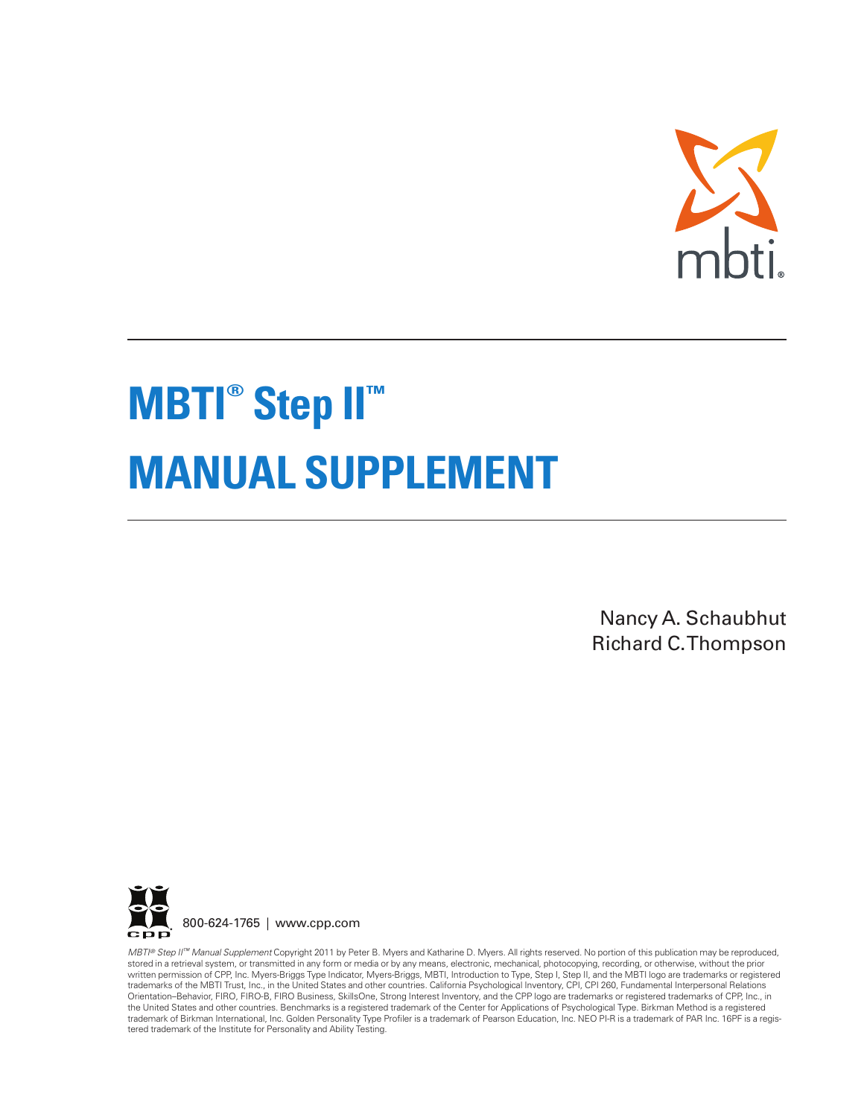

# **MBTI ® Step II ™ MANUAL SUPPLEMENT**

Nancy A. Schaubhut Richard C.Thompson



*MBTI ® Step II™ Manual Supplement* Copyright 2011 by Peter B. Myers and Katharine D. Myers. All rights reserved. No portion of this publication may be reproduced, stored in a retrieval system, or transmitted in any form or media or by any means, electronic, mechanical, photocopying, recording, or otherwise, without the prior written permission of CPP, Inc. Myers-Briggs Type Indicator, Myers-Briggs, MBTI, Introduction to Type, Step I, Step II, and the MBTI logo are trademarks or registered trademarks of the MBTI Trust, Inc., in the United States and other countries. California Psychological Inventory, CPI, CPI 260, Fundamental Interpersonal Relations Orientation–Behavior, FIRO, FIRO-B, FIRO Business, SkillsOne, Strong Interest Inventory, and the CPP logo are trademarks or registered trademarks of CPP, Inc., in the United States and other countries. Benchmarks is a registered trademark of the Center for Applications of Psychological Type. Birkman Method is a registered trademark of Birkman International, Inc. Golden Personality Type Profiler is a trademark of Pearson Education, Inc. NEO PI-R is a trademark of PAR Inc. 16PF is a regis-<br>tered trademark of the Institute for Personality and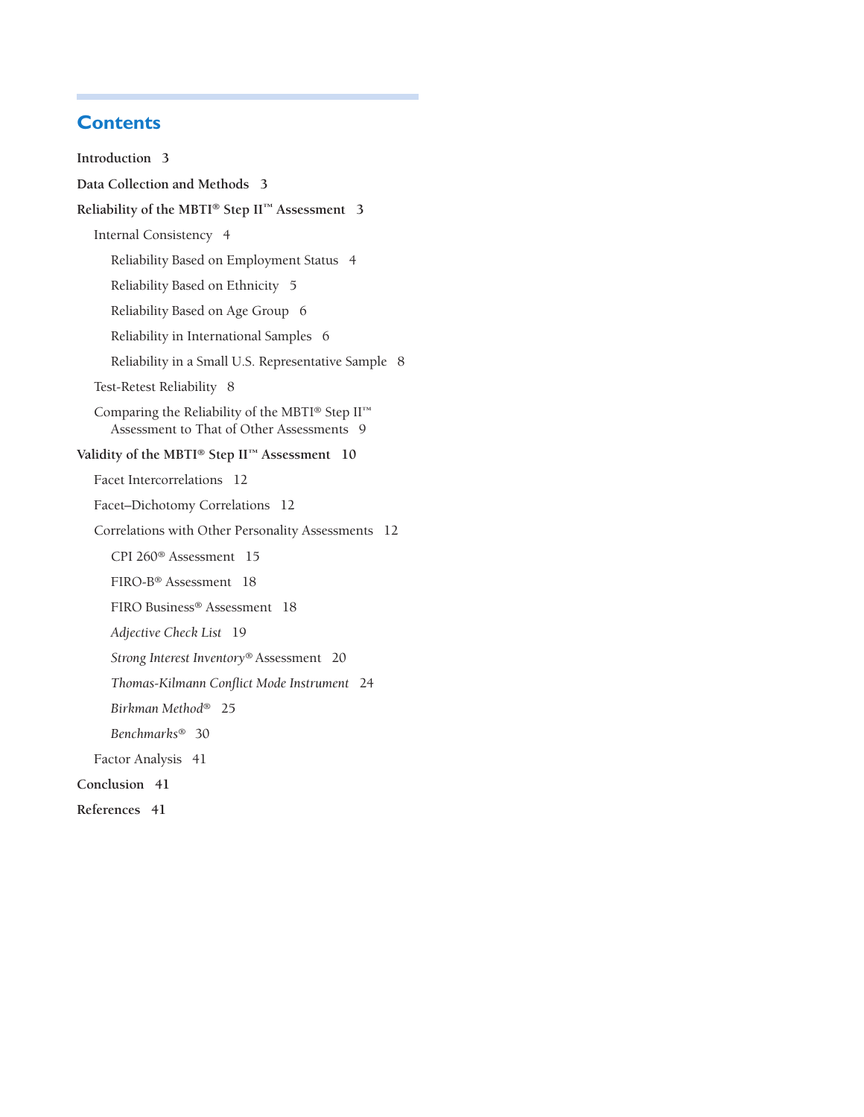# **Contents**

**Introduction 3 Data Collection and Methods 3 Reliability of the MBTI® Step II™ Assessment 3** Internal Consistency 4 Reliability Based on Employment Status 4 Reliability Based on Ethnicity 5 Reliability Based on Age Group 6 Reliability in International Samples 6 Reliability in a Small U.S. Representative Sample 8 Test-Retest Reliability 8 Comparing the Reliability of the MBTI® Step II™ Assessment to That of Other Assessments 9 **Validity of the MBTI® Step II™ Assessment 10** Facet Intercorrelations 12 Facet–Dichotomy Correlations 12 Correlations with Other Personality Assessments 12 CPI 260® Assessment 15 FIRO-B® Assessment 18 FIRO Business® Assessment 18 *Adjective Check List* 19 *Strong Interest Inventory*® Assessment 20 *Thomas-Kilmann Conflict Mode Instrument* 24 *Birkman Method*® 25 *Benchmarks*® 30 Factor Analysis 41 **Conclusion 41 References 41**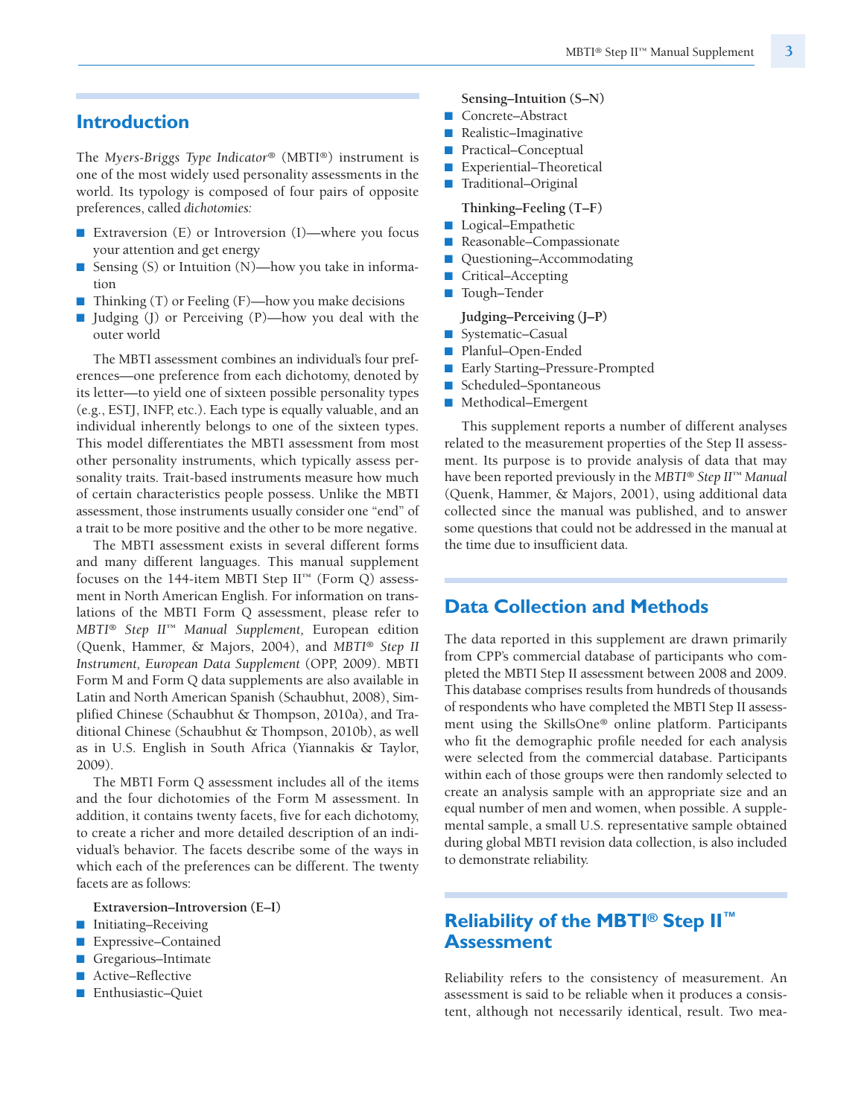### **Introduction**

The *Myers-Briggs Type Indicator®* (MBTI®) instrument is one of the most widely used personality assessments in the world. Its typology is composed of four pairs of opposite preferences, called *dichotomies:*

- Extraversion (E) or Introversion (I)—where you focus your attention and get energy
- Sensing (S) or Intuition (N)—how you take in information
- Thinking (T) or Feeling (F)—how you make decisions
- Judging (J) or Perceiving (P)—how you deal with the outer world

The MBTI assessment combines an individual's four preferences—one preference from each dichotomy, denoted by its letter—to yield one of sixteen possible personality types (e.g., ESTJ, INFP, etc.). Each type is equally valuable, and an individual inherently belongs to one of the sixteen types. This model differentiates the MBTI assessment from most other personality instruments, which typically assess personality traits. Trait-based instruments measure how much of certain characteristics people possess. Unlike the MBTI assessment, those instruments usually consider one "end" of a trait to be more positive and the other to be more negative.

The MBTI assessment exists in several different forms and many different languages. This manual supplement focuses on the 144-item MBTI Step II™ (Form Q) assessment in North American English. For information on translations of the MBTI Form Q assessment, please refer to *MBTI® Step II™ Manual Supplement,* European edition (Quenk, Hammer, & Majors, 2004), and *MBTI® Step II Instrument, European Data Supplement* (OPP, 2009). MBTI Form M and Form Q data supplements are also available in Latin and North American Spanish (Schaubhut, 2008), Simplified Chinese (Schaubhut & Thompson, 2010a), and Traditional Chinese (Schaubhut & Thompson, 2010b), as well as in U.S. English in South Africa (Yiannakis & Taylor, 2009).

The MBTI Form Q assessment includes all of the items and the four dichotomies of the Form M assessment. In addition, it contains twenty facets, five for each dichotomy, to create a richer and more detailed description of an individual's behavior. The facets describe some of the ways in which each of the preferences can be different. The twenty facets are as follows:

- **Extraversion–Introversion (E–I)**
- Initiating–Receiving
- Expressive–Contained
- Gregarious–Intimate
- Active–Reflective
- Enthusiastic–Quiet
- **Sensing–Intuition (S–N)**
- Concrete–Abstract
- Realistic-Imaginative
- Practical–Conceptual
- Experiential–Theoretical
- Traditional–Original

**Thinking–Feeling (T–F)**

- Logical–Empathetic
- Reasonable–Compassionate
- Questioning–Accommodating
- Critical–Accepting
- Tough–Tender

#### **Judging–Perceiving (J–P)**

- Systematic–Casual
- Planful–Open-Ended
- Early Starting–Pressure-Prompted
- Scheduled–Spontaneous
- Methodical–Emergent

This supplement reports a number of different analyses related to the measurement properties of the Step II assessment. Its purpose is to provide analysis of data that may have been reported previously in the *MBTI® Step II™ Manual* (Quenk, Hammer, & Majors, 2001), using additional data collected since the manual was published, and to answer some questions that could not be addressed in the manual at the time due to insufficient data.

# **Data Collection and Methods**

The data reported in this supplement are drawn primarily from CPP's commercial database of participants who completed the MBTI Step II assessment between 2008 and 2009. This database comprises results from hundreds of thousands of respondents who have completed the MBTI Step II assessment using the SkillsOne*®* online platform. Participants who fit the demographic profile needed for each analysis were selected from the commercial database. Participants within each of those groups were then randomly selected to create an analysis sample with an appropriate size and an equal number of men and women, when possible. A supplemental sample, a small U.S. representative sample obtained during global MBTI revision data collection, is also included to demonstrate reliability.

# **Reliability of the MBTI® Step II ™ Assessment**

Reliability refers to the consistency of measurement. An assessment is said to be reliable when it produces a consistent, although not necessarily identical, result. Two mea-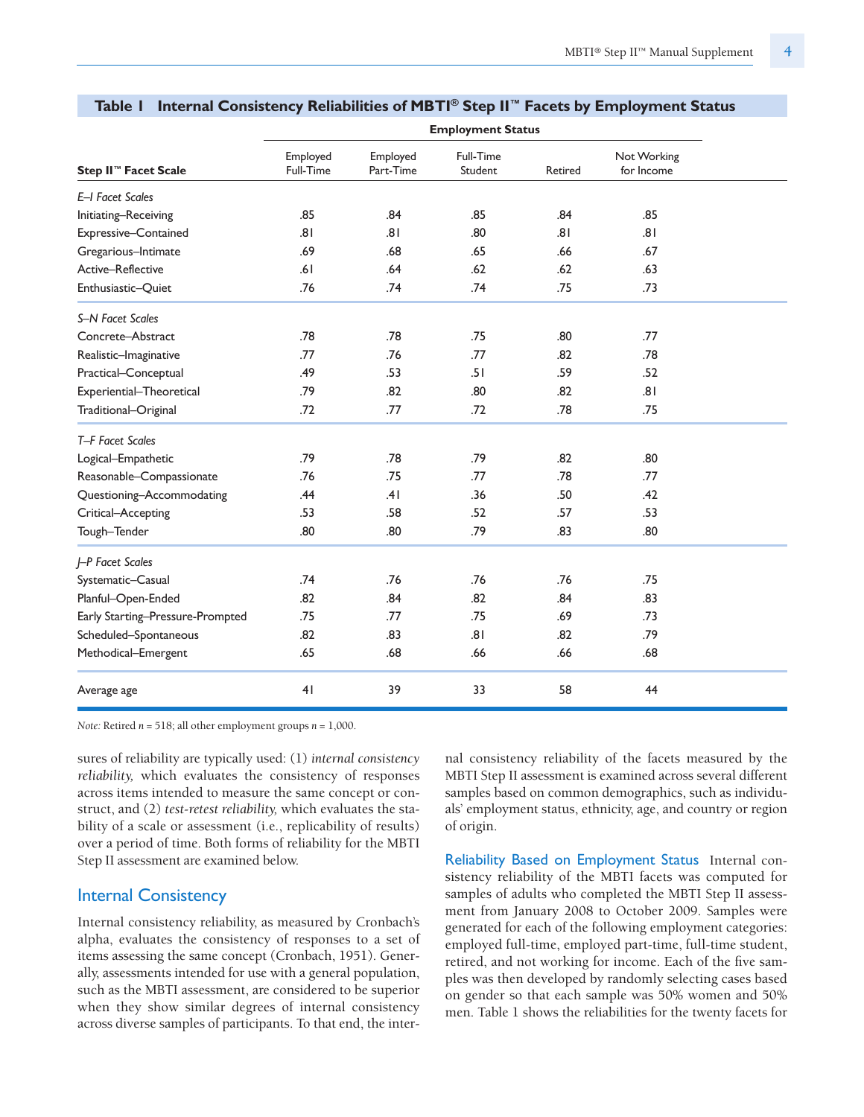|                                  |                       |                       | <b>Employment Status</b> |         |                           |  |
|----------------------------------|-----------------------|-----------------------|--------------------------|---------|---------------------------|--|
| Step II <sup>™</sup> Facet Scale | Employed<br>Full-Time | Employed<br>Part-Time | Full-Time<br>Student     | Retired | Not Working<br>for Income |  |
| E-I Facet Scales                 |                       |                       |                          |         |                           |  |
| Initiating-Receiving             | .85                   | .84                   | .85                      | .84     | .85                       |  |
| Expressive-Contained             | .81                   | .81                   | .80                      | .81     | .81                       |  |
| Gregarious-Intimate              | .69                   | .68                   | .65                      | .66     | .67                       |  |
| Active-Reflective                | .61                   | .64                   | .62                      | .62     | .63                       |  |
| Enthusiastic-Quiet               | .76                   | .74                   | .74                      | .75     | .73                       |  |
| S-N Facet Scales                 |                       |                       |                          |         |                           |  |
| Concrete-Abstract                | .78                   | .78                   | .75                      | .80     | .77                       |  |
| Realistic-Imaginative            | .77                   | .76                   | .77                      | .82     | .78                       |  |
| Practical-Conceptual             | .49                   | .53                   | .51                      | .59     | .52                       |  |
| Experiential-Theoretical         | .79                   | .82                   | .80                      | .82     | .81                       |  |
| Traditional-Original             | .72                   | .77                   | .72                      | .78     | .75                       |  |
| T-F Facet Scales                 |                       |                       |                          |         |                           |  |
| Logical-Empathetic               | .79                   | .78                   | .79                      | .82     | .80                       |  |
| Reasonable-Compassionate         | .76                   | .75                   | .77                      | .78     | .77                       |  |
| Questioning-Accommodating        | .44                   | .41                   | .36                      | .50     | .42                       |  |
| Critical-Accepting               | .53                   | .58                   | .52                      | .57     | .53                       |  |
| Tough-Tender                     | .80                   | .80                   | .79                      | .83     | .80                       |  |
| J-P Facet Scales                 |                       |                       |                          |         |                           |  |
| Systematic-Casual                | .74                   | .76                   | .76                      | .76     | .75                       |  |
| Planful-Open-Ended               | .82                   | .84                   | .82                      | .84     | .83                       |  |
| Early Starting-Pressure-Prompted | .75                   | .77                   | .75                      | .69     | .73                       |  |
| Scheduled-Spontaneous            | .82                   | .83                   | .81                      | .82     | .79                       |  |
| Methodical-Emergent              | .65                   | .68                   | .66                      | .66     | .68                       |  |
| Average age                      | 41                    | 39                    | 33                       | 58      | 44                        |  |

#### **Table 1 Internal Consistency Reliabilities of MBTI ® Step II™ Facets by Employment Status**

*Note:* Retired *n* = 518; all other employment groups *n* = 1,000.

sures of reliability are typically used: (1) *internal consistency reliability,* which evaluates the consistency of responses across items intended to measure the same concept or construct, and (2) *test-retest reliability,* which evaluates the stability of a scale or assessment (i.e., replicability of results) over a period of time. Both forms of reliability for the MBTI Step II assessment are examined below.

#### Internal Consistency

Internal consistency reliability, as measured by Cronbach's alpha, evaluates the consistency of responses to a set of items assessing the same concept (Cronbach, 1951). Generally, assessments intended for use with a general population, such as the MBTI assessment, are considered to be superior when they show similar degrees of internal consistency across diverse samples of participants. To that end, the internal consistency reliability of the facets measured by the MBTI Step II assessment is examined across several different samples based on common demographics, such as individuals' employment status, ethnicity, age, and country or region of origin.

Reliability Based on Employment Status Internal consistency reliability of the MBTI facets was computed for samples of adults who completed the MBTI Step II assessment from January 2008 to October 2009. Samples were generated for each of the following employment categories: employed full-time, employed part-time, full-time student, retired, and not working for income. Each of the five samples was then developed by randomly selecting cases based on gender so that each sample was 50% women and 50% men. Table 1 shows the reliabilities for the twenty facets for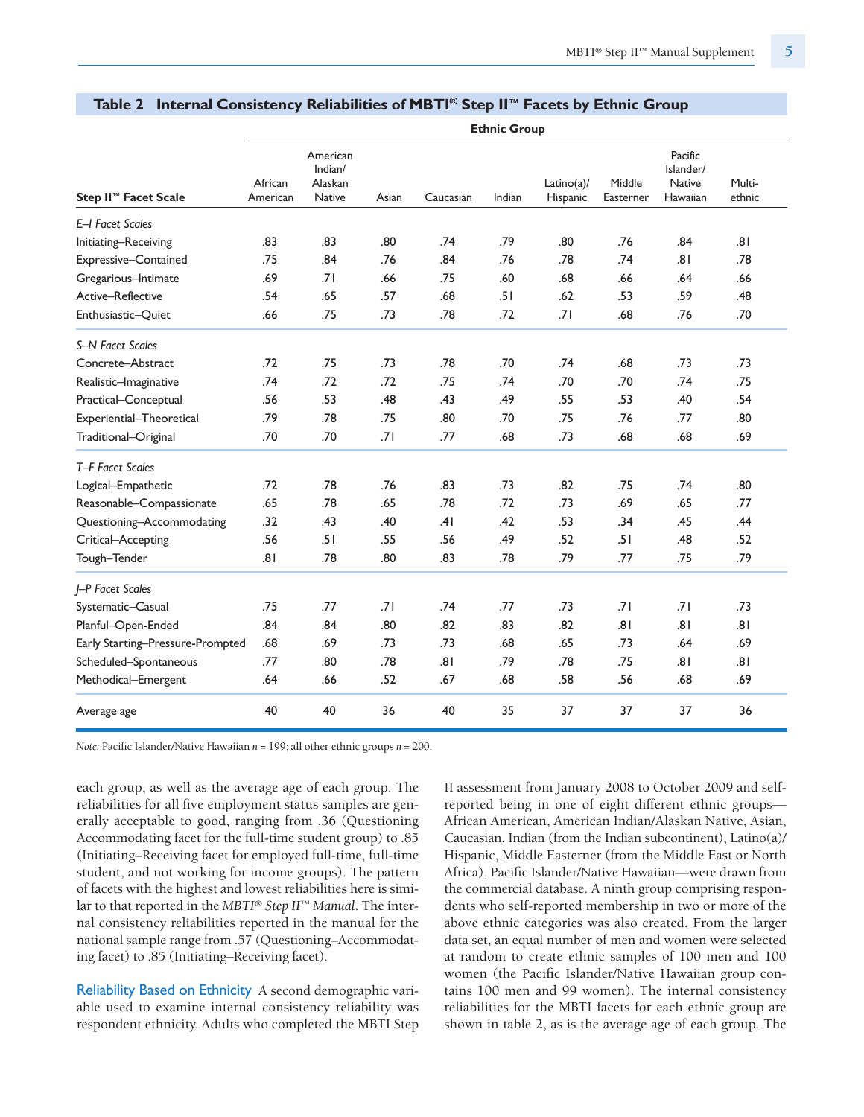|                                  |                     |                                                 |       |           | <b>Ethnic Group</b> |                           |                     |                                                   |                  |
|----------------------------------|---------------------|-------------------------------------------------|-------|-----------|---------------------|---------------------------|---------------------|---------------------------------------------------|------------------|
| Step II <sup>™</sup> Facet Scale | African<br>American | American<br>Indian/<br>Alaskan<br><b>Native</b> | Asian | Caucasian | Indian              | $Latino(a)$ /<br>Hispanic | Middle<br>Easterner | Pacific<br>Islander/<br><b>Native</b><br>Hawaiian | Multi-<br>ethnic |
| E-I Facet Scales                 |                     |                                                 |       |           |                     |                           |                     |                                                   |                  |
| Initiating-Receiving             | .83                 | .83                                             | .80   | .74       | .79                 | .80                       | .76                 | .84                                               | .81              |
| Expressive-Contained             | .75                 | .84                                             | .76   | .84       | .76                 | .78                       | .74                 | 8.                                                | .78              |
| Gregarious-Intimate              | .69                 | .71                                             | .66   | .75       | .60                 | .68                       | .66                 | .64                                               | .66              |
| Active-Reflective                | .54                 | .65                                             | .57   | .68       | .51                 | .62                       | .53                 | .59                                               | .48              |
| Enthusiastic-Quiet               | .66                 | .75                                             | .73   | .78       | .72                 | .71                       | .68                 | .76                                               | .70              |
| S-N Facet Scales                 |                     |                                                 |       |           |                     |                           |                     |                                                   |                  |
| Concrete-Abstract                | .72                 | .75                                             | .73   | .78       | .70                 | .74                       | .68                 | .73                                               | .73              |
| Realistic-Imaginative            | .74                 | .72                                             | .72   | .75       | .74                 | .70                       | .70                 | .74                                               | .75              |
| Practical-Conceptual             | .56                 | .53                                             | .48   | .43       | .49                 | .55                       | .53                 | .40                                               | .54              |
| Experiential-Theoretical         | .79                 | .78                                             | .75   | .80       | .70                 | .75                       | .76                 | .77                                               | .80              |
| Traditional-Original             | .70                 | .70                                             | .71   | .77       | .68                 | .73                       | .68                 | .68                                               | .69              |
| T-F Facet Scales                 |                     |                                                 |       |           |                     |                           |                     |                                                   |                  |
| Logical-Empathetic               | .72                 | .78                                             | .76   | .83       | .73                 | .82                       | .75                 | .74                                               | .80              |
| Reasonable-Compassionate         | .65                 | .78                                             | .65   | .78       | .72                 | .73                       | .69                 | .65                                               | .77              |
| Questioning-Accommodating        | .32                 | .43                                             | .40   | .41       | .42                 | .53                       | .34                 | .45                                               | .44              |
| Critical-Accepting               | .56                 | .51                                             | .55   | .56       | .49                 | .52                       | .51                 | .48                                               | .52              |
| Tough-Tender                     | .81                 | .78                                             | .80   | .83       | .78                 | .79                       | .77                 | .75                                               | .79              |
| I-P Facet Scales                 |                     |                                                 |       |           |                     |                           |                     |                                                   |                  |
| Systematic-Casual                | .75                 | .77                                             | .71   | .74       | .77                 | .73                       | .71                 | .71                                               | .73              |
| Planful-Open-Ended               | .84                 | .84                                             | .80   | .82       | .83                 | .82                       | .81                 | .81                                               | .81              |
| Early Starting-Pressure-Prompted | .68                 | .69                                             | .73   | .73       | .68                 | .65                       | .73                 | .64                                               | .69              |
| Scheduled-Spontaneous            | .77                 | .80                                             | .78   | .81       | .79                 | .78                       | .75                 | .81                                               | .81              |
| Methodical-Emergent              | .64                 | .66                                             | .52   | .67       | .68                 | .58                       | .56                 | .68                                               | .69              |
| Average age                      | 40                  | 40                                              | 36    | 40        | 35                  | 37                        | 37                  | 37                                                | 36               |

#### **Table 2 Internal Consistency Reliabilities of MBTI ® Step II™ Facets by Ethnic Group**

*Note:* Pacific Islander/Native Hawaiian *n* = 199; all other ethnic groups *n* = 200.

each group, as well as the average age of each group. The reliabilities for all five employment status samples are generally acceptable to good, ranging from .36 (Questioning Accommodating facet for the full-time student group) to .85 (Initiating–Receiving facet for employed full-time, full-time student, and not working for income groups). The pattern of facets with the highest and lowest reliabilities here is similar to that reported in the *MBTI® Step II™ Manual*. The internal consistency reliabilities reported in the manual for the national sample range from .57 (Questioning–Accommodating facet) to .85 (Initiating–Receiving facet).

Reliability Based on Ethnicity A second demographic variable used to examine internal consistency reliability was respondent ethnicity. Adults who completed the MBTI Step II assessment from January 2008 to October 2009 and selfreported being in one of eight different ethnic groups— African American, American Indian/Alaskan Native, Asian, Caucasian, Indian (from the Indian subcontinent), Latino(a)/ Hispanic, Middle Easterner (from the Middle East or North Africa), Pacific Islander/Native Hawaiian—were drawn from the commercial database. A ninth group comprising respondents who self-reported membership in two or more of the above ethnic categories was also created. From the larger data set, an equal number of men and women were selected at random to create ethnic samples of 100 men and 100 women (the Pacific Islander/Native Hawaiian group contains 100 men and 99 women). The internal consistency reliabilities for the MBTI facets for each ethnic group are shown in table 2, as is the average age of each group. The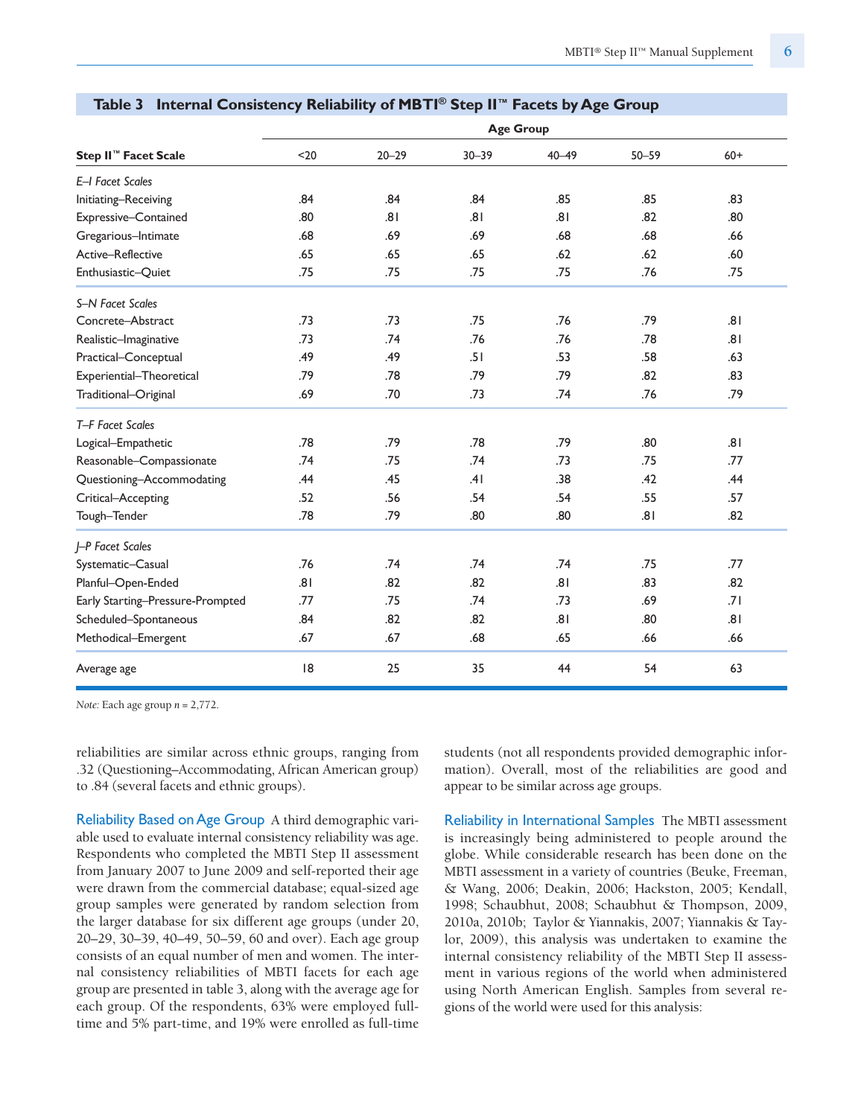|                                  |      |           |           | <b>Age Group</b> |           |       |
|----------------------------------|------|-----------|-----------|------------------|-----------|-------|
| Step II <sup>™</sup> Facet Scale | $20$ | $20 - 29$ | $30 - 39$ | $40 - 49$        | $50 - 59$ | $60+$ |
| E-I Facet Scales                 |      |           |           |                  |           |       |
| Initiating-Receiving             | .84  | .84       | .84       | .85              | .85       | .83   |
| Expressive-Contained             | .80  | .81       | .81       | .81              | .82       | .80   |
| Gregarious-Intimate              | .68  | .69       | .69       | .68              | .68       | .66   |
| Active-Reflective                | .65  | .65       | .65       | .62              | .62       | .60   |
| Enthusiastic-Quiet               | .75  | .75       | .75       | .75              | .76       | .75   |
| S-N Facet Scales                 |      |           |           |                  |           |       |
| Concrete-Abstract                | .73  | .73       | .75       | .76              | .79       | .81   |
| Realistic-Imaginative            | .73  | .74       | .76       | .76              | .78       | .81   |
| Practical-Conceptual             | .49  | .49       | .51       | .53              | .58       | .63   |
| Experiential-Theoretical         | .79  | .78       | .79       | .79              | .82       | .83   |
| Traditional-Original             | .69  | .70       | .73       | .74              | .76       | .79   |
| T-F Facet Scales                 |      |           |           |                  |           |       |
| Logical-Empathetic               | .78  | .79       | .78       | .79              | .80       | .81   |
| Reasonable-Compassionate         | .74  | .75       | .74       | .73              | .75       | .77   |
| Questioning-Accommodating        | .44  | .45       | .41       | .38              | .42       | .44   |
| Critical-Accepting               | .52  | .56       | .54       | .54              | .55       | .57   |
| Tough-Tender                     | .78  | .79       | .80       | .80              | .81       | .82   |
| J-P Facet Scales                 |      |           |           |                  |           |       |
| Systematic-Casual                | .76  | .74       | .74       | .74              | .75       | .77   |
| Planful-Open-Ended               | .81  | .82       | .82       | .81              | .83       | .82   |
| Early Starting-Pressure-Prompted | .77  | .75       | .74       | .73              | .69       | .71   |
| Scheduled-Spontaneous            | .84  | .82       | .82       | .81              | .80       | .81   |
| Methodical-Emergent              | .67  | .67       | .68       | .65              | .66       | .66   |
| Average age                      | 8    | 25        | 35        | 44               | 54        | 63    |

#### **Table 3 Internal Consistency Reliability of MBTI ® Step II™ Facets by Age Group**

*Note:* Each age group *n* = 2,772.

reliabilities are similar across ethnic groups, ranging from .32 (Questioning–Accommodating, African American group) to .84 (several facets and ethnic groups).

Reliability Based on Age Group A third demographic variable used to evaluate internal consistency reliability was age. Respondents who completed the MBTI Step II assessment from January 2007 to June 2009 and self-reported their age were drawn from the commercial database; equal-sized age group samples were generated by random selection from the larger database for six different age groups (under 20, 20–29, 30–39, 40–49, 50–59, 60 and over). Each age group consists of an equal number of men and women. The internal consistency reliabilities of MBTI facets for each age group are presented in table 3, along with the average age for each group. Of the respondents, 63% were employed fulltime and 5% part-time, and 19% were enrolled as full-time students (not all respondents provided demographic information). Overall, most of the reliabilities are good and appear to be similar across age groups.

Reliability in International Samples The MBTI assessment is increasingly being administered to people around the globe. While considerable research has been done on the MBTI assessment in a variety of countries (Beuke, Freeman, & Wang, 2006; Deakin, 2006; Hackston, 2005; Kendall, 1998; Schaubhut, 2008; Schaubhut & Thompson, 2009, 2010a, 2010b; Taylor & Yiannakis, 2007; Yiannakis & Taylor, 2009), this analysis was undertaken to examine the internal consistency reliability of the MBTI Step II assessment in various regions of the world when administered using North American English. Samples from several regions of the world were used for this analysis: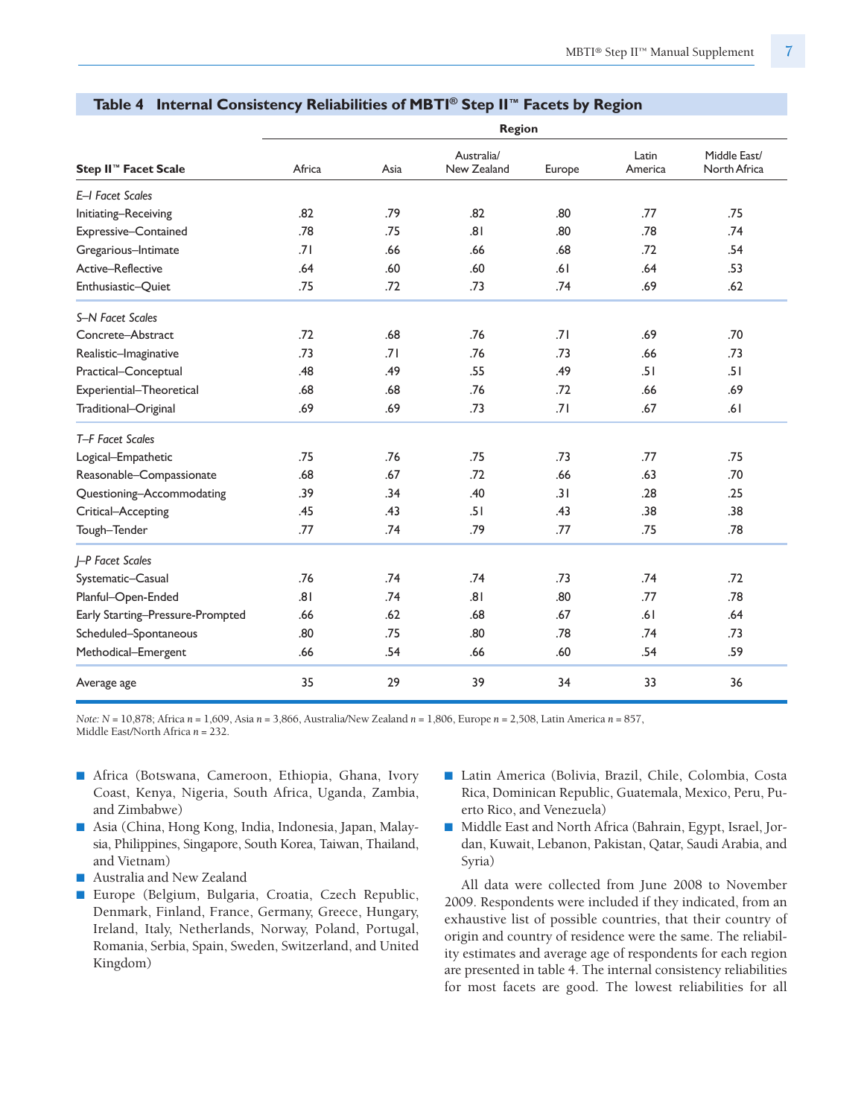|                                  |        |      | <b>Region</b>             |        |                  |                              |
|----------------------------------|--------|------|---------------------------|--------|------------------|------------------------------|
| Step II <sup>™</sup> Facet Scale | Africa | Asia | Australia/<br>New Zealand | Europe | Latin<br>America | Middle East/<br>North Africa |
| E-I Facet Scales                 |        |      |                           |        |                  |                              |
| Initiating-Receiving             | .82    | .79  | .82                       | .80    | .77              | .75                          |
| Expressive-Contained             | .78    | .75  | .81                       | .80    | .78              | .74                          |
| Gregarious-Intimate              | .71    | .66  | .66                       | .68    | .72              | .54                          |
| Active-Reflective                | .64    | .60  | .60                       | .61    | .64              | .53                          |
| Enthusiastic-Quiet               | .75    | .72  | .73                       | .74    | .69              | .62                          |
| S-N Facet Scales                 |        |      |                           |        |                  |                              |
| Concrete-Abstract                | .72    | .68  | .76                       | .71    | .69              | .70                          |
| Realistic-Imaginative            | .73    | .71  | .76                       | .73    | .66              | .73                          |
| Practical-Conceptual             | .48    | .49  | .55                       | .49    | .51              | .51                          |
| Experiential-Theoretical         | .68    | .68  | .76                       | .72    | .66              | .69                          |
| Traditional-Original             | .69    | .69  | .73                       | .71    | .67              | .61                          |
| T-F Facet Scales                 |        |      |                           |        |                  |                              |
| Logical-Empathetic               | .75    | .76  | .75                       | .73    | .77              | .75                          |
| Reasonable-Compassionate         | .68    | .67  | .72                       | .66    | .63              | .70                          |
| Questioning-Accommodating        | .39    | .34  | .40                       | .31    | .28              | .25                          |
| Critical-Accepting               | .45    | .43  | .51                       | .43    | .38              | .38                          |
| Tough-Tender                     | .77    | .74  | .79                       | .77    | .75              | .78                          |
| <b>I-P Facet Scales</b>          |        |      |                           |        |                  |                              |
| Systematic-Casual                | .76    | .74  | .74                       | .73    | .74              | .72                          |
| Planful-Open-Ended               | .81    | .74  | .81                       | .80    | .77              | .78                          |
| Early Starting-Pressure-Prompted | .66    | .62  | .68                       | .67    | .61              | .64                          |
| Scheduled-Spontaneous            | .80    | .75  | .80                       | .78    | .74              | .73                          |
| Methodical-Emergent              | .66    | .54  | .66                       | .60    | .54              | .59                          |
| Average age                      | 35     | 29   | 39                        | 34     | 33               | 36                           |

#### **Table 4 Internal Consistency Reliabilities of MBTI ® Step II™ Facets by Region**

*Note: N* = 10,878; Africa *n* = 1,609, Asia *n* = 3,866, Australia/New Zealand *n* = 1,806, Europe *n* = 2,508, Latin America *n* = 857, Middle East/North Africa *n* = 232.

- Africa (Botswana, Cameroon, Ethiopia, Ghana, Ivory Coast, Kenya, Nigeria, South Africa, Uganda, Zambia, and Zimbabwe)
- Asia (China, Hong Kong, India, Indonesia, Japan, Malaysia, Philippines, Singapore, South Korea, Taiwan, Thailand, and Vietnam)
- Australia and New Zealand
- Europe (Belgium, Bulgaria, Croatia, Czech Republic, Denmark, Finland, France, Germany, Greece, Hungary, Ireland, Italy, Netherlands, Norway, Poland, Portugal, Romania, Serbia, Spain, Sweden, Switzerland, and United Kingdom)
- Latin America (Bolivia, Brazil, Chile, Colombia, Costa Rica, Dominican Republic, Guatemala, Mexico, Peru, Puerto Rico, and Venezuela)
- Middle East and North Africa (Bahrain, Egypt, Israel, Jordan, Kuwait, Lebanon, Pakistan, Qatar, Saudi Arabia, and Syria)

All data were collected from June 2008 to November 2009. Respondents were included if they indicated, from an exhaustive list of possible countries, that their country of origin and country of residence were the same. The reliability estimates and average age of respondents for each region are presented in table 4. The internal consistency reliabilities for most facets are good. The lowest reliabilities for all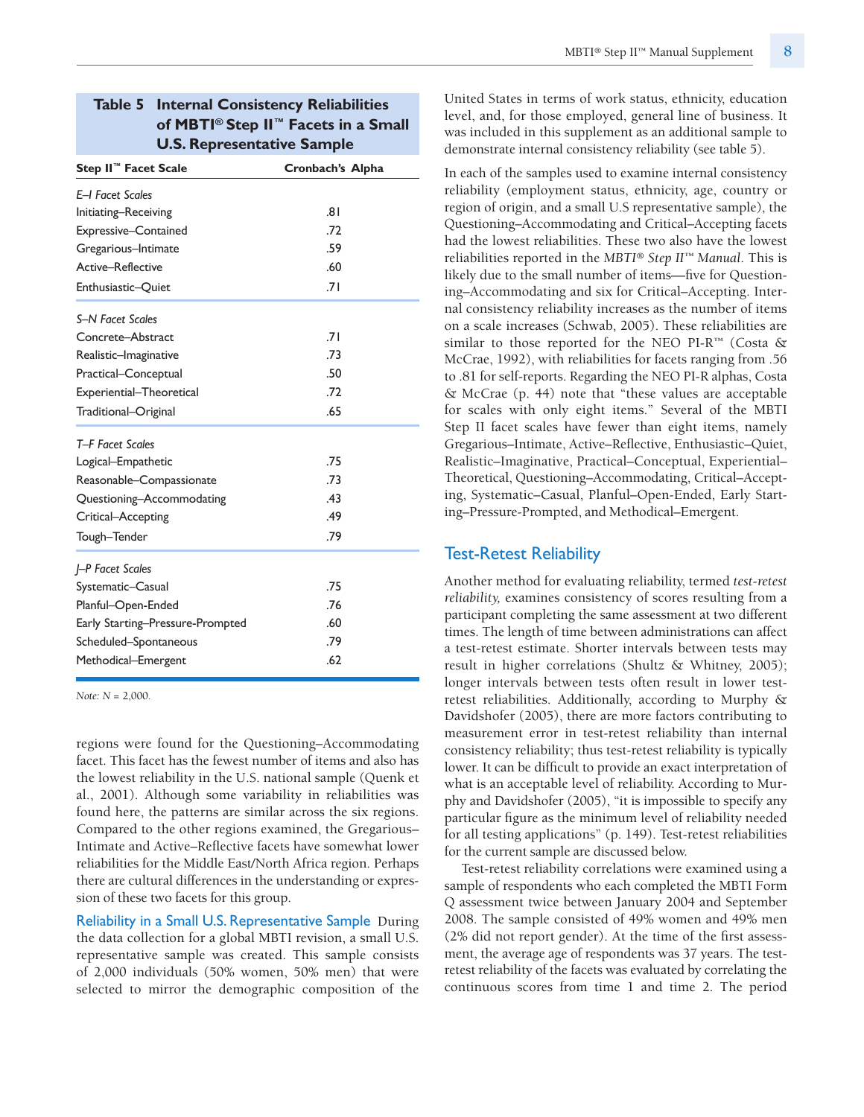# **Table 5 Internal Consistency Reliabilities of MBTI® Step II™ Facets in a Small U.S. Representative Sample**

| Step II <sup>™</sup> Facet Scale | Cronbach's Alpha |
|----------------------------------|------------------|
| <b>F-I Facet Scales</b>          |                  |
| Initiating-Receiving             | .81              |
| Expressive-Contained             | .72              |
| Gregarious-Intimate              | .59              |
| Active-Reflective                | .60              |
| Enthusiastic-Ouiet               | .71              |
| <b>S-N Facet Scales</b>          |                  |
| Concrete-Abstract                | .71              |
| Realistic-Imaginative            | .73              |
| Practical-Conceptual             | .50              |
| Experiential-Theoretical         | .72              |
| Traditional–Original             | .65              |
| T-F Facet Scales                 |                  |
| Logical-Empathetic               | .75              |
| Reasonable–Compassionate         | .73              |
| Questioning-Accommodating        | .43              |
| Critical-Accepting               | .49              |
| Tough-Tender                     | .79              |
| <b>I-P Facet Scales</b>          |                  |
| Systematic-Casual                | .75              |
| Planful-Open-Ended               | .76              |
| Early Starting-Pressure-Prompted | .60              |
| Scheduled-Spontaneous            | .79              |
| Methodical-Emergent              | .62              |

*Note: N* = 2,000.

regions were found for the Questioning–Accommodating facet. This facet has the fewest number of items and also has the lowest reliability in the U.S. national sample (Quenk et al., 2001). Although some variability in reliabilities was found here, the patterns are similar across the six regions. Compared to the other regions examined, the Gregarious– Intimate and Active–Reflective facets have somewhat lower reliabilities for the Middle East/North Africa region. Perhaps there are cultural differences in the understanding or expression of these two facets for this group.

Reliability in a Small U.S. Representative Sample During the data collection for a global MBTI revision, a small U.S. representative sample was created. This sample consists of 2,000 individuals (50% women, 50% men) that were selected to mirror the demographic composition of the United States in terms of work status, ethnicity, education level, and, for those employed, general line of business. It was included in this supplement as an additional sample to demonstrate internal consistency reliability (see table 5).

In each of the samples used to examine internal consistency reliability (employment status, ethnicity, age, country or region of origin, and a small U.S representative sample), the Questioning–Accommodating and Critical–Accepting facets had the lowest reliabilities. These two also have the lowest reliabilities reported in the *MBTI® Step II™ Manual*. This is likely due to the small number of items—five for Questioning–Accommodating and six for Critical–Accepting. Internal consistency reliability increases as the number of items on a scale increases (Schwab, 2005). These reliabilities are similar to those reported for the NEO PI-R*™* (Costa & McCrae, 1992), with reliabilities for facets ranging from .56 to .81 for self-reports. Regarding the NEO PI-R alphas, Costa & McCrae (p. 44) note that "these values are acceptable for scales with only eight items." Several of the MBTI Step II facet scales have fewer than eight items, namely Gregarious–Intimate, Active–Reflective, Enthusiastic–Quiet, Realistic–Imaginative, Practical–Conceptual, Experiential– Theoretical, Questioning–Accommodating, Critical–Accepting, Systematic–Casual, Planful–Open-Ended, Early Starting–Pressure-Prompted, and Methodical–Emergent.

#### Test-Retest Reliability

Another method for evaluating reliability, termed *test-retest reliability,* examines consistency of scores resulting from a participant completing the same assessment at two different times. The length of time between administrations can affect a test-retest estimate. Shorter intervals between tests may result in higher correlations (Shultz & Whitney, 2005); longer intervals between tests often result in lower testretest reliabilities. Additionally, according to Murphy & Davidshofer (2005), there are more factors contributing to measurement error in test-retest reliability than internal consistency reliability; thus test-retest reliability is typically lower. It can be difficult to provide an exact interpretation of what is an acceptable level of reliability. According to Murphy and Davidshofer (2005), "it is impossible to specify any particular figure as the minimum level of reliability needed for all testing applications" (p. 149). Test-retest reliabilities for the current sample are discussed below.

Test-retest reliability correlations were examined using a sample of respondents who each completed the MBTI Form Q assessment twice between January 2004 and September 2008. The sample consisted of 49% women and 49% men (2% did not report gender). At the time of the first assessment, the average age of respondents was 37 years. The testretest reliability of the facets was evaluated by correlating the continuous scores from time 1 and time 2. The period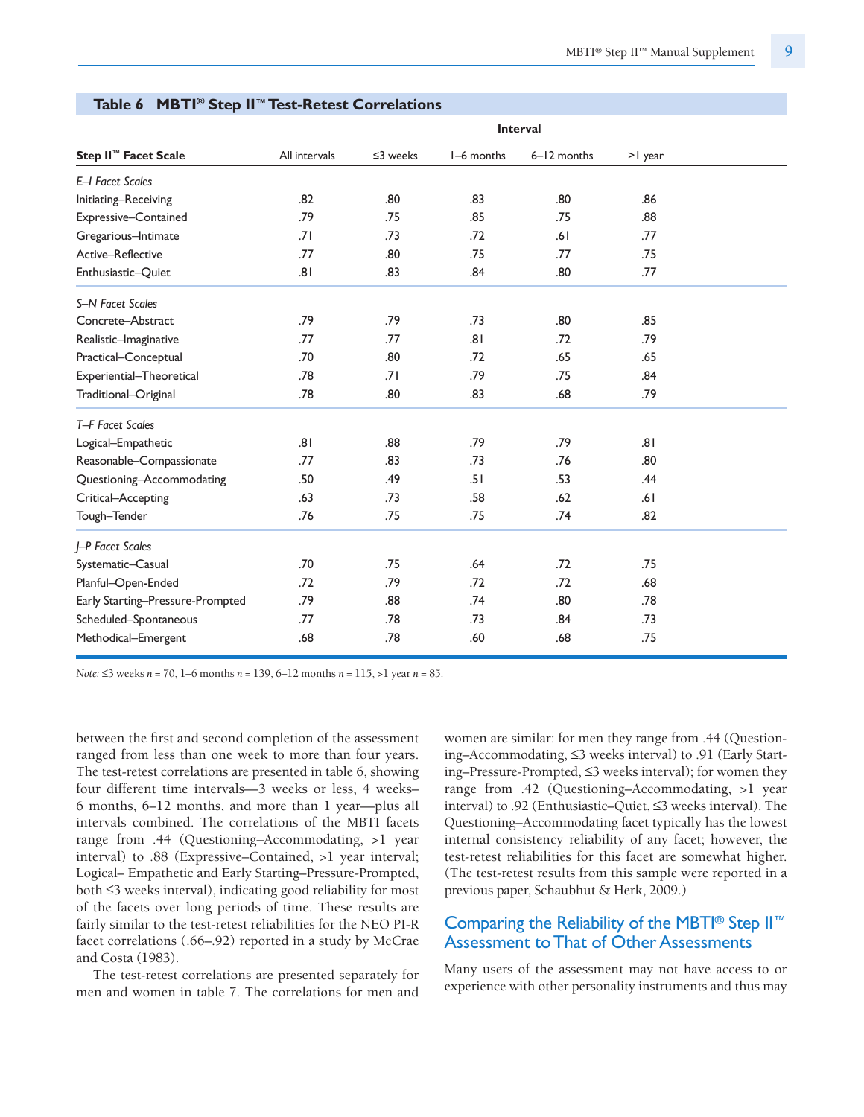|                                  |               |                |            | <b>Interval</b> |         |
|----------------------------------|---------------|----------------|------------|-----------------|---------|
| Step II <sup>™</sup> Facet Scale | All intervals | $\leq$ 3 weeks | I-6 months | 6-12 months     | >I year |
| E-I Facet Scales                 |               |                |            |                 |         |
| Initiating-Receiving             | .82           | .80            | .83        | .80             | .86     |
| Expressive-Contained             | .79           | .75            | .85        | .75             | .88     |
| Gregarious-Intimate              | .71           | .73            | .72        | .61             | .77     |
| Active-Reflective                | .77           | .80            | .75        | .77             | .75     |
| Enthusiastic-Quiet               | .81           | .83            | .84        | .80             | .77     |
| S-N Facet Scales                 |               |                |            |                 |         |
| Concrete-Abstract                | .79           | .79            | .73        | .80             | .85     |
| Realistic-Imaginative            | .77           | .77            | 8.         | .72             | .79     |
| Practical-Conceptual             | .70           | .80            | .72        | .65             | .65     |
| Experiential-Theoretical         | .78           | .71            | .79        | .75             | .84     |
| Traditional-Original             | .78           | .80            | .83        | .68             | .79     |
| T-F Facet Scales                 |               |                |            |                 |         |
| Logical-Empathetic               | .81           | .88            | .79        | .79             | .81     |
| Reasonable-Compassionate         | .77           | .83            | .73        | .76             | .80     |
| Questioning-Accommodating        | .50           | .49            | .51        | .53             | .44     |
| Critical-Accepting               | .63           | .73            | .58        | .62             | .61     |
| Tough-Tender                     | .76           | .75            | .75        | .74             | .82     |
| J-P Facet Scales                 |               |                |            |                 |         |
| Systematic-Casual                | .70           | .75            | .64        | .72             | .75     |
| Planful-Open-Ended               | .72           | .79            | .72        | .72             | .68     |
| Early Starting-Pressure-Prompted | .79           | .88            | .74        | .80             | .78     |
| Scheduled-Spontaneous            | .77           | .78            | .73        | .84             | .73     |
| Methodical-Emergent              | .68           | .78            | .60        | .68             | .75     |

#### **Table 6 MBTI ® Step II™Test-Retest Correlations**

*Note:* ≤3 weeks *n* = 70, 1–6 months *n* = 139, 6–12 months *n* = 115, >1 year *n* = 85.

between the first and second completion of the assessment ranged from less than one week to more than four years. The test-retest correlations are presented in table 6, showing four different time intervals—3 weeks or less, 4 weeks– 6 months, 6–12 months, and more than 1 year—plus all intervals combined. The correlations of the MBTI facets range from .44 (Questioning–Accommodating, >1 year interval) to .88 (Expressive–Contained, >1 year interval; Logical– Empathetic and Early Starting–Pressure-Prompted, both ≤3 weeks interval), indicating good reliability for most of the facets over long periods of time. These results are fairly similar to the test-retest reliabilities for the NEO PI-R facet correlations (.66–.92) reported in a study by McCrae and Costa (1983).

The test-retest correlations are presented separately for men and women in table 7. The correlations for men and

women are similar: for men they range from .44 (Questioning–Accommodating, ≤3 weeks interval) to .91 (Early Starting–Pressure-Prompted, ≤3 weeks interval); for women they range from .42 (Questioning–Accommodating, >1 year interval) to .92 (Enthusiastic–Quiet, ≤3 weeks interval). The Questioning–Accommodating facet typically has the lowest internal consistency reliability of any facet; however, the test-retest reliabilities for this facet are somewhat higher. (The test-retest results from this sample were reported in a previous paper, Schaubhut & Herk, 2009.)

## Comparing the Reliability of the MBTI<sup>®</sup> Step II<sup>™</sup> Assessment to That of Other Assessments

Many users of the assessment may not have access to or experience with other personality instruments and thus may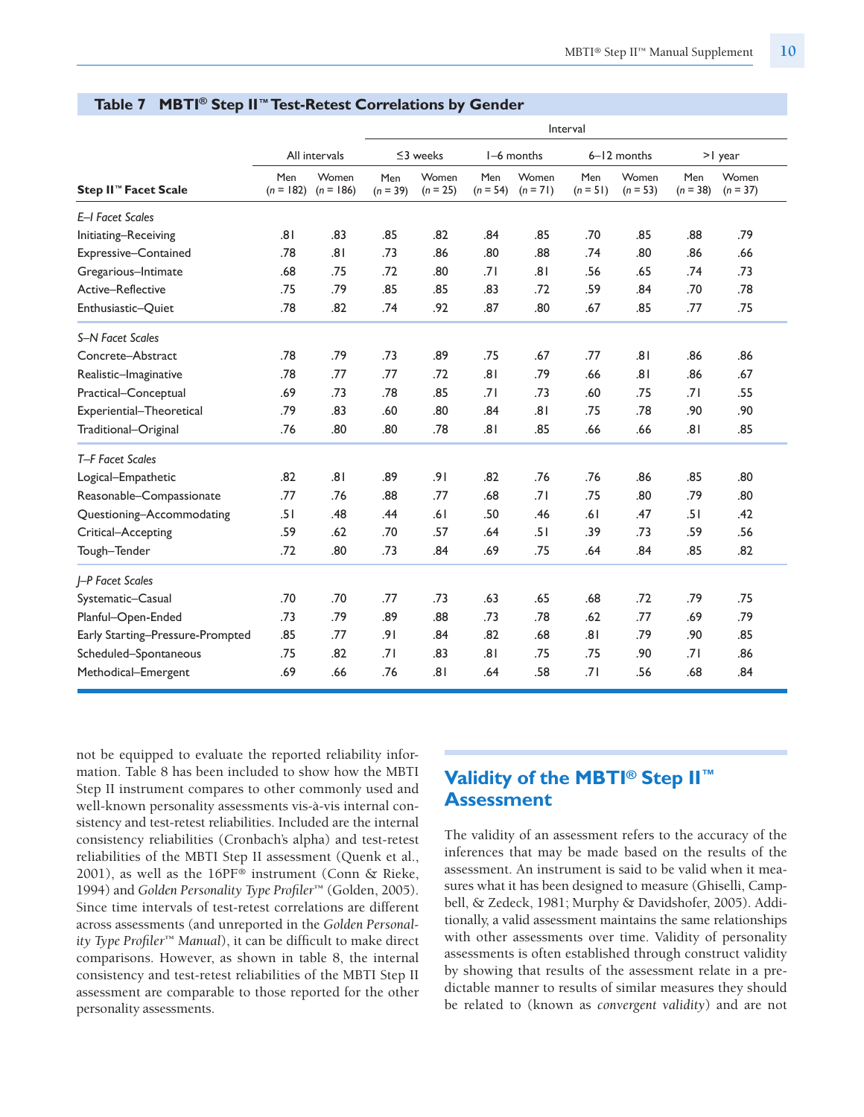|                                  |                    |                      |                   |                     |                   |                     | Interval          |                     |                   |                     |
|----------------------------------|--------------------|----------------------|-------------------|---------------------|-------------------|---------------------|-------------------|---------------------|-------------------|---------------------|
|                                  |                    | All intervals        |                   | $\leq$ 3 weeks      |                   | I-6 months          |                   | 6-12 months         |                   | $>1$ year           |
| Step II <sup>™</sup> Facet Scale | Men<br>$(n = 182)$ | Women<br>$(n = 186)$ | Men<br>$(n = 39)$ | Women<br>$(n = 25)$ | Men<br>$(n = 54)$ | Women<br>$(n = 71)$ | Men<br>$(n = 51)$ | Women<br>$(n = 53)$ | Men<br>$(n = 38)$ | Women<br>$(n = 37)$ |
| E-I Facet Scales                 |                    |                      |                   |                     |                   |                     |                   |                     |                   |                     |
| Initiating-Receiving             | ا8.                | .83                  | .85               | .82                 | .84               | .85                 | .70               | .85                 | .88               | .79                 |
| Expressive-Contained             | .78                | .81                  | .73               | .86                 | .80               | .88                 | .74               | .80                 | .86               | .66                 |
| Gregarious-Intimate              | .68                | .75                  | .72               | .80                 | .71               | .81                 | .56               | .65                 | .74               | .73                 |
| Active-Reflective                | .75                | .79                  | .85               | .85                 | .83               | .72                 | .59               | .84                 | .70               | .78                 |
| Enthusiastic-Quiet               | .78                | .82                  | .74               | .92                 | .87               | .80                 | .67               | .85                 | .77               | .75                 |
| S-N Facet Scales                 |                    |                      |                   |                     |                   |                     |                   |                     |                   |                     |
| Concrete-Abstract                | .78                | .79                  | .73               | .89                 | .75               | .67                 | .77               | .81                 | .86               | .86                 |
| Realistic-Imaginative            | .78                | .77                  | .77               | .72                 | .81               | .79                 | .66               | .81                 | .86               | .67                 |
| Practical-Conceptual             | .69                | .73                  | .78               | .85                 | .71               | .73                 | .60               | .75                 | .71               | .55                 |
| Experiential-Theoretical         | .79                | .83                  | .60               | .80                 | .84               | .81                 | .75               | .78                 | .90               | .90                 |
| Traditional-Original             | .76                | .80                  | .80               | .78                 | .81               | .85                 | .66               | .66                 | .81               | .85                 |
| T-F Facet Scales                 |                    |                      |                   |                     |                   |                     |                   |                     |                   |                     |
| Logical-Empathetic               | .82                | .81                  | .89               | .91                 | .82               | .76                 | .76               | .86                 | .85               | .80                 |
| Reasonable-Compassionate         | .77                | .76                  | .88               | .77                 | .68               | .71                 | .75               | .80                 | .79               | .80                 |
| Questioning-Accommodating        | .51                | .48                  | .44               | .61                 | .50               | .46                 | .61               | .47                 | .51               | .42                 |
| Critical-Accepting               | .59                | .62                  | .70               | .57                 | .64               | .51                 | .39               | .73                 | .59               | .56                 |
| Tough-Tender                     | .72                | .80                  | .73               | .84                 | .69               | .75                 | .64               | .84                 | .85               | .82                 |
| <b>J-P Facet Scales</b>          |                    |                      |                   |                     |                   |                     |                   |                     |                   |                     |
| Systematic-Casual                | .70                | .70                  | .77               | .73                 | .63               | .65                 | .68               | .72                 | .79               | .75                 |
| Planful-Open-Ended               | .73                | .79                  | .89               | .88                 | .73               | .78                 | .62               | .77                 | .69               | .79                 |
| Early Starting-Pressure-Prompted | .85                | .77                  | .91               | .84                 | .82               | .68                 | .81               | .79                 | .90               | .85                 |
| Scheduled-Spontaneous            | .75                | .82                  | .71               | .83                 | .81               | .75                 | .75               | .90                 | .71               | .86                 |
| Methodical-Emergent              | .69                | .66                  | .76               | 8.                  | .64               | .58                 | .71               | .56                 | .68               | .84                 |

#### **Table 7 MBTI ® Step II™Test-Retest Correlations by Gender**

not be equipped to evaluate the reported reliability information. Table 8 has been included to show how the MBTI Step II instrument compares to other commonly used and well-known personality assessments vis-à-vis internal consistency and test-retest reliabilities. Included are the internal consistency reliabilities (Cronbach's alpha) and test-retest reliabilities of the MBTI Step II assessment (Quenk et al., 2001), as well as the 16PF® instrument (Conn & Rieke, 1994) and *Golden Personality Type Profiler*™ (Golden, 2005). Since time intervals of test-retest correlations are different across assessments (and unreported in the *Golden Personality Type Profiler*™ *Manual*), it can be difficult to make direct comparisons. However, as shown in table 8, the internal consistency and test-retest reliabilities of the MBTI Step II assessment are comparable to those reported for the other personality assessments.

# **Validity of the MBTI® Step II ™ Assessment**

The validity of an assessment refers to the accuracy of the inferences that may be made based on the results of the assessment. An instrument is said to be valid when it measures what it has been designed to measure (Ghiselli, Campbell, & Zedeck, 1981; Murphy & Davidshofer, 2005). Additionally, a valid assessment maintains the same relationships with other assessments over time. Validity of personality assessments is often established through construct validity by showing that results of the assessment relate in a predictable manner to results of similar measures they should be related to (known as *convergent validity*) and are not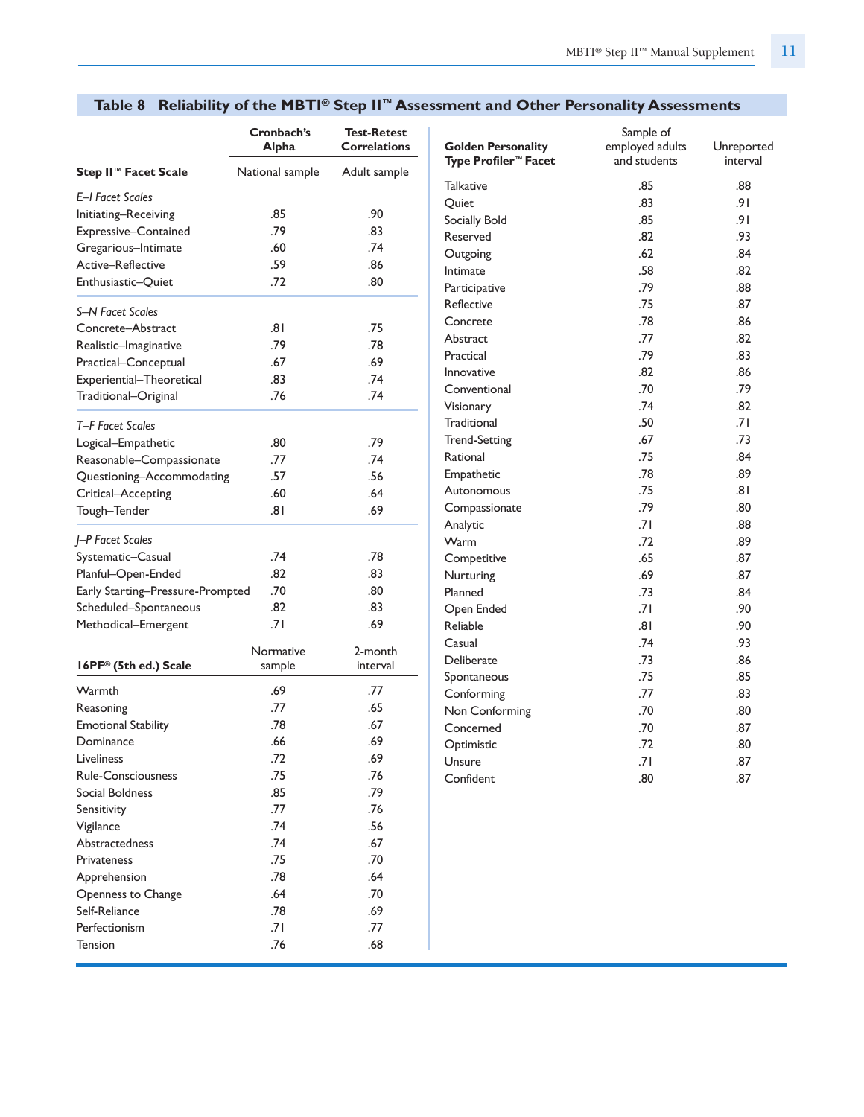|                                  | Cronbach's<br>Alpha | <b>Test-Retest</b><br><b>Correlations</b> |
|----------------------------------|---------------------|-------------------------------------------|
| Step II <sup>™</sup> Facet Scale | National sample     | Adult sample                              |
| E-I Facet Scales                 |                     |                                           |
| Initiating-Receiving             | .85                 | .90                                       |
| Expressive-Contained             | .79                 | .83                                       |
| Gregarious-Intimate              | .60                 | .74                                       |
| Active–Reflective                | .59                 | .86                                       |
| Enthusiastic-Quiet               | .72                 | .80                                       |
| S-N Facet Scales                 |                     |                                           |
| Concrete-Abstract                | ا8.                 | .75                                       |
| Realistic-Imaginative            | .79                 | .78                                       |
| Practical-Conceptual             | .67                 | .69                                       |
| Experiential-Theoretical         | .83                 | .74                                       |
| Traditional-Original             | .76                 | .74                                       |
| T-F Facet Scales                 |                     |                                           |
| Logical-Empathetic               | .80                 | .79                                       |
| Reasonable-Compassionate         | .77                 | .74                                       |
| Questioning-Accommodating        | .57                 | .56                                       |
| Critical-Accepting               | .60                 | .64                                       |
| Tough-Tender                     | ا 8.                | .69                                       |
| J-P Facet Scales                 |                     |                                           |
| Systematic-Casual                | .74                 | .78                                       |
| Planful-Open-Ended               | .82                 | .83                                       |
| Early Starting-Pressure-Prompted | .70                 | .80                                       |
| Scheduled-Spontaneous            | .82                 | .83                                       |
| Methodical-Emergent              | .71                 | .69                                       |
|                                  | Normative           | 2-month                                   |
| 16PF® (5th ed.) Scale            | sample              | interval                                  |
| Warmth                           | .69                 | .77                                       |
| Reasoning                        | .77                 | .65                                       |
| <b>Emotional Stability</b>       | .78                 | .67                                       |
| Dominance                        | .66                 | .69                                       |
| Liveliness                       | .72                 | .69                                       |
| <b>Rule-Consciousness</b>        | .75                 | .76                                       |
| Social Boldness                  | .85                 | .79                                       |
| Sensitivity                      | .77                 | .76                                       |
| Vigilance                        | .74                 | .56                                       |
| Abstractedness                   | .74                 | .67                                       |
| Privateness                      | .75                 | .70                                       |
| Apprehension                     | .78                 | .64                                       |
| Openness to Change               | .64                 | .70                                       |
| Self-Reliance                    | .78                 | .69                                       |
| Perfectionism                    | .71                 | .77                                       |
| <b>Tension</b>                   | .76                 | .68                                       |

# **Table 8 Reliability of the MBTI® Step II™ Assessment and Other Personality Assessments**

| <b>Golden Personality</b><br><b>Type Profiler™ Facet</b> | Sample of<br>employed adults<br>and students | Unreported<br>interval |
|----------------------------------------------------------|----------------------------------------------|------------------------|
| Talkative                                                | .85                                          | .88                    |
| Quiet                                                    | .83                                          | 9۱.                    |
| Socially Bold                                            | .85                                          | 9۱.                    |
| Reserved                                                 | .82                                          | .93                    |
| Outgoing                                                 | .62                                          | .84                    |
| Intimate                                                 | .58                                          | .82                    |
| Participative                                            | .79                                          | .88                    |
| Reflective                                               | .75                                          | .87                    |
| Concrete                                                 | .78                                          | .86                    |
| Abstract                                                 | .77                                          | .82                    |
| Practical                                                | .79                                          | .83                    |
| Innovative                                               | .82                                          | .86                    |
| Conventional                                             | .70                                          | .79                    |
| Visionary                                                | .74                                          | .82                    |
| <b>Traditional</b>                                       | .50                                          | .71                    |
| <b>Trend-Setting</b>                                     | .67                                          | .73                    |
| Rational                                                 | .75                                          | .84                    |
| Empathetic                                               | .78                                          | .89                    |
| Autonomous                                               | .75                                          | ا 8.                   |
| Compassionate                                            | .79                                          | .80                    |
| Analytic                                                 | .71                                          | .88                    |
| Warm                                                     | .72                                          | .89                    |
| Competitive                                              | .65                                          | .87                    |
| Nurturing                                                | .69                                          | .87                    |
| Planned                                                  | .73                                          | .84                    |
| Open Ended                                               | .71                                          | .90                    |
| Reliable                                                 | ا 8.                                         | .90                    |
| Casual                                                   | .74                                          | .93                    |
| Deliberate                                               | .73                                          | .86                    |
| Spontaneous                                              | .75                                          | .85                    |
| Conforming                                               | .77                                          | .83                    |
| Non Conforming                                           | .70                                          | .80                    |
| Concerned                                                | .70                                          | .87                    |
| Optimistic                                               | .72                                          | .80                    |
| Unsure                                                   | ا 7.                                         | .87                    |
| Confident                                                | .80                                          | .87                    |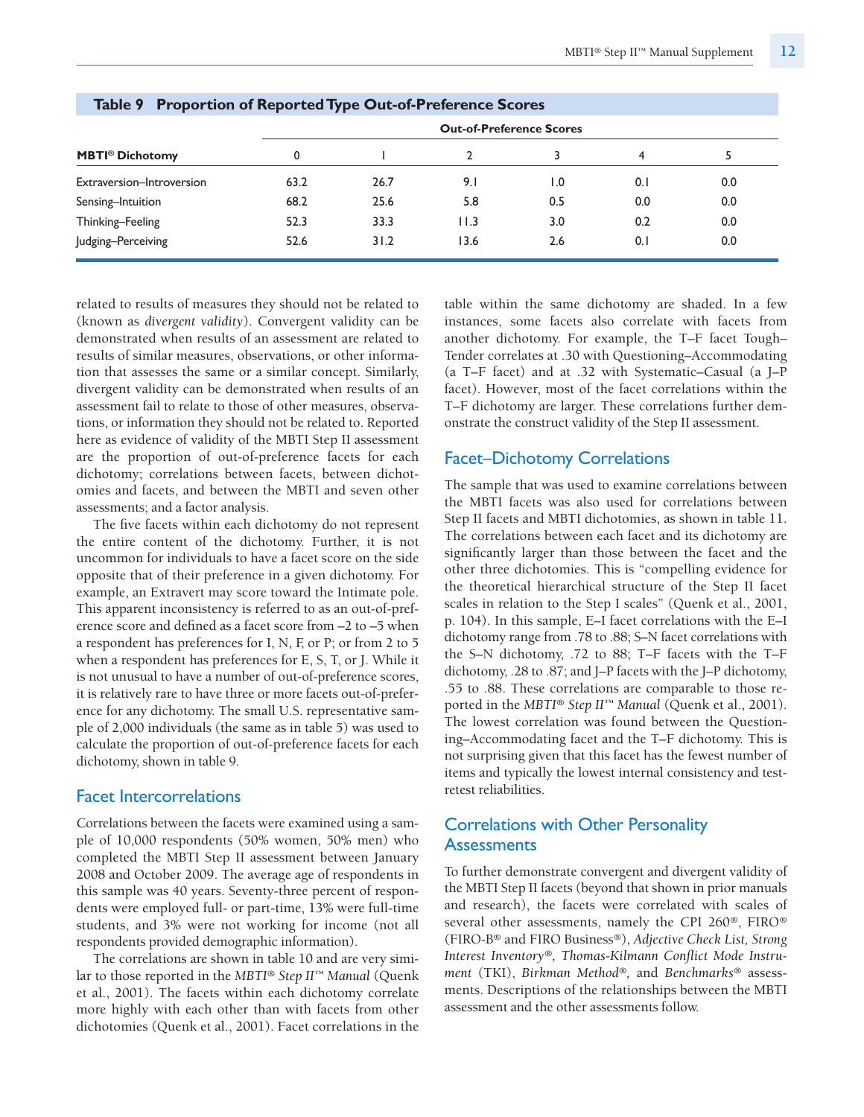|                                   |      |      | <b>Out-of-Preference Scores</b> |     |     |         |
|-----------------------------------|------|------|---------------------------------|-----|-----|---------|
| <b>MBTI<sup>®</sup></b> Dichotomy |      |      |                                 |     | 4   |         |
| Extraversion-Introversion         | 63.2 | 26.7 | 9.1                             | 1.0 | 0.1 | $0.0\,$ |
| Sensing-Intuition                 | 68.2 | 25.6 | 5.8                             | 0.5 | 0.0 | 0.0     |
| Thinking-Feeling                  | 52.3 | 33.3 | 11.3                            | 3.0 | 0.2 | 0.0     |
| Judging-Perceiving                | 52.6 | 31.2 | 13.6                            | 2.6 | 0.1 | 0.0     |

#### **Table 9 Proportion of ReportedType Out-of-Preference Scores**

related to results of measures they should not be related to (known as *divergent validity*). Convergent validity can be demonstrated when results of an assessment are related to results of similar measures, observations, or other information that assesses the same or a similar concept. Similarly, divergent validity can be demonstrated when results of an assessment fail to relate to those of other measures, observations, or information they should not be related to. Reported here as evidence of validity of the MBTI Step II assessment are the proportion of out-of-preference facets for each dichotomy; correlations between facets, between dichotomies and facets, and between the MBTI and seven other assessments; and a factor analysis.

The five facets within each dichotomy do not represent the entire content of the dichotomy. Further, it is not uncommon for individuals to have a facet score on the side opposite that of their preference in a given dichotomy. For example, an Extravert may score toward the Intimate pole. This apparent inconsistency is referred to as an out-of-preference score and defined as a facet score from –2 to –5 when a respondent has preferences for I, N, F, or P; or from 2 to 5 when a respondent has preferences for E, S, T, or J. While it is not unusual to have a number of out-of-preference scores, it is relatively rare to have three or more facets out-of-preference for any dichotomy. The small U.S. representative sample of 2,000 individuals (the same as in table 5) was used to calculate the proportion of out-of-preference facets for each dichotomy, shown in table 9.

#### Facet Intercorrelations

Correlations between the facets were examined using a sample of 10,000 respondents (50% women, 50% men) who completed the MBTI Step II assessment between January 2008 and October 2009. The average age of respondents in this sample was 40 years. Seventy-three percent of respondents were employed full- or part-time, 13% were full-time students, and 3% were not working for income (not all respondents provided demographic information).

The correlations are shown in table 10 and are very similar to those reported in the *MBTI® Step II™ Manual* (Quenk et al., 2001). The facets within each dichotomy correlate more highly with each other than with facets from other dichotomies (Quenk et al., 2001). Facet correlations in the table within the same dichotomy are shaded. In a few instances, some facets also correlate with facets from another dichotomy. For example, the T–F facet Tough– Tender correlates at .30 with Questioning–Accommodating (a T–F facet) and at .32 with Systematic–Casual (a J–P facet). However, most of the facet correlations within the T–F dichotomy are larger. These correlations further demonstrate the construct validity of the Step II assessment.

### Facet–Dichotomy Correlations

The sample that was used to examine correlations between the MBTI facets was also used for correlations between Step II facets and MBTI dichotomies, as shown in table 11. The correlations between each facet and its dichotomy are significantly larger than those between the facet and the other three dichotomies. This is "compelling evidence for the theoretical hierarchical structure of the Step II facet scales in relation to the Step I scales" (Quenk et al., 2001, p. 104). In this sample, E–I facet correlations with the E–I dichotomy range from .78 to .88; S–N facet correlations with the S–N dichotomy, .72 to 88; T–F facets with the T–F dichotomy, .28 to .87; and J–P facets with the J–P dichotomy, .55 to .88. These correlations are comparable to those reported in the *MBTI® Step II™ Manual* (Quenk et al., 2001). The lowest correlation was found between the Questioning–Accommodating facet and the T–F dichotomy. This is not surprising given that this facet has the fewest number of items and typically the lowest internal consistency and testretest reliabilities.

# Correlations with Other Personality **Assessments**

To further demonstrate convergent and divergent validity of the MBTI Step II facets (beyond that shown in prior manuals and research), the facets were correlated with scales of several other assessments, namely the CPI 260®, FIRO® (FIRO-B® and FIRO Business®), *Adjective Check List, Strong Interest Inventory®, Thomas-Kilmann Conflict Mode Instrument* (TKI), *Birkman Method®,* and *Benchmarks®* assessments. Descriptions of the relationships between the MBTI assessment and the other assessments follow.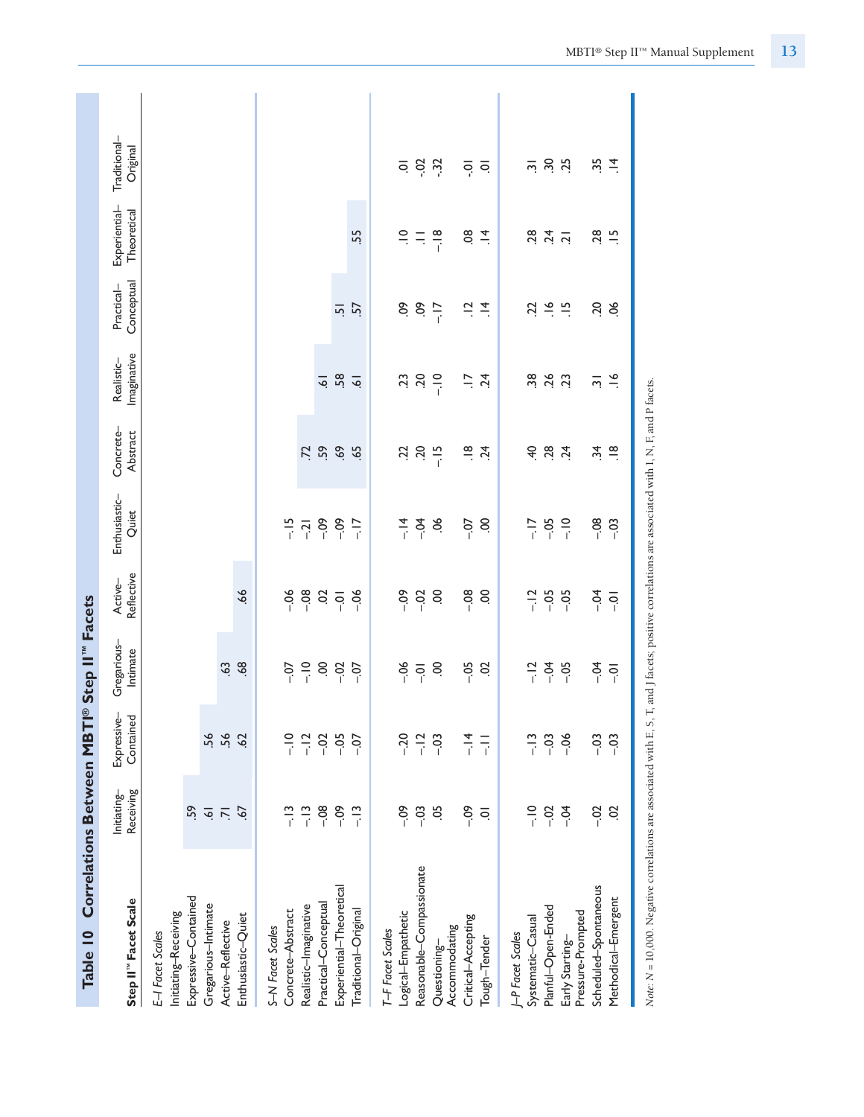| <b>Correlations Between MBT</b><br>Table 10                                                                                                         |                          | $^{\circ}$               | Step II" Facets         |                       |                                                                                      |                        |                           |                          |                              |                          |
|-----------------------------------------------------------------------------------------------------------------------------------------------------|--------------------------|--------------------------|-------------------------|-----------------------|--------------------------------------------------------------------------------------|------------------------|---------------------------|--------------------------|------------------------------|--------------------------|
| Step II" Facet Scale                                                                                                                                | Receiving<br>Initiating- | Expressive-<br>Contained | Gregarious-<br>Intimate | Reflective<br>Active- | Enthusiastic-<br>Quiet                                                               | Concrete-<br>Abstract  | Imaginative<br>Realistic- | Conceptual<br>Practical- | Experiential-<br>Theoretical | Traditional-<br>Original |
| Initiating-Receiving<br>E-I Facet Scales                                                                                                            |                          |                          |                         |                       |                                                                                      |                        |                           |                          |                              |                          |
| Expressive-Contained                                                                                                                                | S,                       |                          |                         |                       |                                                                                      |                        |                           |                          |                              |                          |
| Gregarious-Intimate                                                                                                                                 | $\overline{\bullet}$     | 56                       |                         |                       |                                                                                      |                        |                           |                          |                              |                          |
| Active-Reflective                                                                                                                                   | $\overline{2}$           | 56                       | $\ddot{3}$              |                       |                                                                                      |                        |                           |                          |                              |                          |
| Enthusiastic-Quiet                                                                                                                                  | 67                       | $\overline{62}$          | 68                      | 66                    |                                                                                      |                        |                           |                          |                              |                          |
| S-N Facet Scales                                                                                                                                    |                          |                          |                         |                       |                                                                                      |                        |                           |                          |                              |                          |
| Concrete-Abstract                                                                                                                                   | $\frac{1}{1}$            | $\frac{1}{i}$            | $-0$                    | $-06$                 |                                                                                      |                        |                           |                          |                              |                          |
| Realistic-Imaginative                                                                                                                               | $-13$                    | $-12$                    | $-10$                   | $-08$                 | $\frac{15}{1}$ $\frac{1}{2}$ $\frac{3}{1}$ $\frac{8}{1}$ $\frac{8}{1}$ $\frac{1}{1}$ | $\ddot{z}$             |                           |                          |                              |                          |
| Practical-Conceptual                                                                                                                                | $-08$                    | $-0.02$                  | $\ddot{\mathrm{o}}$     | $\ddot{\mathrm{o}}$   |                                                                                      | 59                     | $\overline{6}$            |                          |                              |                          |
| Experiential-Theoretical                                                                                                                            | $-0.09$                  | $-0.5$                   | $-0.02$                 | $\overline{S}$        |                                                                                      | 69                     | 58                        | $\overline{5}$           |                              |                          |
| Traditional-Original                                                                                                                                | $-13$                    | $-0$                     | $-0$                    | $-06$                 |                                                                                      | $\overline{5}$         | $\overline{6}$            | 57                       | 55.                          |                          |
| T-F Facet Scales                                                                                                                                    |                          |                          |                         |                       |                                                                                      |                        |                           |                          |                              |                          |
| Logical-Empathetic                                                                                                                                  | °°<br>⊳                  | $-20$                    | $-06$                   | $-0$                  |                                                                                      | 22                     | 53                        | S.                       | $\frac{1}{2}$                | $\overline{\circ}$       |
| Reasonable-Compassionate                                                                                                                            | $-03$                    | $-12$                    | $\overline{0}$ .        | $-02$                 | $-14$                                                                                | 50                     | ΟČ.                       | $\ddot{\circ}$           | $\equiv$                     | $-0.2$                   |
| Accommodating<br>Questioning-                                                                                                                       | 5Ö                       | $-03$                    | S                       | S                     | ð.                                                                                   | $-15$                  | $\frac{1}{1}$             | $-17$                    | $-18$                        | $\ddot{3}$               |
| Critical-Accepting                                                                                                                                  | $-0.9$                   | $-14$                    | $-0.5$                  | $-08$                 | $-0$                                                                                 | $\frac{8}{1}$          | $\overline{a}$            | $\Xi$                    | $\overline{8}$               | ៑                        |
| Tough-Tender                                                                                                                                        | $\overline{\circ}$       | $\frac{1}{1}$            | S                       | S                     | S                                                                                    | .24                    | 24                        | $\frac{4}{1}$            | $\vec{=}$                    | $\overline{\circ}$       |
| J-P Facet Scales                                                                                                                                    |                          |                          |                         |                       |                                                                                      |                        |                           |                          |                              |                          |
| Systematic-Casual                                                                                                                                   | $\frac{1}{i}$            | $\frac{1}{1}$            | $-12$                   | $-12$                 | $\frac{7}{1}$                                                                        | $rac{4}{5}$            | $\ddot{38}$               | ZŻ.                      | 28                           | $\overline{2}$           |
| Planful-Open-Ended                                                                                                                                  | $-0.2$                   | $-03$                    | $-0.4$                  | $-0.5$                | $-0.5$                                                                               | 28                     | 26                        | $rac{6}{2}$ $rac{15}{2}$ | 24                           | 30 25                    |
| Pressure-Prompted<br>Early Starting-                                                                                                                | $-5$                     | $-06$                    | $-0.5$                  | $-0.5$                | $rac{1}{\sqrt{2}}$                                                                   | $\overline{24}$        | $\overline{c}$            |                          | $\overline{a}$               |                          |
| Scheduled-Spontaneous                                                                                                                               | $-02$                    | $-03$                    | $-5$                    | $-0$                  | $-08$                                                                                | $\ddot{ }$             | $\overline{m}$            | 50                       | 28                           | 35                       |
| Methodical-Emergent                                                                                                                                 | S                        | $-03$                    | $\overline{Q}$          | $\overline{Q}$        | $-03$                                                                                | $\frac{\infty}{\cdot}$ | $\leq$                    | 8                        | $\frac{10}{10}$              | $\vec{4}$                |
| Note: N = 10,000. Negative correlations are associated with E, S, T, and J facets; positive correlations are associated with I, N, F, and P facets. |                          |                          |                         |                       |                                                                                      |                        |                           |                          |                              |                          |

MBTI® Step II™ Manual Supplement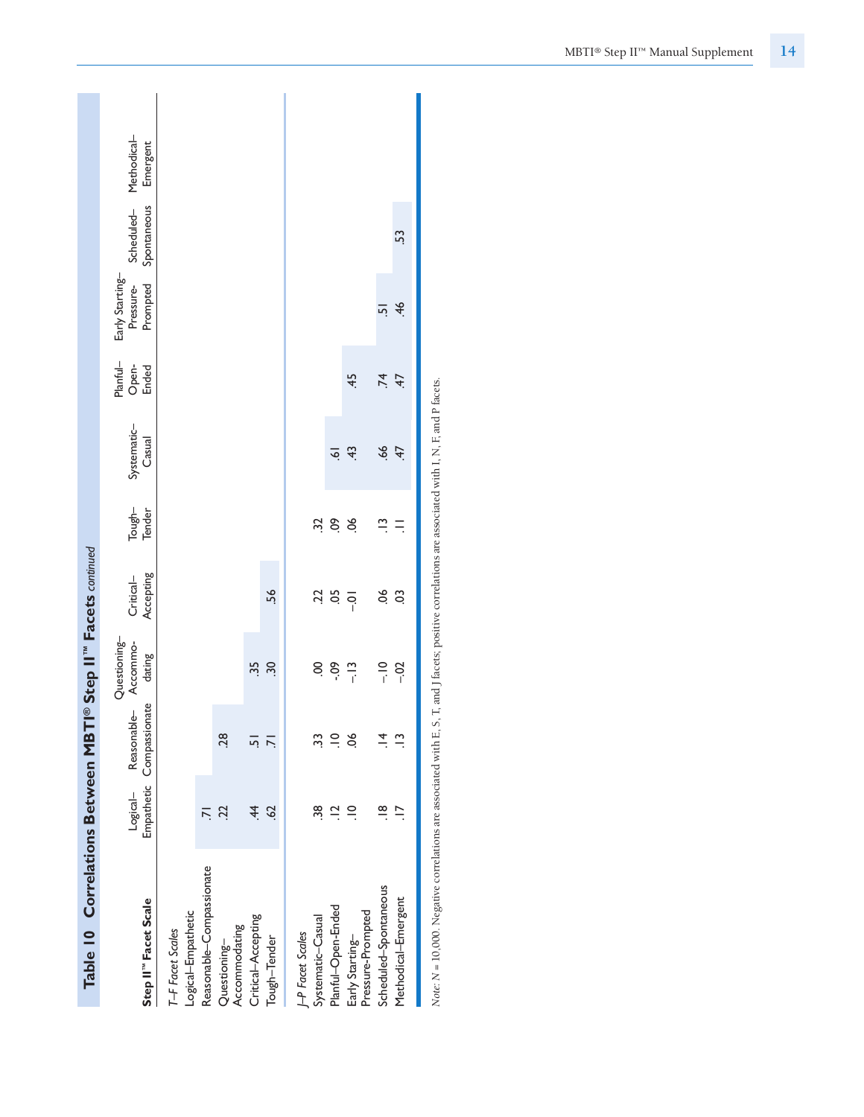Methodical-Logical– Reasonable– Accommo- Critical– Tough– Systematic– Open- Pressure- Scheduled– Methodical– Emergent **Step II™ Facet Scale** Empathetic Compassionate dating Accepting Tender Casual Ended Prompted Spontaneous Emergent Scheduled-<br>Spontaneous  $53$ Methodical–Emergent .17 .13 –.02 .03 .11 .47 .47 .46 .53 Early Starting-Questioning– Planful– Early Starting– Prompted Pressure- $-51$ Scheduled–Spontaneous .18 .14 –.10 .06 .13 .66 .74 .51 Planful-Open-<br>Ended  $45$  $74$ Early Starting– .10 .06 –.13 –.01 .06 .43 .45 Systematic-<br>Casual  $\frac{1}{9}$   $\frac{4}{3}$  $47$ Planful–Open-Ended .12 .10 -.09 .05 .09 .61 Tough-<br>Tender  $\ddot{a}$ ,  $\ddot{b}$ ,  $\ddot{c}$ ,  $\ddot{c}$  $\tilde{=}$   $\tilde{=}$  $S<sub>2</sub>$ Systematic–Casual .32 .32 .32 .32 .32 Table 10 Correlations Between MBTI® Step II" Facets continued **Table 10 Correlations Between MBTI® Step II™ Facets** *continued* Accepting Critical- $56$  $-25$  $88$ Tough–Tender .62 .71 .30 .56 Questioning-<br>Accommodating  $\begin{array}{c}\n 3.0 \\
 3.0\n \end{array}$  $80.00$  $\frac{1}{2}$  $-10$ <br> $-10$ Critical–Accepting .44 .51 .35 Compassionate Reasonable 28  $\ddot{a}$   $\ddot{a}$   $\ddot{a}$  $\frac{4}{4}$   $\frac{1}{2}$ Questioning–  $28$  $\overline{5}$   $\overline{7}$ Logical-<br>Empathetic  $\frac{20}{11}$   $\frac{21}{11}$   $\frac{21}{11}$  $\frac{\infty}{\cdot}$   $\frac{\sim}{\cdot}$  $\frac{1}{2}$  $4.3$ Reasonable–Compassionate .71 Reasonable-Compassionate Scheduled-Spontaneous Methodical-Emergent Step II<sup>"</sup> Facet Scale Planful-Open-Ended Early Starting–<br>Pressure-Prompted Logical-Empathetic Pressure-Prompted Logical–Empathetic Critical-Accepting Systematic-Casual Questioning-<br>Accommodating T-F Facet Scales Accommodating **P** Facet Scales *T–F Facet Scales* Tough-Tender *J–P Facet Scales*

Note: N = 10,000. Negative correlations are associated with E, S, T, and J facets; positive correlations are associated with I, N, F, and P facets. *Note: N* = 10,000. Negative correlations are associated with E, S, T, and J facets; positive correlations are associated with I, N, F, and P facets*.*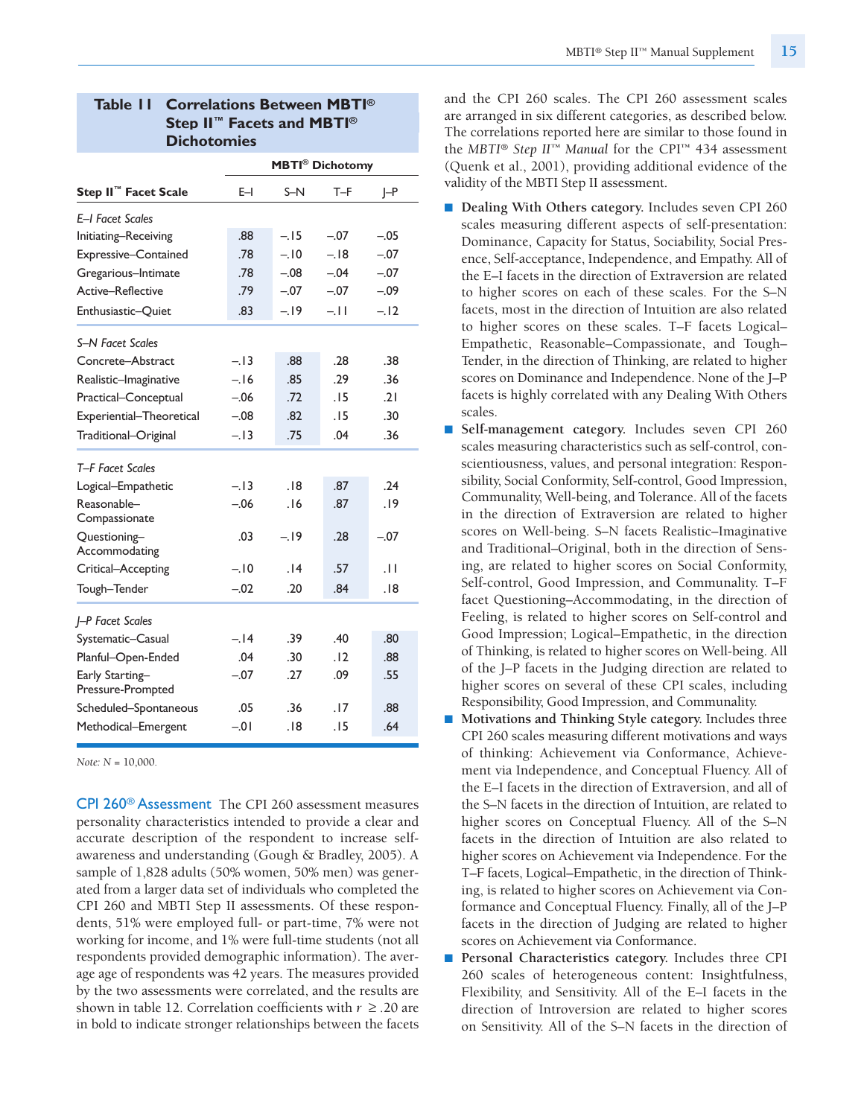| <b>Table II Correlations Between MBTI®</b>        |
|---------------------------------------------------|
| Step II <sup>™</sup> Facets and MBTI <sup>®</sup> |
| <b>Dichotomies</b>                                |

|                                      |         |        | <b>MBTI®</b> Dichotomy |            |
|--------------------------------------|---------|--------|------------------------|------------|
| Step II <sup>™</sup> Facet Scale     | E-I     | $S-N$  | T-F                    | $\vdash$ P |
| E-I Facet Scales                     |         |        |                        |            |
| Initiating-Receiving                 | .88     | $-.15$ | $-.07$                 | $-.05$     |
| Expressive-Contained                 | .78     | $-.10$ | $-.18$                 | $-.07$     |
| Gregarious-Intimate                  | .78     | $-.08$ | $-.04$                 | $-.07$     |
| Active-Reflective                    | .79     | $-.07$ | $-.07$                 | $-.09$     |
| Enthusiastic-Quiet                   | .83     | $-.19$ | $-11$                  | $-.12$     |
| <b>S-N Facet Scales</b>              |         |        |                        |            |
| Concrete-Abstract                    | $-.13$  | .88    | .28                    | .38        |
| Realistic-Imaginative                | $-.16$  | .85    | .29                    | .36        |
| Practical-Conceptual                 | $-.06$  | .72    | .15                    | .21        |
| Experiential-Theoretical             | $-.08$  | .82    | .15                    | .30        |
| Traditional-Original                 | $-.13$  | .75    | .04                    | .36        |
| T-F Facet Scales                     |         |        |                        |            |
| Logical-Empathetic                   | $-.13$  | .18    | .87                    | .24        |
| Reasonable-<br>Compassionate         | $-.06$  | .16    | .87                    | .19        |
| Questioning-<br>Accommodating        | .03     | $-19$  | .28                    | $-.07$     |
| Critical-Accepting                   | $-.10$  | 14.    | .57                    | .11        |
| Tough-Tender                         | $-.02$  | .20    | .84                    | .18        |
| <b>J-P Facet Scales</b>              |         |        |                        |            |
| Systematic-Casual                    | $-.14$  | .39    | .40                    | .80        |
| Planful-Open-Ended                   | .04     | .30    | .12                    | .88        |
| Early Starting-<br>Pressure-Prompted | $-.07$  | .27    | .09                    | .55        |
| Scheduled-Spontaneous                | .05     | .36    | .17                    | .88        |
| Methodical-Emergent                  | $-0.01$ | .18    | .15                    | .64        |

*Note: N* = 10,000.

CPI 260® Assessment The CPI 260 assessment measures personality characteristics intended to provide a clear and accurate description of the respondent to increase selfawareness and understanding (Gough & Bradley, 2005). A sample of 1,828 adults (50% women, 50% men) was generated from a larger data set of individuals who completed the CPI 260 and MBTI Step II assessments. Of these respondents, 51% were employed full- or part-time, 7% were not working for income, and 1% were full-time students (not all respondents provided demographic information). The average age of respondents was 42 years. The measures provided by the two assessments were correlated, and the results are shown in table 12. Correlation coefficients with  $r \geq 0.20$  are in bold to indicate stronger relationships between the facets

and the CPI 260 scales. The CPI 260 assessment scales are arranged in six different categories, as described below. The correlations reported here are similar to those found in the *MBTI® Step II™ Manual* for the CPI™ 434 assessment (Quenk et al., 2001), providing additional evidence of the validity of the MBTI Step II assessment.

- **Dealing With Others category.** Includes seven CPI 260 scales measuring different aspects of self-presentation: Dominance, Capacity for Status, Sociability, Social Presence, Self-acceptance, Independence, and Empathy. All of the E–I facets in the direction of Extraversion are related to higher scores on each of these scales. For the S–N facets, most in the direction of Intuition are also related to higher scores on these scales. T–F facets Logical– Empathetic, Reasonable–Compassionate, and Tough– Tender, in the direction of Thinking, are related to higher scores on Dominance and Independence. None of the J–P facets is highly correlated with any Dealing With Others scales.
- **Self-management category.** Includes seven CPI 260 scales measuring characteristics such as self-control, conscientiousness, values, and personal integration: Responsibility, Social Conformity, Self-control, Good Impression, Communality, Well-being, and Tolerance. All of the facets in the direction of Extraversion are related to higher scores on Well-being. S–N facets Realistic–Imaginative and Traditional–Original, both in the direction of Sensing, are related to higher scores on Social Conformity, Self-control, Good Impression, and Communality. T–F facet Questioning–Accommodating, in the direction of Feeling, is related to higher scores on Self-control and Good Impression; Logical–Empathetic, in the direction of Thinking, is related to higher scores on Well-being. All of the J–P facets in the Judging direction are related to higher scores on several of these CPI scales, including Responsibility, Good Impression, and Communality.
- **Motivations** and **Thinking Style** category. Includes three CPI 260 scales measuring different motivations and ways of thinking: Achievement via Conformance, Achievement via Independence, and Conceptual Fluency. All of the E–I facets in the direction of Extraversion, and all of the S–N facets in the direction of Intuition, are related to higher scores on Conceptual Fluency. All of the S–N facets in the direction of Intuition are also related to higher scores on Achievement via Independence. For the T–F facets, Logical–Empathetic, in the direction of Thinking, is related to higher scores on Achievement via Conformance and Conceptual Fluency. Finally, all of the J–P facets in the direction of Judging are related to higher scores on Achievement via Conformance.
- **Personal Characteristics category.** Includes three CPI 260 scales of heterogeneous content: Insightfulness, Flexibility, and Sensitivity. All of the E–I facets in the direction of Introversion are related to higher scores on Sensitivity. All of the S–N facets in the direction of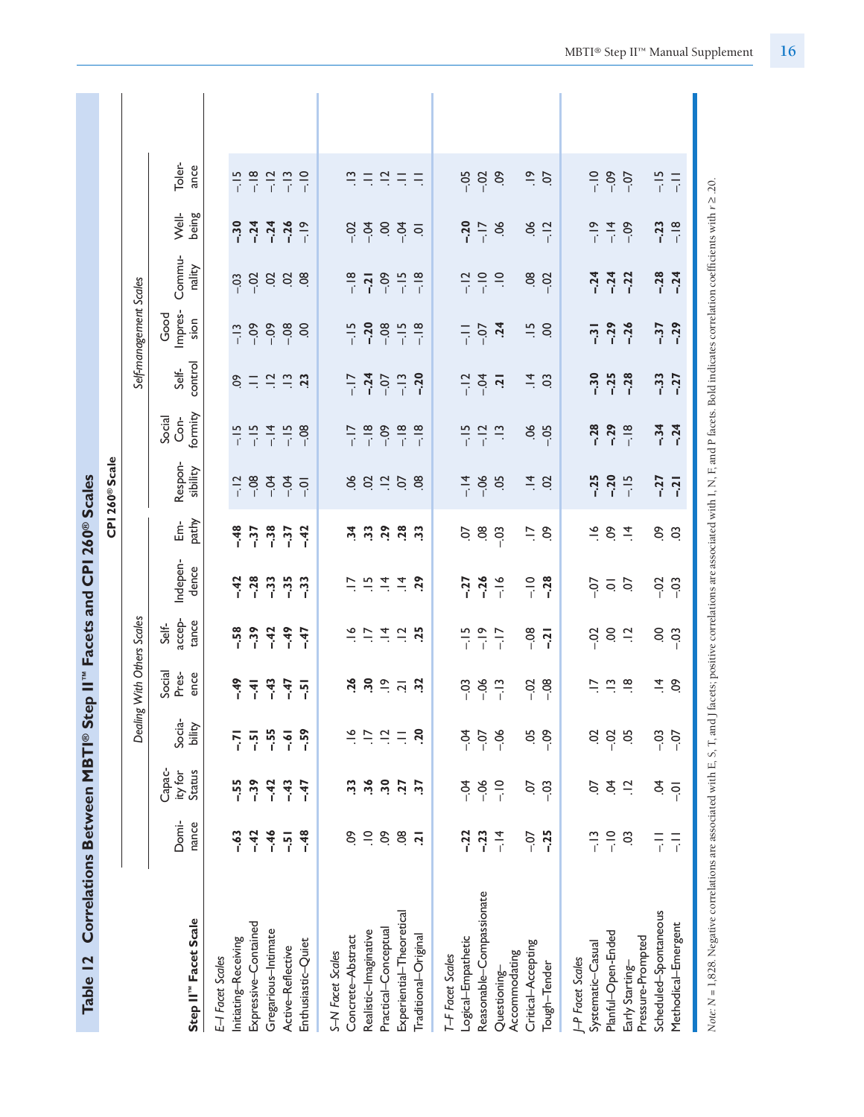| Correlations Between MBTI® Step II" Facets and CPI 260® Scales<br>Table 12                                                                                                                  |                |                             |                  |                                           |                                                                 |                      |                      |                                           |                             |                                 |                         |                         |                        |                      |  |
|---------------------------------------------------------------------------------------------------------------------------------------------------------------------------------------------|----------------|-----------------------------|------------------|-------------------------------------------|-----------------------------------------------------------------|----------------------|----------------------|-------------------------------------------|-----------------------------|---------------------------------|-------------------------|-------------------------|------------------------|----------------------|--|
|                                                                                                                                                                                             |                |                             |                  |                                           |                                                                 |                      |                      | CPI 260 <sup>®</sup> Scale                |                             |                                 |                         |                         |                        |                      |  |
|                                                                                                                                                                                             |                |                             |                  | Dealing With Others Scales                |                                                                 |                      |                      |                                           |                             |                                 | Self-management Scales  |                         |                        |                      |  |
| Step II <sup>"</sup> Facet Scale                                                                                                                                                            | Domi-<br>nance | Capac-<br>Status<br>ity for | Socia-<br>bility | Social<br>ence<br>Pres-                   | accep-<br>tance<br>Self-                                        | Indepen-<br>dence    | pathy<br>밑           | Respon-<br>sibility                       | formity<br>Social<br>Con-   | control<br>Self-                | Impres-<br>Good<br>sion | Commu-<br>nality        | Well-<br>being         | Toler-<br>ance       |  |
| E-I Facet Scales                                                                                                                                                                            |                |                             |                  |                                           |                                                                 |                      |                      |                                           |                             |                                 |                         |                         |                        |                      |  |
| Initiating-Receiving                                                                                                                                                                        | $-63$          | $-55$                       | -7<br>-          | $-49$                                     | $-58$                                                           | $-42$                | $-48$                |                                           | $-15$                       | SO.                             | $-13$                   | $-03$                   | $-30$                  | $-15$                |  |
| Expressive-Contained                                                                                                                                                                        | $-42$          | $-39$                       | $-5$             | $\frac{1}{2}$                             | $-39$                                                           | $-0.28$              | $-37$                | $-12$<br>$-0.8$                           | $-15$                       |                                 | $-0.9$                  | $-02$                   | $-24$                  | $-18$                |  |
| Gregarious-Intimate                                                                                                                                                                         | $-46$          | $-42$                       | $-55$            | $-43$                                     | $-42$                                                           | $-33$                | $-38$                | $-0.4$                                    | $-14$                       | $=$ $\frac{1}{2}$ $\frac{1}{2}$ | $-0.9$                  |                         |                        | $-12$                |  |
| Active-Reflective                                                                                                                                                                           | $\overline{5}$ | $-43$                       | $-61$            | $-47$                                     | $-49$                                                           | $-35$                | $-37$                | $-0.4$                                    | $-15$                       |                                 | $-08$                   | 9.88                    | $-24$<br>$-26$         | $-13$                |  |
| Enthusiastic-Quiet                                                                                                                                                                          | $-48$          | $-47$                       | $-59$            | $\overline{5}$                            | $-47$                                                           | $-33$                | $-42$                | $\overline{Q}$                            | $-08$                       | $\overline{23}$                 | S.                      |                         | $-19$                  | $-10$                |  |
| S-N Facet Scales                                                                                                                                                                            |                |                             |                  |                                           |                                                                 |                      |                      |                                           |                             |                                 |                         |                         |                        |                      |  |
| Concrete-Abstract                                                                                                                                                                           | δò             | 33                          | $\tilde{\xi}$    | 26                                        |                                                                 | $\overline{z}$       | $\frac{4}{3}$        |                                           | $\frac{8}{1} - \frac{1}{1}$ |                                 | $-15$<br>$-20$          |                         | $-02$                  | $\Xi$                |  |
| Realistic-Imaginative                                                                                                                                                                       | $\supseteq$    | 36                          | $\ddot{=}$       |                                           |                                                                 | $\vec{r}$ $\vec{r}$  | 33                   | 882.                                      |                             | $-17$<br>$-24$                  |                         | $-18$<br>$-21$          | $-04$                  | $\equiv$             |  |
| Practical-Conceptual                                                                                                                                                                        | δò             | $\ddot{.}$                  | $\ddot{a}$       | $\frac{5}{2}$ $\frac{5}{2}$ $\frac{1}{2}$ | $\frac{16}{12}$ $\frac{16}{12}$ $\frac{16}{12}$ $\frac{16}{12}$ |                      | 50                   |                                           | $-0.09$                     | $-0$                            | $-08$                   | $-0.9$                  |                        | $\frac{1}{2}$        |  |
| Experiential-Theoretical                                                                                                                                                                    | $\overline{0}$ | 77                          | $\equiv$         |                                           |                                                                 | $\vec{=}$            | 28                   | 5C                                        | $\frac{8}{1}$ $\frac{1}{1}$ | $-13$                           | $-15$<br>$-18$          | $-18$                   | $rac{5}{6}$            | Ξ                    |  |
| Traditional-Original                                                                                                                                                                        | $\overline{5}$ | $\overline{5}$              | ΟŠ.              | $\ddot{3}$                                | $\ddot{5}$                                                      | $\overline{5}$       | $\ddot{3}$           | $\overline{8}$                            |                             | $-20$                           |                         |                         | $\overline{Q}$         | $\equiv$             |  |
| T-F Facet Scales                                                                                                                                                                            |                |                             |                  |                                           |                                                                 |                      |                      |                                           |                             |                                 |                         |                         |                        |                      |  |
| Logical-Empathetic                                                                                                                                                                          | $-22$          | $-0.4$                      | $-0.4$           | $-03$                                     | $-15$                                                           | $-27$                | S.                   |                                           | $-15$                       | $-12$                           | 目示                      | $-12$                   | $-20$                  |                      |  |
| Reasonable-Compassionate                                                                                                                                                                    | $-23$          | $-06$                       | $-0$             | $-06$                                     | $-\frac{9}{1}$                                                  | $-26$                | $80 - 3$             | $\frac{4}{4}$ $\frac{6}{6}$ $\frac{6}{1}$ | $-12$                       | $-34$                           | $-07$<br>$-24$          | $\frac{1}{2}$           | $-17$                  | 588                  |  |
| Questioning-                                                                                                                                                                                | $-14$          | $\frac{1}{1}$               | $-06$            | $-13$                                     | $-17$                                                           | $-16$                |                      |                                           | $\frac{1}{2}$               |                                 |                         | $\equiv$                | $\sim$                 |                      |  |
| Accommodating                                                                                                                                                                               |                |                             |                  |                                           |                                                                 |                      |                      |                                           |                             |                                 |                         |                         |                        |                      |  |
| Critical-Accepting<br>Tough-Tender                                                                                                                                                          | $-25$<br>$-0$  | $-03$<br>S                  | 5c<br>$-0.9$     | $-08$<br>$-0.02$                          | $-08$<br>$-21$                                                  | $rac{1}{i}$<br>$-28$ | $\overline{a}$<br>So | $\vec{=}$<br>$\overline{c}$               | 56<br>$-05$                 | $\vec{=}$<br>$\overline{c}$     | $\ddot{ }$<br>S.        | $\overline{0}$<br>$-02$ | $\mathcal{S}$<br>$-12$ | $\frac{9}{1}$<br>CO. |  |
|                                                                                                                                                                                             |                |                             |                  |                                           |                                                                 |                      |                      |                                           |                             |                                 |                         |                         |                        |                      |  |
| J-P Facet Scales                                                                                                                                                                            |                |                             |                  |                                           |                                                                 |                      |                      |                                           |                             |                                 |                         |                         |                        |                      |  |
| Systematic-Casual                                                                                                                                                                           | $-13$          | Ş                           | S                | Ξ                                         | $-0.2$                                                          | $-0$                 | $\frac{8}{1}$        | $-25$                                     | $-28$                       | $-30$                           | $-31$                   | $-24$                   | $-19$                  | $\frac{1}{1}$        |  |
| Planful-Open-Ended                                                                                                                                                                          | $-10$          | Ş                           | $-0.2$           | $\frac{1}{2}$                             | S.                                                              | $\frac{1}{2}$        | So                   | $-20$                                     | $-29$                       | $-25$                           | $-29$                   |                         | $-14$<br>$-19$         | $-0.09$              |  |
| Early Starting-                                                                                                                                                                             | S              | $\frac{1}{2}$               | 5g               | $\frac{\infty}{\cdot}$                    | $\frac{1}{2}$                                                   |                      | $\vec{=}$            | $-15$                                     | $-18$                       | $-28$                           | $-26$                   | $-24$<br>$-22$          |                        | $-0$                 |  |
| Scheduled-Spontaneous<br>Pressure-Prompted                                                                                                                                                  | $\frac{1}{i}$  | \$.                         | $-0.3$           | $\vec{a}$                                 |                                                                 | $-0.02$              | 6o                   | $-27$                                     | $-34$                       | $-33$                           | $-37$                   | $-0.28$                 | $-23$                  | $-15$                |  |
| Methodical-Emergent                                                                                                                                                                         | $\frac{1}{i}$  | $\overline{Q}$              | $-0-$            | S.                                        | $rac{6}{100}$                                                   | $-03$                | $\ddot{\rm o}$       | $-21$                                     | $-24$                       | $-27$                           | $-29$                   | $-24$                   | $-18$                  | $\frac{1}{1}$        |  |
|                                                                                                                                                                                             |                |                             |                  |                                           |                                                                 |                      |                      |                                           |                             |                                 |                         |                         |                        |                      |  |
| Note: N=1828 Negative correlations are associated with F S T and 1 facets: positive correlations are associated with IN F and P facets: Rold indicates correlation coefficients with r > 20 |                |                             |                  |                                           |                                                                 |                      |                      |                                           |                             |                                 |                         |                         |                        |                      |  |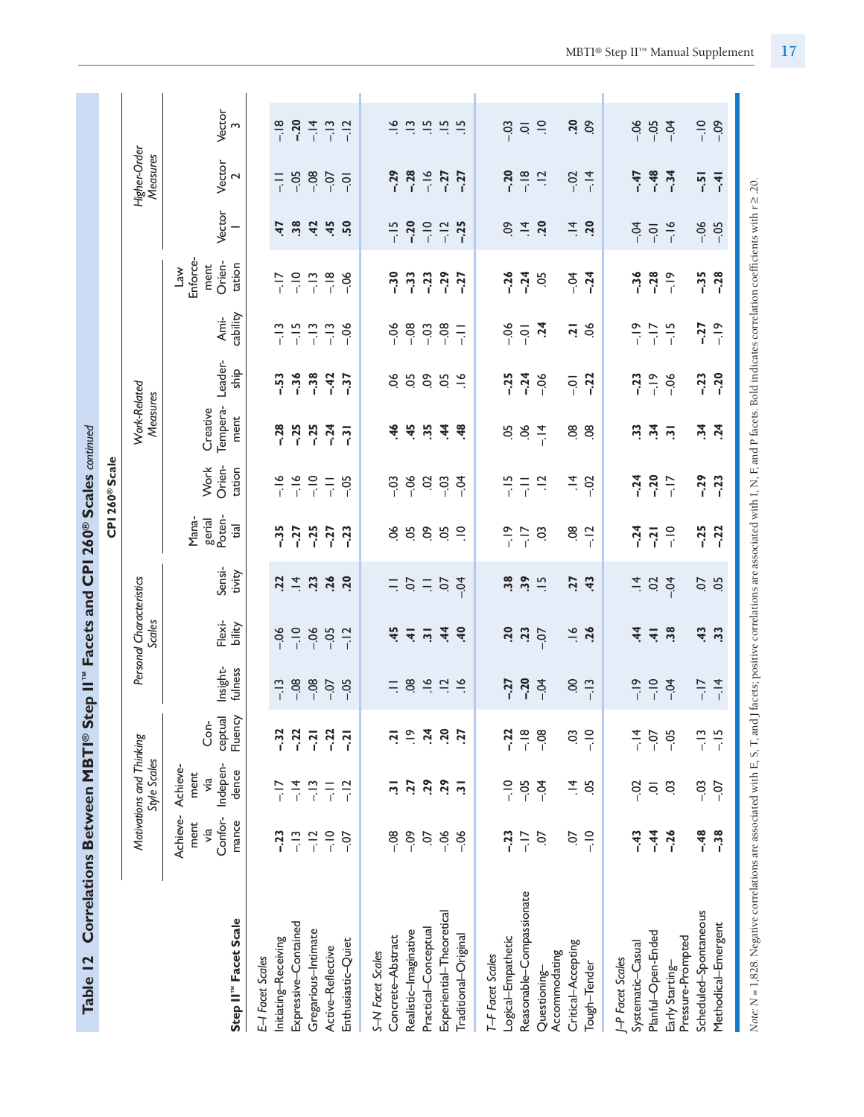| Correlations Between MBTI® Step II" Facets and CPI 260® Scales continued<br>Table 12                                                                                                                    |                                             |                                                 |                            |                     |                                    |                                                                                     |                                   |                            |                              |                 |                  |                                                               |                |                          |                |
|---------------------------------------------------------------------------------------------------------------------------------------------------------------------------------------------------------|---------------------------------------------|-------------------------------------------------|----------------------------|---------------------|------------------------------------|-------------------------------------------------------------------------------------|-----------------------------------|----------------------------|------------------------------|-----------------|------------------|---------------------------------------------------------------|----------------|--------------------------|----------------|
|                                                                                                                                                                                                         |                                             |                                                 |                            |                     |                                    |                                                                                     |                                   | CPI 260 <sup>®</sup> Scale |                              |                 |                  |                                                               |                |                          |                |
|                                                                                                                                                                                                         |                                             | Motivations and Thinking<br><b>Style Scales</b> |                            |                     | Personal Characteristics<br>Scales |                                                                                     |                                   |                            | Work-Related<br>Measures     |                 |                  |                                                               |                | Higher-Order<br>Measures |                |
| Step II" Facet Scale                                                                                                                                                                                    | Achieve-<br>Confor-<br>mance<br>ment<br>via | Indepen-<br>Achieve-<br>dence<br>ment<br>yia    | ceptual<br>Fluency<br>Con- | Insight-<br>fulness | Flexi-<br>bility                   | Sensi-<br>tivity                                                                    | Poten-<br>Mana-<br>gerial<br>tial | Orien-<br>Work<br>tation   | Tempera-<br>Creative<br>ment | Leader-<br>ship | cability<br>Ami- | Enforce-<br>Orien-<br>tation<br>ment<br>$\sum_{n=1}^{\infty}$ | Vector         | Vector<br>2              | Vector<br>m    |
| E-I Facet Scales                                                                                                                                                                                        |                                             |                                                 |                            |                     |                                    |                                                                                     |                                   |                            |                              |                 |                  |                                                               |                |                          |                |
| Initiating-Receiving                                                                                                                                                                                    | $-23$                                       | $-17$                                           | $-32$                      | $-13$               | $-06$                              | 22                                                                                  | $-35$                             | $-16$                      | $-28$                        | $-53$           | $-13$            | $-17$                                                         | 47             | $\frac{1}{1}$            | $-18$          |
| Expressive-Contained                                                                                                                                                                                    | $\frac{1}{1}$                               | $-14$                                           | $-22$                      | $-08$               | $-10$                              | $\overline{4}$                                                                      | $-27$                             | $-16$                      | $-25$                        | $-36$           | $-15$            | $\frac{1}{1}$                                                 | 38             | $-0.5$                   | $-20$          |
| Gregarious-Intimate                                                                                                                                                                                     |                                             | $-13$                                           | $-21$                      | $-0.8$              | $-06$                              | 23                                                                                  | $-25$                             | $rac{1}{\cdot}$            | $-25$                        | $-38$           | $-13$            | $-13$                                                         | 42             | $-0.80$                  | $-14$          |
| Active-Reflective                                                                                                                                                                                       | $\frac{1}{2}$                               | 두                                               | $-22$                      | $-0$                | $-0.5$                             | 26                                                                                  | $-27$                             | 두                          | $-24$                        | $-42$           | $-13$            | $-18$                                                         | 45             | $-0$                     | $-13$          |
| Enthusiastic-Quiet                                                                                                                                                                                      | $-0$                                        | $-12$                                           | $-21$                      | $-0.5$              | $-12$                              | $\overline{20}$                                                                     | $-23$                             | $-0.5$                     | $\overline{3}$               | $-37$           | $-06$            | $-06$                                                         | 50             | $\overline{Q}$           | $-12$          |
| S-N Facet Scales                                                                                                                                                                                        |                                             |                                                 |                            |                     |                                    |                                                                                     |                                   |                            |                              |                 |                  |                                                               |                |                          |                |
| Concrete-Abstract                                                                                                                                                                                       | $-0.08$                                     | $\overline{2}$                                  | $\overline{a}$             | $\equiv$            | 45                                 |                                                                                     | 66                                | $-03$                      | 46                           | $\infty$        | $-06$            | $-30$                                                         | $-15$          | $-0.29$                  | $\frac{8}{1}$  |
| Realistic-Imaginative                                                                                                                                                                                   | $-0.09$                                     | <b>Z7</b>                                       | $\frac{\infty}{\cdot}$     | 08                  | $\overline{4}$                     | $\frac{1}{2}$ $\frac{1}{2}$ $\frac{1}{2}$ $\frac{1}{2}$ $\frac{1}{2}$ $\frac{1}{2}$ | 5O                                | $-06$                      | 45                           | 50              | $-08$            | $-33$                                                         | $-20$          | $-0.28$                  | $\frac{1}{2}$  |
| Practical-Conceptual                                                                                                                                                                                    | CO.                                         | 29                                              | $\ddot{24}$                | $\frac{6}{1}$       | $\overline{5}$                     |                                                                                     | SO.                               | S                          | 35                           | δò              | $-03$            | $-23$                                                         | $-10$          |                          | $\frac{15}{1}$ |
| Experiential-Theoretical                                                                                                                                                                                | $-06$                                       | 29                                              | 20                         | $\frac{1}{2}$       | $\ddot{4}$                         |                                                                                     | 5o                                | $-03$                      | $\dot{4}$                    | <b>50</b>       | $-08$            | $-29$                                                         | $-12$          | $-16$<br>-27             | $\frac{15}{2}$ |
| Traditional-Original                                                                                                                                                                                    | $-06$                                       | $\overline{2}$                                  | <b>Z7</b>                  | $\frac{6}{1}$       | $\ddot{ }$                         |                                                                                     | $\approx$                         | $-5$                       | 48                           | $\frac{8}{1}$   | $\overline{a}$   | $-27$                                                         | $-25$          | $-27$                    | $\frac{15}{1}$ |
| T-F Facet Scales                                                                                                                                                                                        |                                             |                                                 |                            |                     |                                    |                                                                                     |                                   |                            |                              |                 |                  |                                                               |                |                          |                |
| Logical-Empathetic                                                                                                                                                                                      | $-23$                                       | $rac{1}{\cdot}$                                 | $-22$                      | $-27$               | 50                                 | 38                                                                                  | $-19$                             | $-15$                      | 50                           | $-25$           | $-06$            | $-26$                                                         | $\infty$       | $-20$                    | $-0.3$         |
| Reasonable-Compassionate                                                                                                                                                                                | $-17$                                       | $-0.5$                                          | $-18$                      | $-20$               | $\ddot{2}$                         | 39                                                                                  | $\frac{5}{1}$                     | $\overline{z}$             | $\mathcal{S}^{\mathcal{C}}$  | $-24$           | $\overline{Q}$   | $-24$                                                         | $\vec{=}$      | $-18$                    | $\bar{\circ}$  |
| Accommodating<br>Questioning-                                                                                                                                                                           | S                                           | $-5$                                            | $-08$                      | $-0.4$              | $-0$                               | $\frac{15}{1}$                                                                      | S                                 | $\overline{a}$             | $-14$                        | $-06$           | $\ddot{5}$       | 5c                                                            | 20             | $\frac{1}{2}$            | $\Xi$          |
| Critical-Accepting                                                                                                                                                                                      | S                                           | $\vec{a}$                                       | S                          | $\mathbf{S}$        | $\frac{8}{1}$                      | 77                                                                                  | $\overline{6}$                    | $\vec{=}$                  | $\overline{0}$               | $-0$            | $\overline{a}$   | $-0.4$                                                        | $\overline{4}$ | $-0.2$                   | 20             |
| Tough-Tender                                                                                                                                                                                            | $\frac{1}{1}$                               | 5Ö                                              | $\frac{1}{i}$              | $-13$               | 36                                 | $\ddot{ }$                                                                          | $-12$                             | $-02$                      | $\overline{0}$               | $-22$           | ð.               | $-24$                                                         | 20             | $-14$                    | $\mathcal{S}$  |
| <b>I-P</b> Facet Scales                                                                                                                                                                                 |                                             |                                                 |                            |                     |                                    |                                                                                     |                                   |                            |                              |                 |                  |                                                               |                |                          |                |
| Systematic-Casual                                                                                                                                                                                       | $-43$                                       | $-0.2$                                          | $-14$                      | $-19$               | $\frac{4}{3}$                      | $\vec{=}$                                                                           | $-24$                             | $-24$                      | 33                           | $-23$           | $-19$            | $-36$                                                         | $-0.4$         | $-47$                    | $-0.6$         |
| Planful-Open-Ended                                                                                                                                                                                      | $-44$                                       | $\overline{\mathsf{o}}$                         | $-0$                       | $-10$               | $\overline{4}$                     | $\overline{c}$                                                                      | $-21$                             | $-20$                      | $\ddot{3}$                   | $-\frac{9}{1}$  | $-17$            | $-28$                                                         | $\overline{Q}$ | $-48$                    | $-0.5$         |
| Pressure-Prompted<br>Early Starting-                                                                                                                                                                    | $-26$                                       | S.                                              | $-0.5$                     | $-0.4$              | 38                                 | $-0.4$                                                                              | $\frac{1}{1}$                     | $-17$                      | $\overline{2}$               | $-06$           | $-15$            | $-19$                                                         | $-16$          | $-34$                    | $-0.4$         |
| Scheduled-Spontaneous                                                                                                                                                                                   | $-48$                                       | $-0.3$                                          | $\frac{1}{1}$              | $-17$               | 43                                 | S.                                                                                  | $-25$                             | $-29$                      | $\ddot{3}$                   | $-23$           | $-27$            | $-35$                                                         | $-06$          | $-5$                     | $-10$          |
| Methodical-Emergent                                                                                                                                                                                     | $-38$                                       | $-0$                                            | $-15$                      | $-14$               | $\ddot{3}$                         | 5O                                                                                  | $-22$                             | $-23$                      | $\ddot{a}$                   | $-20$           | $-19$            | $-28$                                                         | $-0.5$         | $\overline{+}$           | $-0.9$         |
| Note: N = 1,828. Negative correlations are associated with E, S, T, and J facets; positive correlations are associated with I, N, F, and P facets. Bold indicates correlation coefficients with r ≥.20. |                                             |                                                 |                            |                     |                                    |                                                                                     |                                   |                            |                              |                 |                  |                                                               |                |                          |                |

MBTI® Step II™ Manual Supplement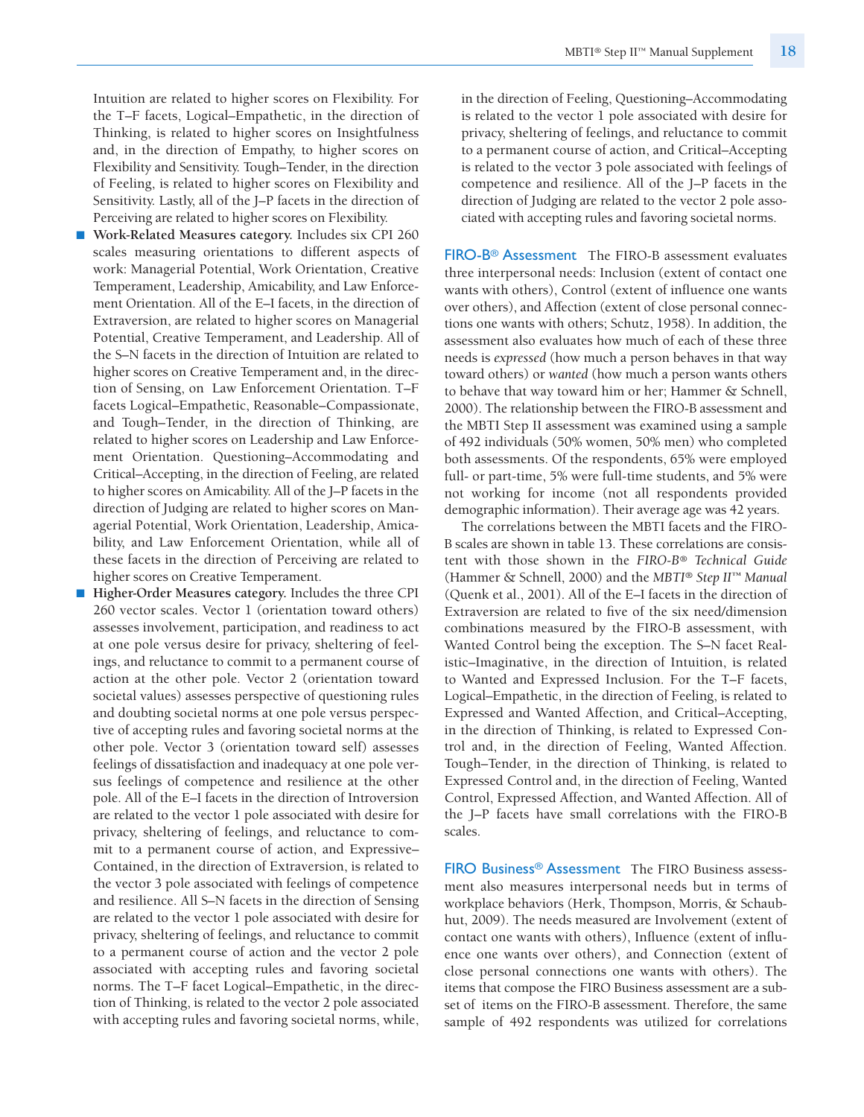Intuition are related to higher scores on Flexibility. For the T–F facets, Logical–Empathetic, in the direction of Thinking, is related to higher scores on Insightfulness and, in the direction of Empathy, to higher scores on Flexibility and Sensitivity. Tough–Tender, in the direction of Feeling, is related to higher scores on Flexibility and Sensitivity. Lastly, all of the J–P facets in the direction of Perceiving are related to higher scores on Flexibility.

- **Work-Related Measures category.** Includes six CPI 260 scales measuring orientations to different aspects of work: Managerial Potential, Work Orientation, Creative Temperament, Leadership, Amicability, and Law Enforcement Orientation. All of the E–I facets, in the direction of Extraversion, are related to higher scores on Managerial Potential, Creative Temperament, and Leadership. All of the S–N facets in the direction of Intuition are related to higher scores on Creative Temperament and, in the direction of Sensing, on Law Enforcement Orientation. T–F facets Logical–Empathetic, Reasonable–Compassionate, and Tough–Tender, in the direction of Thinking, are related to higher scores on Leadership and Law Enforcement Orientation. Questioning–Accommodating and Critical–Accepting, in the direction of Feeling, are related to higher scores on Amicability. All of the J–P facets in the direction of Judging are related to higher scores on Managerial Potential, Work Orientation, Leadership, Amicability, and Law Enforcement Orientation, while all of these facets in the direction of Perceiving are related to higher scores on Creative Temperament.
- **Higher-Order Measures category.** Includes the three CPI 260 vector scales. Vector 1 (orientation toward others) assesses involvement, participation, and readiness to act at one pole versus desire for privacy, sheltering of feelings, and reluctance to commit to a permanent course of action at the other pole. Vector 2 (orientation toward societal values) assesses perspective of questioning rules and doubting societal norms at one pole versus perspective of accepting rules and favoring societal norms at the other pole. Vector 3 (orientation toward self) assesses feelings of dissatisfaction and inadequacy at one pole versus feelings of competence and resilience at the other pole. All of the E–I facets in the direction of Introversion are related to the vector 1 pole associated with desire for privacy, sheltering of feelings, and reluctance to commit to a permanent course of action, and Expressive– Contained, in the direction of Extraversion, is related to the vector 3 pole associated with feelings of competence and resilience. All S–N facets in the direction of Sensing are related to the vector 1 pole associated with desire for privacy, sheltering of feelings, and reluctance to commit to a permanent course of action and the vector 2 pole associated with accepting rules and favoring societal norms. The T–F facet Logical–Empathetic, in the direction of Thinking, is related to the vector 2 pole associated with accepting rules and favoring societal norms, while,

in the direction of Feeling, Questioning–Accommodating is related to the vector 1 pole associated with desire for privacy, sheltering of feelings, and reluctance to commit to a permanent course of action, and Critical–Accepting is related to the vector 3 pole associated with feelings of competence and resilience. All of the J–P facets in the direction of Judging are related to the vector 2 pole associated with accepting rules and favoring societal norms.

FIRO-B® Assessment The FIRO-B assessment evaluates three interpersonal needs: Inclusion (extent of contact one wants with others), Control (extent of influence one wants over others), and Affection (extent of close personal connections one wants with others; Schutz, 1958). In addition, the assessment also evaluates how much of each of these three needs is *expressed* (how much a person behaves in that way toward others) or *wanted* (how much a person wants others to behave that way toward him or her; Hammer & Schnell, 2000). The relationship between the FIRO-B assessment and the MBTI Step II assessment was examined using a sample of 492 individuals (50% women, 50% men) who completed both assessments. Of the respondents, 65% were employed full- or part-time, 5% were full-time students, and 5% were not working for income (not all respondents provided demographic information). Their average age was 42 years.

The correlations between the MBTI facets and the FIRO-B scales are shown in table 13. These correlations are consistent with those shown in the *FIRO-B® Technical Guide* (Hammer & Schnell, 2000) and the *MBTI® Step II™ Manual* (Quenk et al., 2001). All of the E–I facets in the direction of Extraversion are related to five of the six need/dimension combinations measured by the FIRO-B assessment, with Wanted Control being the exception. The S–N facet Realistic–Imaginative, in the direction of Intuition, is related to Wanted and Expressed Inclusion. For the T–F facets, Logical–Empathetic, in the direction of Feeling, is related to Expressed and Wanted Affection, and Critical–Accepting, in the direction of Thinking, is related to Expressed Control and, in the direction of Feeling, Wanted Affection. Tough–Tender, in the direction of Thinking, is related to Expressed Control and, in the direction of Feeling, Wanted Control, Expressed Affection, and Wanted Affection. All of the J–P facets have small correlations with the FIRO-B scales.

FIRO Business<sup>®</sup> Assessment The FIRO Business assessment also measures interpersonal needs but in terms of workplace behaviors (Herk, Thompson, Morris, & Schaubhut, 2009). The needs measured are Involvement (extent of contact one wants with others), Influence (extent of influence one wants over others), and Connection (extent of close personal connections one wants with others). The items that compose the FIRO Business assessment are a subset of items on the FIRO-B assessment. Therefore, the same sample of 492 respondents was utilized for correlations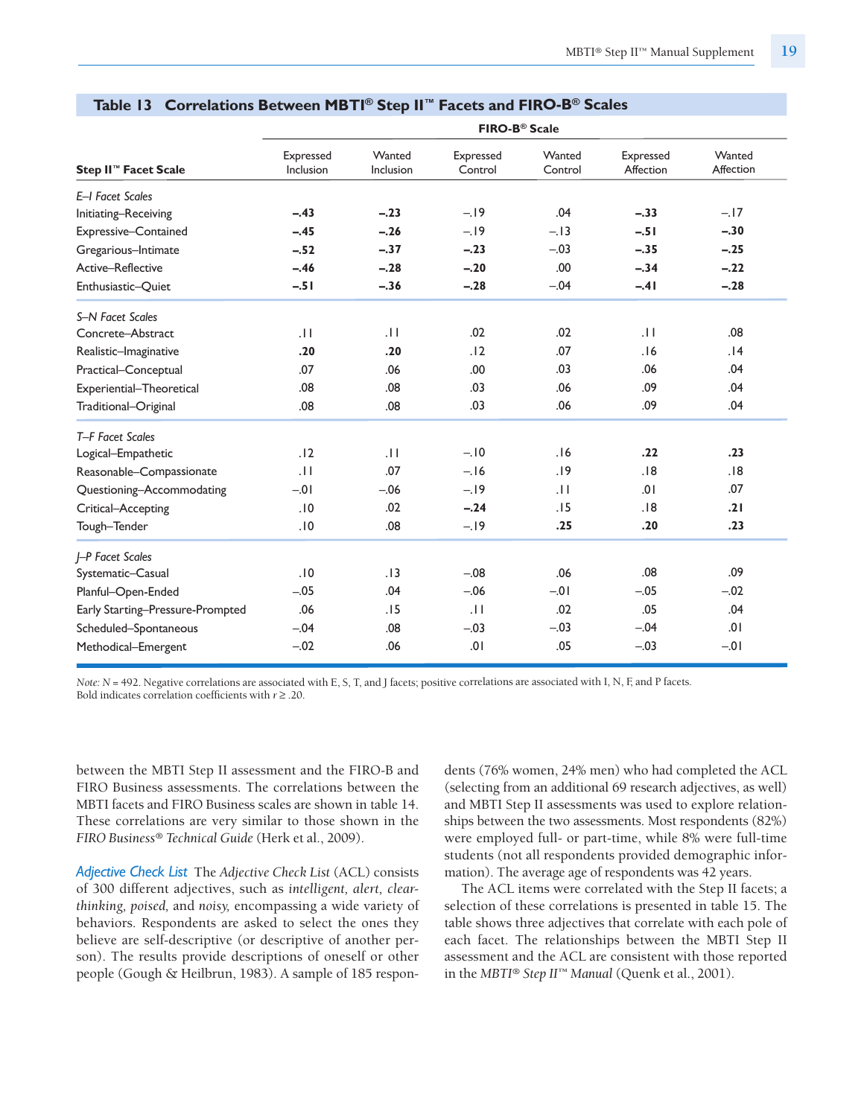|                                  |                        |                            | FIRO-B <sup>®</sup> Scale |                   |                        |                     |
|----------------------------------|------------------------|----------------------------|---------------------------|-------------------|------------------------|---------------------|
| Step II <sup>™</sup> Facet Scale | Expressed<br>Inclusion | Wanted<br><b>Inclusion</b> | Expressed<br>Control      | Wanted<br>Control | Expressed<br>Affection | Wanted<br>Affection |
| E-I Facet Scales                 |                        |                            |                           |                   |                        |                     |
| Initiating-Receiving             | $-.43$                 | $-.23$                     | $-.19$                    | .04               | $-.33$                 | $-.17$              |
| Expressive-Contained             | $-.45$                 | $-.26$                     | $-.19$                    | $-.13$            | $-.51$                 | $-.30$              |
| Gregarious-Intimate              | $-.52$                 | $-.37$                     | $-.23$                    | $-.03$            | $-.35$                 | $-.25$              |
| Active-Reflective                | $-.46$                 | $-.28$                     | $-.20$                    | .00               | $-.34$                 | $-.22$              |
| Enthusiastic-Quiet               | $-.51$                 | $-.36$                     | $-.28$                    | $-.04$            | $-.41$                 | $-.28$              |
| <b>S-N Facet Scales</b>          |                        |                            |                           |                   |                        |                     |
| Concrete-Abstract                | .11                    | $\overline{11}$            | .02                       | .02               | .11                    | .08                 |
| Realistic-Imaginative            | .20                    | .20                        | .12                       | .07               | .16                    | .14                 |
| Practical-Conceptual             | .07                    | .06                        | .00                       | .03               | .06                    | .04                 |
| Experiential-Theoretical         | .08                    | .08                        | .03                       | .06               | .09                    | .04                 |
| Traditional-Original             | .08                    | .08                        | .03                       | .06               | .09                    | .04                 |
| T-F Facet Scales                 |                        |                            |                           |                   |                        |                     |
| Logical-Empathetic               | .12                    | $\overline{11}$            | $-.10$                    | .16               | .22                    | .23                 |
| Reasonable-Compassionate         | .11                    | .07                        | $-.16$                    | .19               | .18                    | .18                 |
| Questioning-Accommodating        | $-.01$                 | $-.06$                     | $-.19$                    | .11               | .01                    | .07                 |
| Critical-Accepting               | .10                    | .02                        | $-.24$                    | .15               | .18                    | .21                 |
| Tough-Tender                     | .10                    | .08                        | $-.19$                    | .25               | .20                    | .23                 |
| <b>I-P Facet Scales</b>          |                        |                            |                           |                   |                        |                     |
| Systematic-Casual                | .10                    | .13                        | $-.08$                    | .06               | .08                    | .09                 |
| Planful-Open-Ended               | $-.05$                 | .04                        | $-.06$                    | $-0.01$           | $-.05$                 | $-.02$              |
| Early Starting-Pressure-Prompted | .06                    | .15                        | .11                       | .02               | .05                    | .04                 |
| Scheduled-Spontaneous            | $-.04$                 | .08                        | $-.03$                    | $-.03$            | $-.04$                 | .01                 |
| Methodical-Emergent              | $-.02$                 | .06                        | .01                       | .05               | $-.03$                 | $-0.01$             |

#### **Table 13 Correlations Between MBTI ® Step II™ Facets and FIRO-B® Scales**

*Note: <sup>N</sup>* <sup>=</sup> 492. Negative correlations are associated with E, S, T, and J facets; positive correlations are associated with I, N, F, and <sup>P</sup> facets*.* Bold indicates correlation coefficients with *<sup>r</sup>* ≥ .20.

between the MBTI Step II assessment and the FIRO-B and FIRO Business assessments. The correlations between the MBTI facets and FIRO Business scales are shown in table 14. These correlations are very similar to those shown in the *FIRO Business® Technical Guide* (Herk et al., 2009).

*Adjective Check List* The *Adjective Check List* (ACL) consists of 300 different adjectives, such as *intelligent, alert, clearthinking, poised,* and *noisy,* encompassing a wide variety of behaviors. Respondents are asked to select the ones they believe are self-descriptive (or descriptive of another person). The results provide descriptions of oneself or other people (Gough & Heilbrun, 1983). A sample of 185 respondents (76% women, 24% men) who had completed the ACL (selecting from an additional 69 research adjectives, as well) and MBTI Step II assessments was used to explore relationships between the two assessments. Most respondents (82%) were employed full- or part-time, while 8% were full-time students (not all respondents provided demographic information). The average age of respondents was 42 years.

The ACL items were correlated with the Step II facets; a selection of these correlations is presented in table 15. The table shows three adjectives that correlate with each pole of each facet. The relationships between the MBTI Step II assessment and the ACL are consistent with those reported in the *MBTI® Step II™ Manual* (Quenk et al., 2001).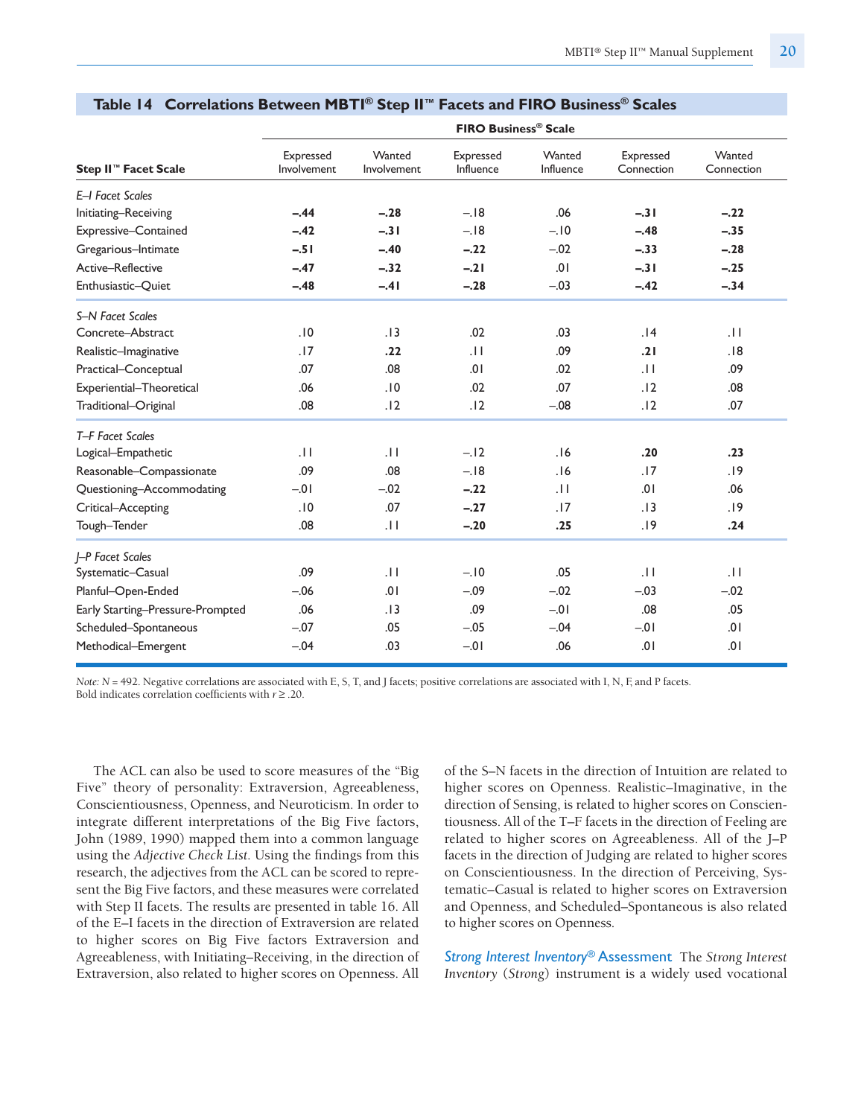|                                  |                          |                       | <b>FIRO Business<sup>®</sup> Scale</b> |                     |                         |                      |
|----------------------------------|--------------------------|-----------------------|----------------------------------------|---------------------|-------------------------|----------------------|
| Step II <sup>™</sup> Facet Scale | Expressed<br>Involvement | Wanted<br>Involvement | Expressed<br>Influence                 | Wanted<br>Influence | Expressed<br>Connection | Wanted<br>Connection |
| E-I Facet Scales                 |                          |                       |                                        |                     |                         |                      |
| Initiating-Receiving             | $-.44$                   | $-.28$                | $-.18$                                 | .06                 | $-.31$                  | $-.22$               |
| Expressive-Contained             | $-.42$                   | $-.31$                | $-.18$                                 | $-.10$              | $-.48$                  | $-.35$               |
| Gregarious-Intimate              | $-.51$                   | $-.40$                | $-.22$                                 | $-.02$              | $-.33$                  | $-.28$               |
| Active-Reflective                | $-.47$                   | $-.32$                | $-.21$                                 | .01                 | $-.31$                  | $-.25$               |
| Enthusiastic-Quiet               | $-.48$                   | $-.41$                | $-.28$                                 | $-.03$              | $-.42$                  | $-.34$               |
| S-N Facet Scales                 |                          |                       |                                        |                     |                         |                      |
| Concrete-Abstract                | .10                      | .13                   | .02                                    | .03                 | .14                     | .11                  |
| Realistic-Imaginative            | .17                      | .22                   | .11                                    | .09                 | .21                     | .18                  |
| Practical-Conceptual             | .07                      | .08                   | .01                                    | .02                 | .11                     | .09                  |
| Experiential-Theoretical         | .06                      | .10                   | .02                                    | .07                 | .12                     | .08                  |
| Traditional-Original             | .08                      | .12                   | .12                                    | $-.08$              | .12                     | .07                  |
| T-F Facet Scales                 |                          |                       |                                        |                     |                         |                      |
| Logical-Empathetic               | $\overline{11}$          | $\overline{11}$       | $-.12$                                 | .16                 | .20                     | .23                  |
| Reasonable-Compassionate         | .09                      | .08                   | $-.18$                                 | .16                 | .17                     | .19                  |
| Questioning-Accommodating        | $-.01$                   | $-.02$                | $-.22$                                 | $\pm 1$             | .01                     | .06                  |
| Critical-Accepting               | .10                      | .07                   | $-.27$                                 | .17                 | .13                     | .19                  |
| Tough-Tender                     | .08                      | .11                   | $-.20$                                 | .25                 | .19                     | .24                  |
| <b>-P Facet Scales</b>           |                          |                       |                                        |                     |                         |                      |
| Systematic-Casual                | .09                      | .11                   | $-.10$                                 | .05                 | .11                     | $\overline{11}$      |
| Planful-Open-Ended               | $-.06$                   | .01                   | $-.09$                                 | $-.02$              | $-.03$                  | $-.02$               |
| Early Starting-Pressure-Prompted | .06                      | .13                   | .09                                    | $-.01$              | .08                     | .05                  |
| Scheduled-Spontaneous            | $-.07$                   | .05                   | $-.05$                                 | $-.04$              | $-0.01$                 | .01                  |
| Methodical-Emergent              | $-.04$                   | .03                   | $-.01$                                 | .06                 | .01                     | .01                  |

#### **Table 14 Correlations Between MBTI ® Step II™ Facets and FIRO Business® Scales**

*Note: N* = 492. Negative correlations are associated with E, S, T, and J facets; positive correlations are associated with I, N, F, and P facets*.* Bold indicates correlation coefficients with *r* ≥ .20.

The ACL can also be used to score measures of the "Big Five" theory of personality: Extraversion, Agreeableness, Conscientiousness, Openness, and Neuroticism. In order to integrate different interpretations of the Big Five factors, John (1989, 1990) mapped them into a common language using the *Adjective Check List.* Using the findings from this research, the adjectives from the ACL can be scored to represent the Big Five factors, and these measures were correlated with Step II facets. The results are presented in table 16. All of the E–I facets in the direction of Extraversion are related to higher scores on Big Five factors Extraversion and Agreeableness, with Initiating–Receiving, in the direction of Extraversion, also related to higher scores on Openness. All of the S–N facets in the direction of Intuition are related to higher scores on Openness. Realistic–Imaginative, in the direction of Sensing, is related to higher scores on Conscientiousness. All of the T–F facets in the direction of Feeling are related to higher scores on Agreeableness. All of the J–P facets in the direction of Judging are related to higher scores on Conscientiousness. In the direction of Perceiving, Systematic–Casual is related to higher scores on Extraversion and Openness, and Scheduled–Spontaneous is also related to higher scores on Openness.

*Strong Interest Inventory*® Assessment The *Strong Interest Inventory* (*Strong*) instrument is a widely used vocational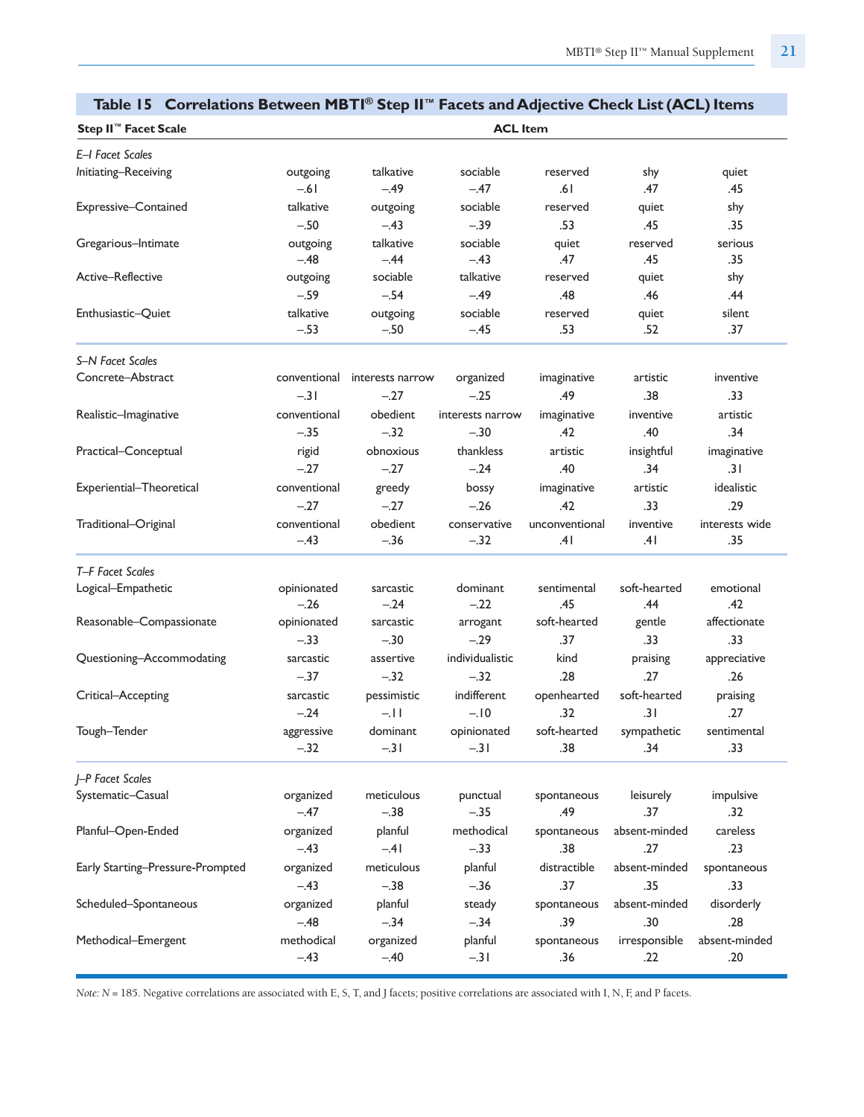| rable 15 Correlations between Tib IT Step in Tacets and Adjective Check Elst (ACE) Remis |              |                  |                  |                |               |                |
|------------------------------------------------------------------------------------------|--------------|------------------|------------------|----------------|---------------|----------------|
| Step II <sup>™</sup> Facet Scale                                                         |              |                  | <b>ACL Item</b>  |                |               |                |
| E-I Facet Scales                                                                         |              |                  |                  |                |               |                |
| Initiating-Receiving                                                                     | outgoing     | talkative        | sociable         | reserved       | shy           | quiet          |
|                                                                                          | $-.61$       | $-.49$           | $-.47$           | .61            | .47           | .45            |
| Expressive-Contained                                                                     | talkative    | outgoing         | sociable         | reserved       | quiet         | shy            |
|                                                                                          | $-.50$       | $-.43$           | $-.39$           | .53            | .45           | .35            |
| Gregarious-Intimate                                                                      | outgoing     | talkative        | sociable         | quiet          | reserved      | serious        |
|                                                                                          | $-.48$       | $-.44$           | $-.43$           | .47            | .45           | .35            |
| Active-Reflective                                                                        | outgoing     | sociable         | talkative        | reserved       | quiet         | shy            |
|                                                                                          | $-.59$       | $-.54$           | $-.49$           | .48            | .46           | .44            |
| Enthusiastic-Quiet                                                                       | talkative    | outgoing         | sociable         | reserved       | quiet         | silent         |
|                                                                                          | $-.53$       | $-.50$           | $-.45$           | .53            | .52           | .37            |
| S-N Facet Scales                                                                         |              |                  |                  |                |               |                |
| Concrete-Abstract                                                                        | conventional | interests narrow | organized        | imaginative    | artistic      | inventive      |
|                                                                                          | $-.31$       | $-.27$           | $-.25$           | .49            | .38           | .33            |
| Realistic-Imaginative                                                                    | conventional | obedient         | interests narrow | imaginative    | inventive     | artistic       |
|                                                                                          | $-.35$       | $-.32$           | $-.30$           | .42            | .40           | .34            |
| Practical-Conceptual                                                                     | rigid        | obnoxious        | thankless        | artistic       | insightful    | imaginative    |
|                                                                                          | $-.27$       | $-.27$           | $-.24$           | .40            | .34           | .31            |
| Experiential-Theoretical                                                                 | conventional | greedy           | bossy            | imaginative    | artistic      | idealistic     |
|                                                                                          | $-.27$       | $-.27$           | $-.26$           | .42            | .33           | .29            |
| Traditional-Original                                                                     | conventional | obedient         | conservative     | unconventional | inventive     | interests wide |
|                                                                                          | $-.43$       | $-.36$           | $-.32$           | .41            | .41           | .35            |
| T-F Facet Scales                                                                         |              |                  |                  |                |               |                |
| Logical-Empathetic                                                                       | opinionated  | sarcastic        | dominant         | sentimental    | soft-hearted  | emotional      |
|                                                                                          | $-.26$       | $-.24$           | $-.22$           | .45            | .44           | .42            |
| Reasonable-Compassionate                                                                 | opinionated  | sarcastic        | arrogant         | soft-hearted   | gentle        | affectionate   |
|                                                                                          | $-.33$       | $-.30$           | $-.29$           | .37            | .33           | .33            |
| Questioning-Accommodating                                                                | sarcastic    | assertive        | individualistic  | kind           | praising      | appreciative   |
|                                                                                          | $-.37$       | $-.32$           | $-.32$           | .28            | .27           | .26            |
| Critical-Accepting                                                                       | sarcastic    | pessimistic      | indifferent      | openhearted    | soft-hearted  | praising       |
|                                                                                          | $-.24$       | $-11$            | $-.10$           | .32            | .31           | .27            |
| Tough-Tender                                                                             | aggressive   | dominant         | opinionated      | soft-hearted   | sympathetic   | sentimental    |
|                                                                                          | $-.32$       | $-.31$           | $-.31$           | .38            | .34           | .33            |
| <b>I-P Facet Scales</b>                                                                  |              |                  |                  |                |               |                |
| Systematic-Casual                                                                        | organized    | meticulous       | punctual         | spontaneous    | leisurely     | impulsive      |
|                                                                                          | $-.47$       | $-.38$           | $-.35$           | .49            | .37           | .32            |
| Planful-Open-Ended                                                                       | organized    | planful          | methodical       | spontaneous    | absent-minded | careless       |
|                                                                                          | $-.43$       | $-41$            | $-.33$           | .38            | .27           | .23            |
| Early Starting-Pressure-Prompted                                                         | organized    | meticulous       | planful          | distractible   | absent-minded | spontaneous    |
|                                                                                          | $-.43$       | $-.38$           | $-.36$           | .37            | .35           | .33            |
| Scheduled-Spontaneous                                                                    | organized    | planful          | steady           | spontaneous    | absent-minded | disorderly     |
|                                                                                          | $-.48$       | $-.34$           | $-.34$           | .39            | .30           | .28            |
| Methodical–Emergent                                                                      | methodical   | organized        | planful          | spontaneous    | irresponsible | absent-minded  |
|                                                                                          | $-.43$       | $-.40$           | $-.31$           | .36            | .22           | .20            |
|                                                                                          |              |                  |                  |                |               |                |

#### **Table 15 Correlations Between MBTI ® Step II™ Facets and Adjective Check List (ACL)Items**

*Note:*  $N = 185$ . Negative correlations are associated with E, S, T, and J facets; positive correlations are associated with I, N, F, and P facets.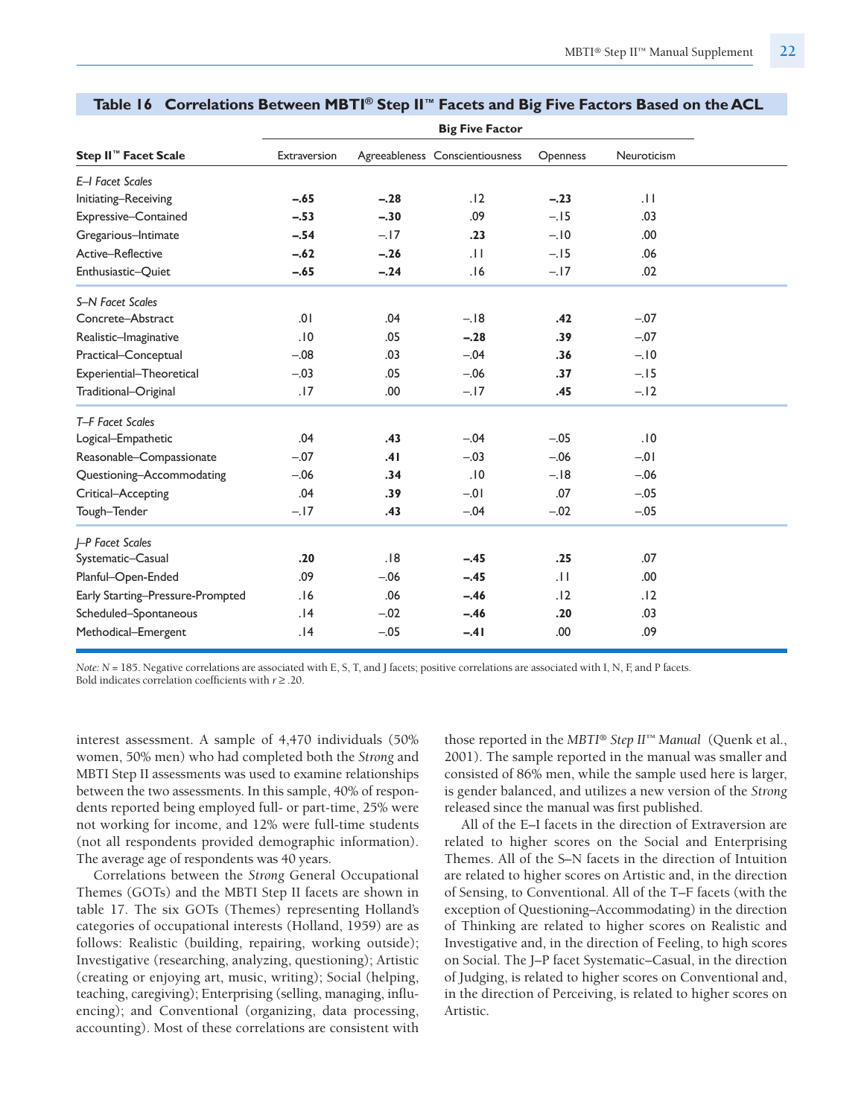|                                  |              |        | <b>Big Five Factor</b>          |                 |             |
|----------------------------------|--------------|--------|---------------------------------|-----------------|-------------|
| Step II™ Facet Scale             | Extraversion |        | Agreeableness Conscientiousness | Openness        | Neuroticism |
| E-I Facet Scales                 |              |        |                                 |                 |             |
| Initiating-Receiving             | $-.65$       | $-.28$ | .12                             | $-.23$          | .11         |
| Expressive-Contained             | $-.53$       | $-.30$ | .09                             | $-.15$          | .03         |
| Gregarious-Intimate              | $-.54$       | $-17$  | .23                             | $-.10$          | .00.        |
| Active-Reflective                | $-.62$       | $-.26$ | .11                             | $-.15$          | .06         |
| Enthusiastic-Quiet               | $-.65$       | $-.24$ | .16                             | $-.17$          | .02         |
| S-N Facet Scales                 |              |        |                                 |                 |             |
| Concrete-Abstract                | .01          | .04    | $-.18$                          | .42             | $-.07$      |
| Realistic-Imaginative            | .10          | .05    | $-.28$                          | .39             | $-.07$      |
| Practical-Conceptual             | $-.08$       | .03    | $-.04$                          | .36             | $-.10$      |
| Experiential-Theoretical         | $-.03$       | .05    | $-.06$                          | .37             | $-.15$      |
| Traditional-Original             | .17          | .00.   | $-.17$                          | .45             | $-.12$      |
| T-F Facet Scales                 |              |        |                                 |                 |             |
| Logical-Empathetic               | .04          | .43    | $-.04$                          | $-.05$          | .10         |
| Reasonable-Compassionate         | $-.07$       | .41    | $-.03$                          | $-.06$          | $-01$       |
| Questioning-Accommodating        | $-.06$       | .34    | .10                             | $-.18$          | $-.06$      |
| Critical-Accepting               | .04          | .39    | $-0.01$                         | .07             | $-.05$      |
| Tough-Tender                     | $-.17$       | .43    | $-.04$                          | $-.02$          | $-.05$      |
| I-P Facet Scales                 |              |        |                                 |                 |             |
| Systematic-Casual                | .20          | .18    | $-.45$                          | .25             | .07         |
| Planful-Open-Ended               | .09          | $-.06$ | $-.45$                          | $\overline{11}$ | .00.        |
| Early Starting-Pressure-Prompted | .16          | .06    | $-.46$                          | .12             | .12         |
| Scheduled-Spontaneous            | .14          | $-.02$ | $-.46$                          | .20             | .03         |
| Methodical-Emergent              | .14          | $-.05$ | $-.41$                          | .00.            | .09         |

### **Table 16 Correlations Between MBTI ® Step II™ Facets and Big Five Factors Based on the ACL**

*Note: N* = 185. Negative correlations are associated with E, S, T, and J facets; positive correlations are associated with I, N, F, and P facets*.* Bold indicates correlation coefficients with *r* ≥ .20.

interest assessment. A sample of 4,470 individuals (50% women, 50% men) who had completed both the *Strong* and MBTI Step II assessments was used to examine relationships between the two assessments. In this sample, 40% of respondents reported being employed full- or part-time, 25% were not working for income, and 12% were full-time students (not all respondents provided demographic information). The average age of respondents was 40 years.

Correlations between the *Strong* General Occupational Themes (GOTs) and the MBTI Step II facets are shown in table 17. The six GOTs (Themes) representing Holland's categories of occupational interests (Holland, 1959) are as follows: Realistic (building, repairing, working outside); Investigative (researching, analyzing, questioning); Artistic (creating or enjoying art, music, writing); Social (helping, teaching, caregiving); Enterprising (selling, managing, influencing); and Conventional (organizing, data processing, accounting). Most of these correlations are consistent with those reported in the *MBTI® Step II™ Manual* (Quenk et al., 2001). The sample reported in the manual was smaller and consisted of 86% men, while the sample used here is larger, is gender balanced, and utilizes a new version of the *Strong* released since the manual was first published.

All of the E–I facets in the direction of Extraversion are related to higher scores on the Social and Enterprising Themes. All of the S–N facets in the direction of Intuition are related to higher scores on Artistic and, in the direction of Sensing, to Conventional. All of the T–F facets (with the exception of Questioning–Accommodating) in the direction of Thinking are related to higher scores on Realistic and Investigative and, in the direction of Feeling, to high scores on Social. The J–P facet Systematic–Casual, in the direction of Judging, is related to higher scores on Conventional and, in the direction of Perceiving, is related to higher scores on Artistic.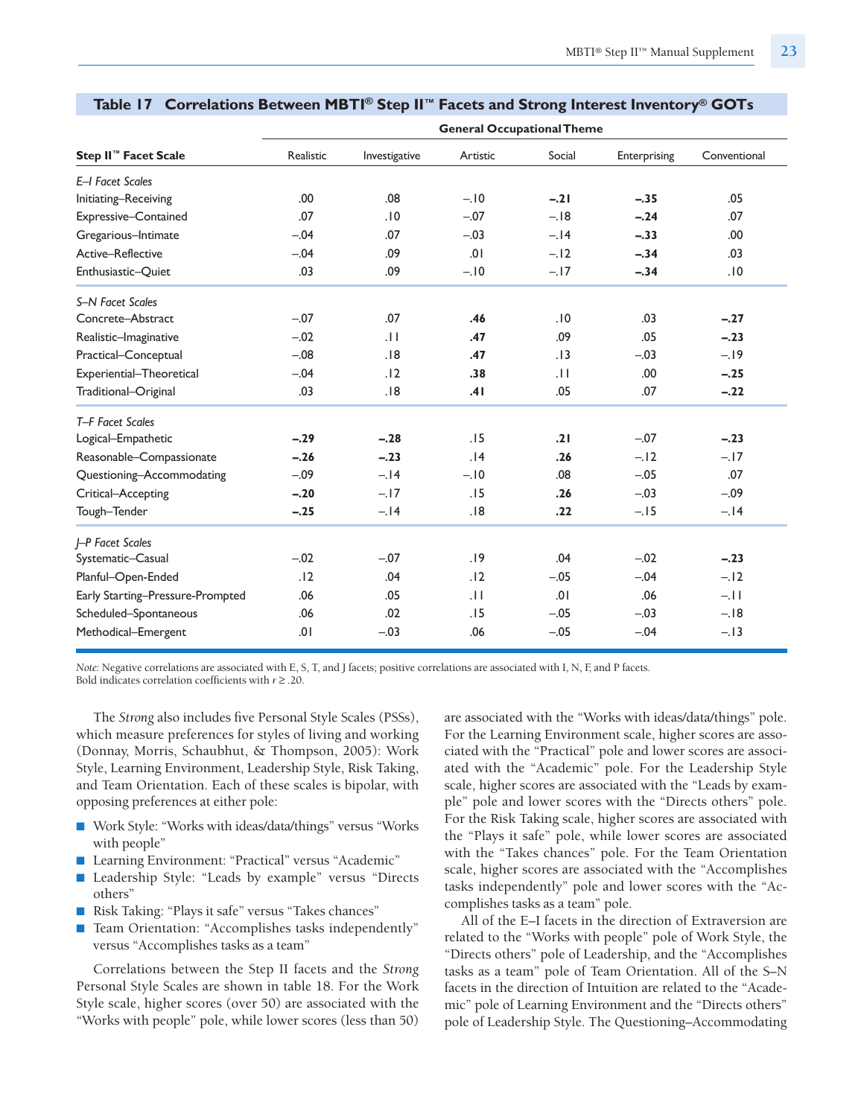|                                  |           |               | <b>General Occupational Theme</b> |        |              |              |
|----------------------------------|-----------|---------------|-----------------------------------|--------|--------------|--------------|
| Step II <sup>™</sup> Facet Scale | Realistic | Investigative | Artistic                          | Social | Enterprising | Conventional |
| E-I Facet Scales                 |           |               |                                   |        |              |              |
| Initiating-Receiving             | .00.      | .08           | $-.10$                            | $-.21$ | $-.35$       | .05          |
| Expressive-Contained             | .07       | .10           | $-.07$                            | $-.18$ | $-.24$       | .07          |
| Gregarious-Intimate              | $-.04$    | .07           | $-.03$                            | $-.14$ | $-.33$       | .00.         |
| Active-Reflective                | $-.04$    | .09           | .01                               | $-.12$ | $-.34$       | .03          |
| Enthusiastic-Quiet               | .03       | .09           | $-.10$                            | $-.17$ | $-.34$       | .10          |
| S-N Facet Scales                 |           |               |                                   |        |              |              |
| Concrete-Abstract                | $-.07$    | .07           | .46                               | .10    | .03          | $-.27$       |
| Realistic-Imaginative            | $-.02$    | .H            | .47                               | .09    | .05          | $-.23$       |
| Practical-Conceptual             | $-.08$    | .18           | .47                               | .13    | $-.03$       | $-19$        |
| Experiential-Theoretical         | $-.04$    | .12           | .38                               | .11    | .00          | $-.25$       |
| Traditional-Original             | .03       | .18           | .41                               | .05    | .07          | $-.22$       |
| T-F Facet Scales                 |           |               |                                   |        |              |              |
| Logical-Empathetic               | $-.29$    | $-.28$        | .15                               | .21    | $-.07$       | $-.23$       |
| Reasonable-Compassionate         | $-.26$    | $-.23$        | .14                               | .26    | $-.12$       | $-.17$       |
| Questioning-Accommodating        | $-.09$    | $-.14$        | $-.10$                            | .08    | $-.05$       | .07          |
| Critical-Accepting               | $-.20$    | $-17$         | .15                               | .26    | $-.03$       | $-.09$       |
| Tough-Tender                     | $-.25$    | $-.14$        | .18                               | .22    | $-.15$       | $-.14$       |
| I-P Facet Scales                 |           |               |                                   |        |              |              |
| Systematic-Casual                | $-.02$    | $-.07$        | .19                               | .04    | $-.02$       | $-.23$       |
| Planful-Open-Ended               | .12       | .04           | .12                               | $-.05$ | $-.04$       | $-.12$       |
| Early Starting-Pressure-Prompted | .06       | .05           | .11                               | .01    | .06          | $-11$        |
| Scheduled-Spontaneous            | .06       | .02           | .15                               | $-.05$ | $-.03$       | $-.18$       |
| Methodical-Emergent              | .01       | $-.03$        | .06                               | $-.05$ | $-.04$       | $-.13$       |

#### **Table 17 Correlations Between MBTI ® Step II™ Facets and Strong Interest Inventory® GOTs**

*Note:* Negative correlations are associated with E, S, T, and J facets; positive correlations are associated with I, N, F, and P facets*.* Bold indicates correlation coefficients with *r* ≥ .20.

The *Strong* also includes five Personal Style Scales (PSSs), which measure preferences for styles of living and working (Donnay, Morris, Schaubhut, & Thompson, 2005): Work Style, Learning Environment, Leadership Style, Risk Taking, and Team Orientation. Each of these scales is bipolar, with opposing preferences at either pole:

- Work Style: "Works with ideas/data/things" versus "Works with people"
- Learning Environment: "Practical" versus "Academic"
- Leadership Style: "Leads by example" versus "Directs others"
- Risk Taking: "Plays it safe" versus "Takes chances"
- Team Orientation: "Accomplishes tasks independently" versus "Accomplishes tasks as a team"

Correlations between the Step II facets and the *Strong* Personal Style Scales are shown in table 18. For the Work Style scale, higher scores (over 50) are associated with the "Works with people" pole, while lower scores (less than 50) are associated with the "Works with ideas/data/things" pole. For the Learning Environment scale, higher scores are associated with the "Practical" pole and lower scores are associated with the "Academic" pole. For the Leadership Style scale, higher scores are associated with the "Leads by example" pole and lower scores with the "Directs others" pole. For the Risk Taking scale, higher scores are associated with the "Plays it safe" pole, while lower scores are associated with the "Takes chances" pole. For the Team Orientation scale, higher scores are associated with the "Accomplishes tasks independently" pole and lower scores with the "Accomplishes tasks as a team" pole.

All of the E–I facets in the direction of Extraversion are related to the "Works with people" pole of Work Style, the "Directs others" pole of Leadership, and the "Accomplishes tasks as a team" pole of Team Orientation. All of the S–N facets in the direction of Intuition are related to the "Academic" pole of Learning Environment and the "Directs others" pole of Leadership Style. The Questioning–Accommodating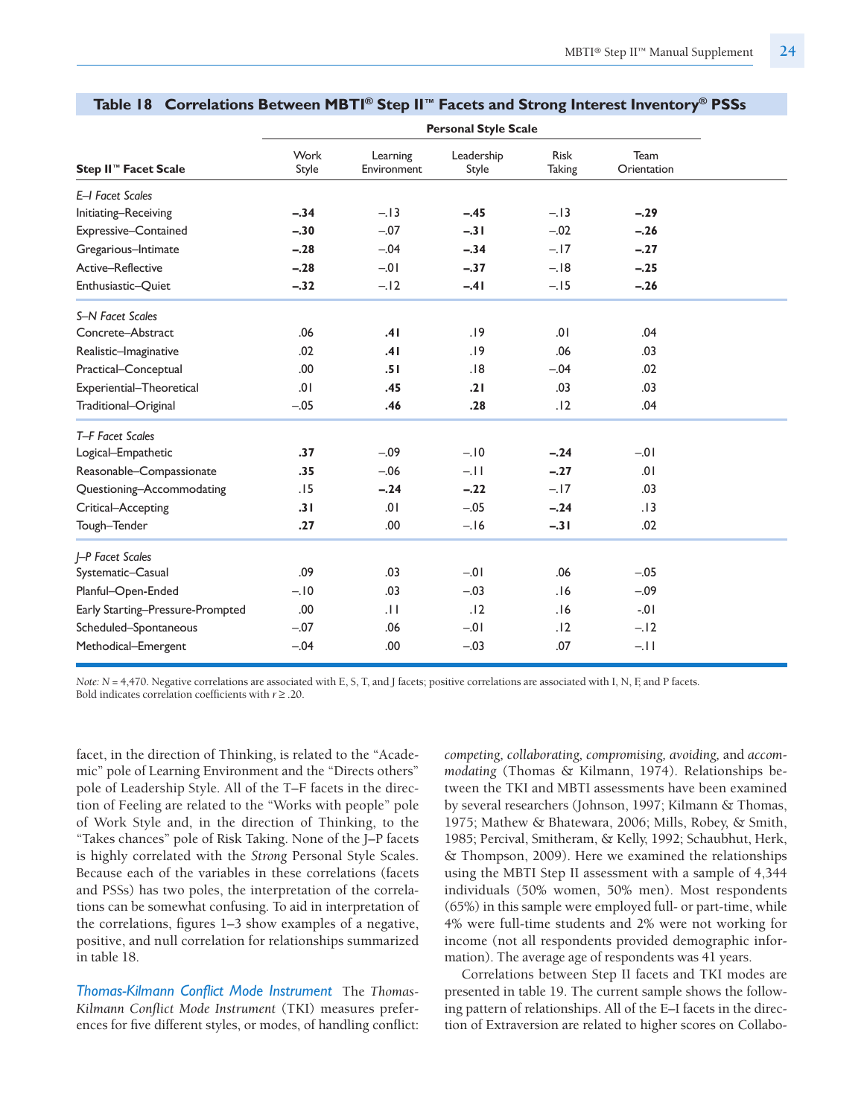|                                  |               |                         | <b>Personal Style Scale</b> |                              |                     |  |
|----------------------------------|---------------|-------------------------|-----------------------------|------------------------------|---------------------|--|
| Step II™ Facet Scale             | Work<br>Style | Learning<br>Environment | Leadership<br>Style         | <b>Risk</b><br><b>Taking</b> | Team<br>Orientation |  |
| E-I Facet Scales                 |               |                         |                             |                              |                     |  |
| Initiating-Receiving             | $-.34$        | $-.13$                  | $-.45$                      | $-.13$                       | $-.29$              |  |
| Expressive-Contained             | $-.30$        | $-.07$                  | $-.31$                      | $-.02$                       | $-.26$              |  |
| Gregarious-Intimate              | $-.28$        | $-.04$                  | $-.34$                      | $-.17$                       | $-.27$              |  |
| Active-Reflective                | $-.28$        | $-0.01$                 | $-.37$                      | $-.18$                       | $-.25$              |  |
| Enthusiastic-Quiet               | $-.32$        | $-.12$                  | $-.41$                      | $-.15$                       | $-.26$              |  |
| S-N Facet Scales                 |               |                         |                             |                              |                     |  |
| Concrete-Abstract                | .06           | .41                     | .19                         | .01                          | .04                 |  |
| Realistic-Imaginative            | .02           | .41                     | .19                         | .06                          | .03                 |  |
| Practical-Conceptual             | .00           | .51                     | .18                         | $-.04$                       | .02                 |  |
| Experiential-Theoretical         | .01           | .45                     | .21                         | .03                          | .03                 |  |
| Traditional-Original             | $-.05$        | .46                     | .28                         | .12                          | .04                 |  |
| T-F Facet Scales                 |               |                         |                             |                              |                     |  |
| Logical-Empathetic               | .37           | $-.09$                  | $-.10$                      | $-.24$                       | $-01$               |  |
| Reasonable-Compassionate         | .35           | $-.06$                  | $-.11$                      | $-.27$                       | .01                 |  |
| Questioning-Accommodating        | .15           | $-.24$                  | $-.22$                      | $-.17$                       | .03                 |  |
| Critical-Accepting               | .31           | .01                     | $-.05$                      | $-.24$                       | .13                 |  |
| Tough-Tender                     | .27           | .00                     | $-.16$                      | $-.31$                       | .02                 |  |
| I-P Facet Scales                 |               |                         |                             |                              |                     |  |
| Systematic-Casual                | .09           | .03                     | $-0.01$                     | .06                          | $-.05$              |  |
| Planful-Open-Ended               | $-.10$        | .03                     | $-.03$                      | .16                          | $-.09$              |  |
| Early Starting-Pressure-Prompted | .00.          | $\overline{11}$         | .12                         | .16                          | $-0.1$              |  |
| Scheduled-Spontaneous            | $-.07$        | .06                     | $-0.01$                     | .12                          | $-12$               |  |
| Methodical-Emergent              | $-.04$        | .00                     | $-.03$                      | .07                          | $-11$               |  |

#### **Table 18 Correlations Between MBTI ® Step II™ Facets and Strong Interest Inventory® PSSs**

*Note: N* = 4,470. Negative correlations are associated with E, S, T, and J facets; positive correlations are associated with I, N, F, and P facets*.* Bold indicates correlation coefficients with *r* ≥ .20.

facet, in the direction of Thinking, is related to the "Academic" pole of Learning Environment and the "Directs others" pole of Leadership Style. All of the T–F facets in the direction of Feeling are related to the "Works with people" pole of Work Style and, in the direction of Thinking, to the "Takes chances" pole of Risk Taking. None of the J–P facets is highly correlated with the *Strong* Personal Style Scales. Because each of the variables in these correlations (facets and PSSs) has two poles, the interpretation of the correlations can be somewhat confusing. To aid in interpretation of the correlations, figures 1–3 show examples of a negative, positive, and null correlation for relationships summarized in table 18.

*Thomas-Kilmann Conflict Mode Instrument* The *Thomas-Kilmann Conflict Mode Instrument* (TKI) measures preferences for five different styles, or modes, of handling conflict: *competing, collaborating, compromising, avoiding,* and *accommodating* (Thomas & Kilmann, 1974). Relationships between the TKI and MBTI assessments have been examined by several researchers (Johnson, 1997; Kilmann & Thomas, 1975; Mathew & Bhatewara, 2006; Mills, Robey, & Smith, 1985; Percival, Smitheram, & Kelly, 1992; Schaubhut, Herk, & Thompson, 2009). Here we examined the relationships using the MBTI Step II assessment with a sample of 4,344 individuals (50% women, 50% men). Most respondents (65%) in this sample were employed full- or part-time, while 4% were full-time students and 2% were not working for income (not all respondents provided demographic information). The average age of respondents was 41 years.

Correlations between Step II facets and TKI modes are presented in table 19. The current sample shows the following pattern of relationships. All of the E–I facets in the direction of Extraversion are related to higher scores on Collabo-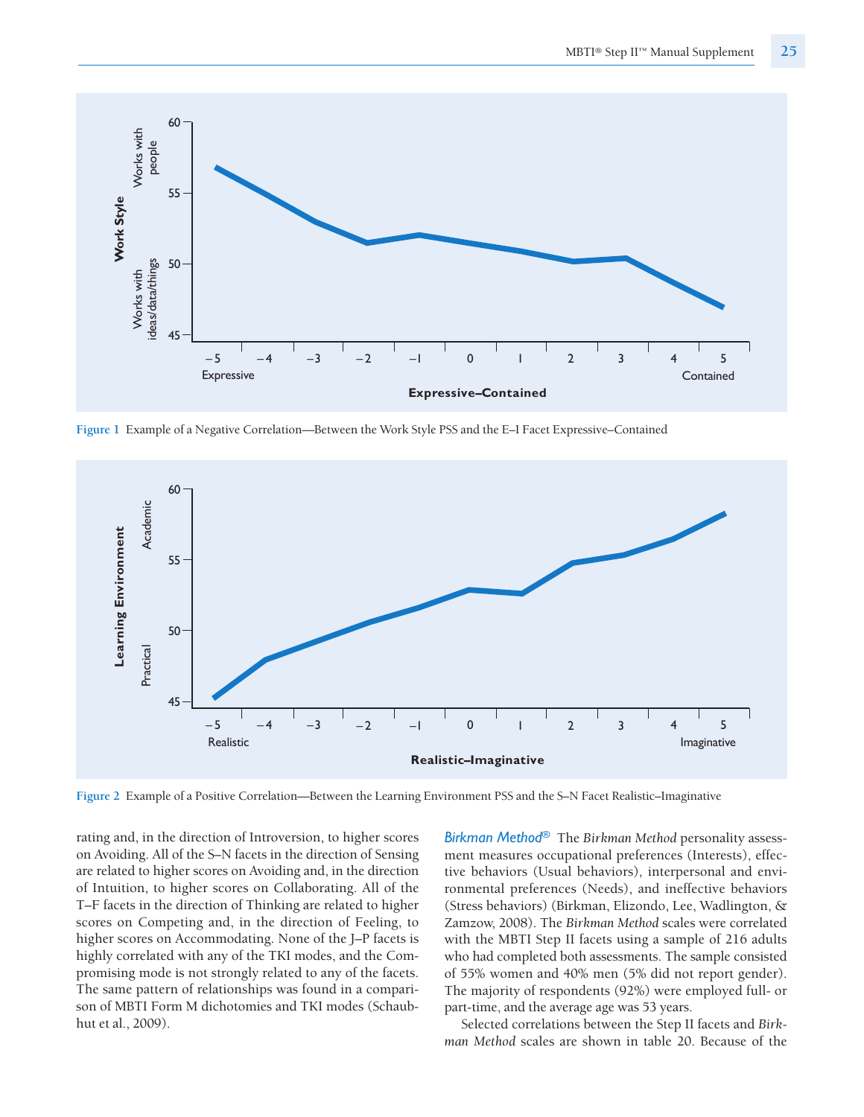

**Figure 1** Example of a Negative Correlation—Between the Work Style PSS and the E–I Facet Expressive–Contained



**Figure 2** Example of a Positive Correlation—Between the Learning Environment PSS and the S–N Facet Realistic–Imaginative

rating and, in the direction of Introversion, to higher scores on Avoiding. All of the S–N facets in the direction of Sensing are related to higher scores on Avoiding and, in the direction of Intuition, to higher scores on Collaborating. All of the T–F facets in the direction of Thinking are related to higher scores on Competing and, in the direction of Feeling, to higher scores on Accommodating. None of the J–P facets is highly correlated with any of the TKI modes, and the Compromising mode is not strongly related to any of the facets. The same pattern of relationships was found in a comparison of MBTI Form M dichotomies and TKI modes (Schaubhut et al., 2009).

*Birkman Method®* The *Birkman Method* personality assessment measures occupational preferences (Interests), effective behaviors (Usual behaviors), interpersonal and environmental preferences (Needs), and ineffective behaviors (Stress behaviors) (Birkman, Elizondo, Lee, Wadlington, & Zamzow, 2008). The *Birkman Method* scales were correlated with the MBTI Step II facets using a sample of 216 adults who had completed both assessments. The sample consisted of 55% women and 40% men (5% did not report gender). The majority of respondents (92%) were employed full- or part-time, and the average age was 53 years.

Selected correlations between the Step II facets and *Birkman Method* scales are shown in table 20. Because of the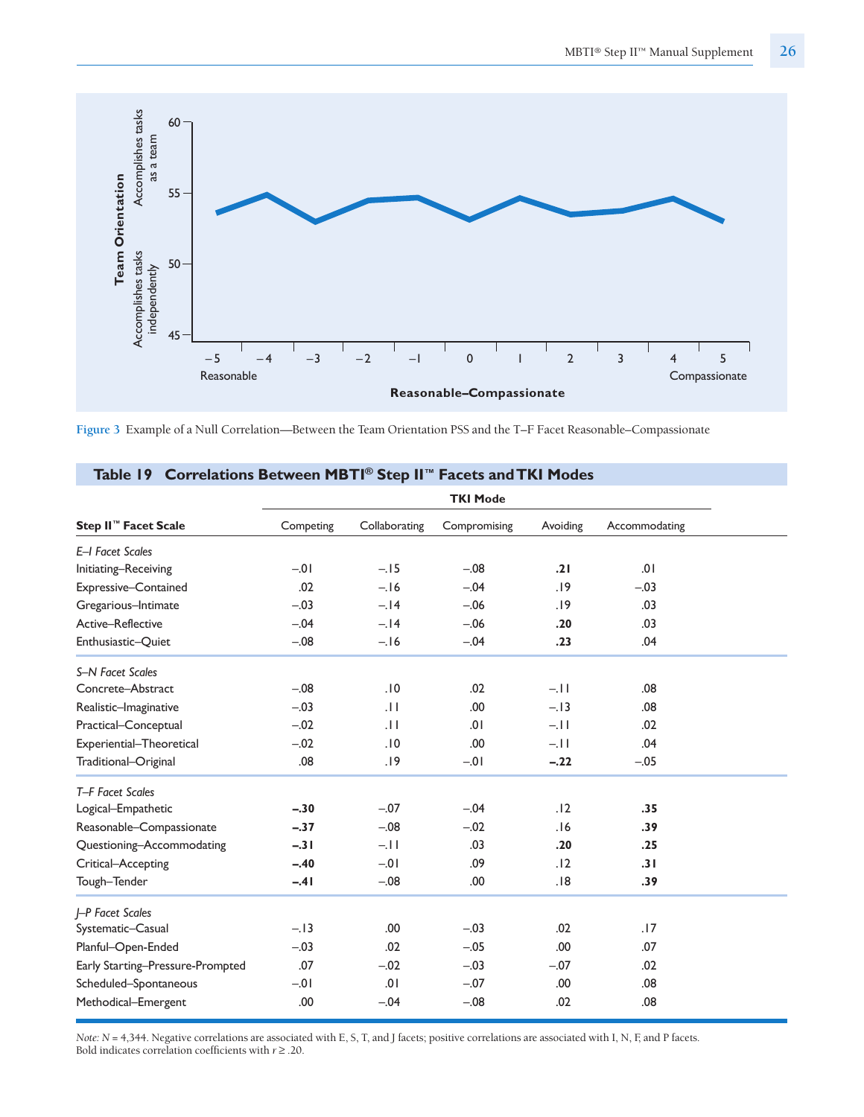

**Figure 3** Example of a Null Correlation—Between the Team Orientation PSS and the T–F Facet Reasonable–Compassionate

| $\frac{1}{2}$                    |           |               |                 |          |               |
|----------------------------------|-----------|---------------|-----------------|----------|---------------|
|                                  |           |               | <b>TKI Mode</b> |          |               |
| Step II <sup>™</sup> Facet Scale | Competing | Collaborating | Compromising    | Avoiding | Accommodating |
| E-I Facet Scales                 |           |               |                 |          |               |
| Initiating-Receiving             | $-0.01$   | $-.15$        | $-.08$          | .21      | .01           |
| Expressive-Contained             | .02       | $-.16$        | $-.04$          | .19      | $-.03$        |
| Gregarious-Intimate              | $-.03$    | $-.14$        | $-.06$          | .19      | .03           |
| Active-Reflective                | $-.04$    | $-.14$        | $-.06$          | .20      | .03           |
| Enthusiastic-Quiet               | $-.08$    | $-.16$        | $-.04$          | .23      | .04           |
| S-N Facet Scales                 |           |               |                 |          |               |
| Concrete-Abstract                | $-.08$    | .10           | .02             | $-11$    | .08           |
| Realistic-Imaginative            | $-.03$    | .11           | .00             | $-.13$   | .08           |
| Practical-Conceptual             | $-.02$    | .11           | 10.             | $-11$    | .02           |
| Experiential-Theoretical         | $-.02$    | .10           | .00             | $-11$    | .04           |
| Traditional-Original             | .08       | .19           | $-0.01$         | $-.22$   | $-.05$        |
| T-F Facet Scales                 |           |               |                 |          |               |
| Logical-Empathetic               | $-.30$    | $-.07$        | $-.04$          | .12      | .35           |
| Reasonable-Compassionate         | $-.37$    | $-.08$        | $-.02$          | .16      | .39           |
| Questioning-Accommodating        | $-.31$    | $-.11$        | .03             | .20      | .25           |
| Critical-Accepting               | $-.40$    | $-0.01$       | .09             | .12      | .31           |
| Tough-Tender                     | $-.41$    | $-.08$        | .00             | .18      | .39           |
| J-P Facet Scales                 |           |               |                 |          |               |
| Systematic-Casual                | $-.13$    | .00           | $-.03$          | .02      | .17           |
| Planful-Open-Ended               | $-.03$    | .02           | $-.05$          | .00      | .07           |
| Early Starting-Pressure-Prompted | .07       | $-.02$        | $-.03$          | $-.07$   | .02           |
| Scheduled-Spontaneous            | $-01$     | 10.           | $-.07$          | .00      | .08           |
| Methodical-Emergent              | .00       | $-.04$        | $-.08$          | .02      | .08           |
|                                  |           |               |                 |          |               |

#### **Table 19 Correlations Between MBTI ® Step II™ Facets andTKI Modes**

*Note: N* = 4,344. Negative correlations are associated with E, S, T, and J facets; positive correlations are associated with I, N, F, and P facets*.* Bold indicates correlation coefficients with  $r\geq .20.$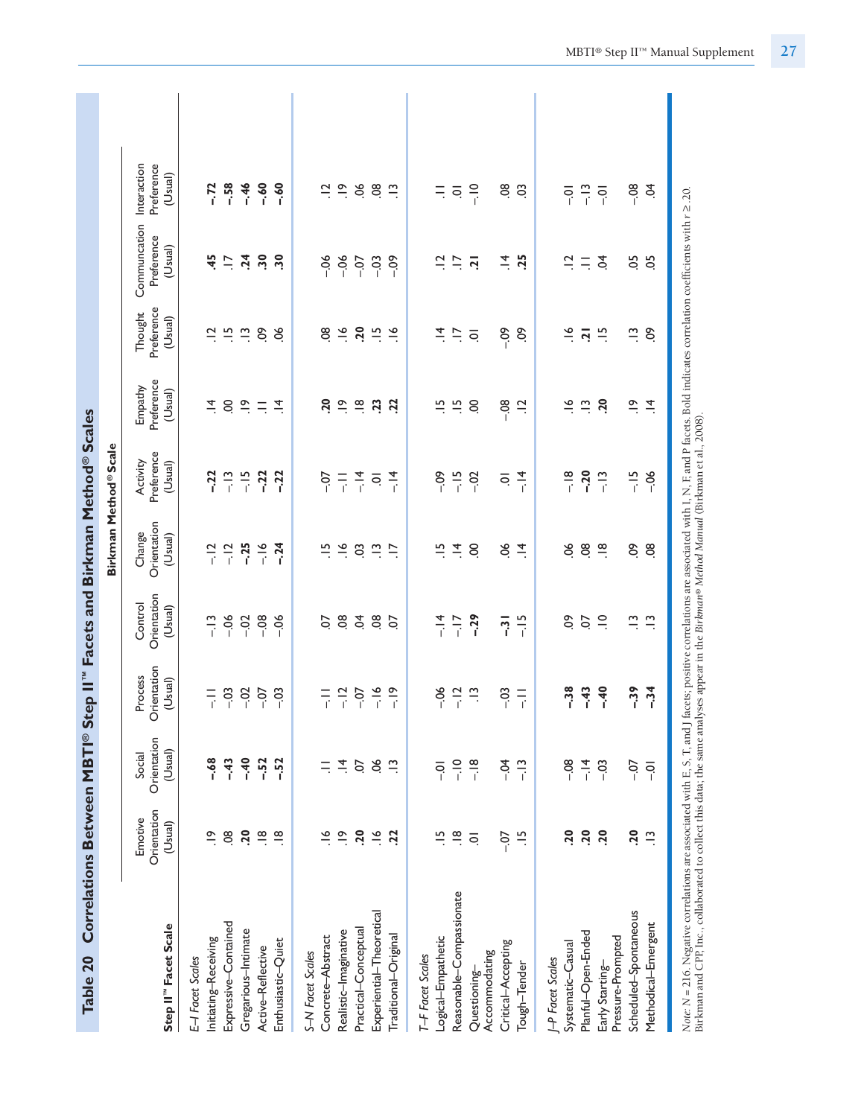| Table 20                                                                   |                                   |                                  |                                   |                                   | Correlations Between MBTI® Step II" Facets and Birkman Method® Scales |                                   |                                  |                                             |                                                                                                                                |                                      |  |
|----------------------------------------------------------------------------|-----------------------------------|----------------------------------|-----------------------------------|-----------------------------------|-----------------------------------------------------------------------|-----------------------------------|----------------------------------|---------------------------------------------|--------------------------------------------------------------------------------------------------------------------------------|--------------------------------------|--|
|                                                                            |                                   |                                  |                                   |                                   |                                                                       | Birkman Method®Scale              |                                  |                                             |                                                                                                                                |                                      |  |
| Step II" Facet Scale                                                       | Orientation<br>Emotive<br>(Usual) | Orientation<br>(Usual)<br>Social | Orientation<br>Process<br>(Usual) | Orientation<br>Control<br>(Usual) | Orientation<br>Change<br>(Usual)                                      | Preference<br>Activity<br>(Usual) | Preference<br>Empathy<br>(Usual) | Preference<br>Thought<br>(Usual)            | Communcation<br>Preference<br>(Usual)                                                                                          | Preference<br>Interaction<br>(Usual) |  |
| E-I Facet Scales                                                           |                                   |                                  |                                   |                                   |                                                                       |                                   |                                  |                                             |                                                                                                                                |                                      |  |
| Initiating-Receiving                                                       | $\tilde{=}$                       | $-68$                            | $\frac{1}{1}$                     | $-13$                             | $-12$                                                                 | $-22$                             | $\vec{a}$                        | $\Xi$                                       | 45                                                                                                                             | $-72$                                |  |
| Expressive-Contained                                                       | $\overline{3}$                    | $-43$                            | $-5^{\circ}$                      | $-06$                             | $-12$<br>$-25$                                                        |                                   | $\mathcal{S}$                    |                                             | $\ddot{=}$                                                                                                                     | $-58$                                |  |
| Gregarious-Intimate                                                        | 50                                | $-40$                            | $-0.2$                            | $-0.02$                           |                                                                       | $-13$<br>$-15$<br>$-22$           | $\frac{\infty}{\cdot}$           | $\ddot{=}$ $\ddot{=}$ $\ddot{=}$ $\ddot{=}$ | $\ddot{a}$                                                                                                                     | $-46$                                |  |
| Active-Reflective                                                          | $\frac{\infty}{\cdot}$            | $-52$                            |                                   | $-08$                             | $-16$                                                                 |                                   | $\equiv$                         |                                             | $\ddot{5}$                                                                                                                     | $-60$                                |  |
| Enthusiastic-Quiet                                                         | $\frac{\infty}{\cdot}$            | $-52$                            | $-03$                             | $-06$                             | $-24$                                                                 | $-22$                             | $\frac{4}{\pi}$                  | 8                                           | $\ddot{.}$                                                                                                                     | $-60$                                |  |
| S-N Facet Scales                                                           |                                   |                                  |                                   |                                   |                                                                       |                                   |                                  |                                             |                                                                                                                                |                                      |  |
| Concrete-Abstract                                                          |                                   | Ξ                                |                                   | S                                 | $\frac{10}{10}$                                                       | $-0$                              | 50                               | $\frac{8}{2}$                               | $-0.6$                                                                                                                         | $\Xi$                                |  |
| Realistic-Imaginative                                                      | $\frac{\infty}{\cdot}$            | $\vec{a}$                        |                                   | $\overline{0}$                    | $\frac{8}{1}$                                                         | 두                                 | $\frac{\infty}{\cdot}$           | $\frac{8}{1}$                               | $-06$                                                                                                                          | $\frac{\infty}{\cdot}$               |  |
| Practical-Conceptual                                                       | $\overline{c}$                    | $\rm O$                          | $-1259$<br>$-1259$<br>$-11$       | Š.                                | $\overline{0}$                                                        | $\frac{4}{1}$                     | $\frac{\infty}{\cdot}$           | $\overline{20}$                             | $-0$                                                                                                                           | 9G.                                  |  |
| Experiential-Theoretical                                                   | $\frac{6}{1}$                     | $\mathcal{S}^{\mathcal{C}}$      |                                   | $\overline{0}$                    | $\frac{1}{2}$                                                         | $\bar{\circ}$                     | $\overline{23}$                  | $\frac{5}{1}$                               | $-03$                                                                                                                          | $\ddot{\circ}$                       |  |
| Traditional-Original                                                       | $\ddot{c}$                        | $\tilde{=}$                      |                                   | ρÓ                                | $\ddot{=}$                                                            | $\frac{1}{4}$                     | $\ddot{c}$                       | $\frac{8}{10}$                              | $-0.9$                                                                                                                         | $\tilde{\Xi}$                        |  |
| T-F Facet Scales                                                           |                                   |                                  |                                   |                                   |                                                                       |                                   |                                  |                                             |                                                                                                                                |                                      |  |
| Logical-Empathetic                                                         | $\frac{5}{1}$                     | $\overline{0}$ .                 | $-06$                             | $-14$                             | $\frac{5}{1}$                                                         | $-0.09$                           | $\frac{5}{1}$                    | $\vec{a}$                                   | $\Xi$                                                                                                                          | Ξ                                    |  |
| Reasonable-Compassionate                                                   | $\frac{8}{1}$                     | $\frac{1}{2}$                    | $-12$                             | $-17$                             | $\vec{a}$                                                             | $-15$                             | $\frac{10}{10}$                  | $\ddot{=}$                                  | $\overline{\phantom{a}}$                                                                                                       | $\overline{\mathsf{o}}$              |  |
| Accommodating<br>Questioning-                                              | $\overline{\circ}$                | $-18$                            | $\tilde{\Xi}$                     | $-29$                             | S.                                                                    | $-02$                             | S                                | $\overline{\circ}$                          | $\overline{5}$                                                                                                                 | $rac{1}{i}$                          |  |
| Critical-Accepting                                                         | $-0.7$                            | $-0.4$                           | $-03$                             | $\overline{3}$                    | 9O.                                                                   | $\overline{\circ}$                | $-0.8$                           | $-0.09$                                     | $\vec{a}$                                                                                                                      | $\overline{8}$                       |  |
| Tough-Tender                                                               | $\frac{10}{10}$                   | $-13$                            | $\overline{a}$                    | $-15$                             | $\vec{=}$                                                             | $-14$                             | $\overline{a}$                   | S.                                          | .25                                                                                                                            | C <sub>3</sub>                       |  |
| <b>P</b> Facet Scales                                                      |                                   |                                  |                                   |                                   |                                                                       |                                   |                                  |                                             |                                                                                                                                |                                      |  |
| Systematic-Casual                                                          | .20                               | $-08$                            | $-38$                             | S.                                | 8ġ                                                                    | $-18$                             | $\tilde{\vec{z}}$                | $\tilde{\sigma}$                            |                                                                                                                                | $\overline{Q}$                       |  |
| Planful-Open-Ended                                                         | $\overline{.20}$                  | $-14$                            | $-43$                             | CO.                               | 08                                                                    | $-20$                             | $\frac{1}{2}$                    | $\overline{a}$                              | $\vec{a} \equiv \vec{a}$                                                                                                       | $-13$                                |  |
| Pressure-Prompted<br>Early Starting-                                       | 20                                | $-03$                            | $-40$                             | $\supseteq$                       | $\frac{\infty}{\cdot}$                                                | $-13$                             | 20                               | $\frac{15}{1}$                              |                                                                                                                                | $\overline{Q}$                       |  |
| Scheduled-Spontaneous                                                      | $\overline{.20}$                  | $-0$                             | $-39$                             | $\tilde{\Xi}$                     | $\mathcal{S}$                                                         | $-15$                             | $\frac{6}{1}$                    | $\tilde{\Xi}$                               | 50                                                                                                                             | $-08$                                |  |
| Methodical-Emergent                                                        | $\tilde{=}$                       | $\overline{Q}$                   | $-34$                             | $\frac{1}{2}$                     | $\frac{8}{2}$                                                         | $-06$                             | $\vec{a}$                        | δ,                                          | 5O                                                                                                                             | Ř                                    |  |
| Note: $N = 216$ . Negative correlations are associated with E, S, T, and J |                                   |                                  |                                   |                                   |                                                                       |                                   |                                  |                                             | facets; positive correlations are associated with I, N, F, and P facets. Bold indicates correlation coefficients with r ≥ .20. |                                      |  |

Birkman and CPP, Inc., collaborated to collect this data; the same analyses appear in the Birkman® Method Manual (Birkman et al., 2008). Birkman and CPP, Inc., collaborated to collect this data; the same analyses appear in the *Birkman® Method Manual* (Birkman et al., 2008).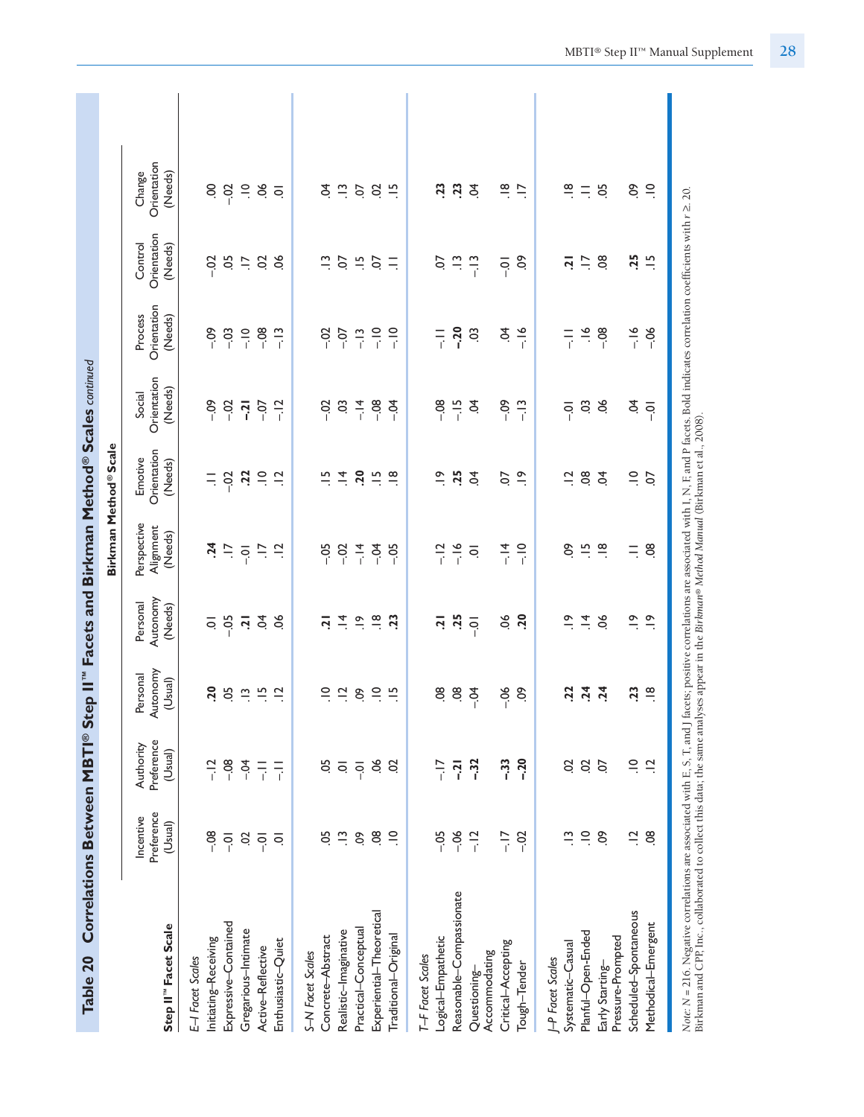| Table 20                                                                                                                                                                                                                          |                                    |                                    | Correlations Between MBTI® Step II" Facets and Birkman Method® Scales continued |                                           |                                                                                                                                  |                                   |                                  |                                   |                                         |                                               |  |
|-----------------------------------------------------------------------------------------------------------------------------------------------------------------------------------------------------------------------------------|------------------------------------|------------------------------------|---------------------------------------------------------------------------------|-------------------------------------------|----------------------------------------------------------------------------------------------------------------------------------|-----------------------------------|----------------------------------|-----------------------------------|-----------------------------------------|-----------------------------------------------|--|
|                                                                                                                                                                                                                                   |                                    |                                    |                                                                                 |                                           |                                                                                                                                  | Birkman Method®Scale              |                                  |                                   |                                         |                                               |  |
| Step II" Facet Scale                                                                                                                                                                                                              | Preference<br>Incentive<br>(Usual) | Preference<br>Authority<br>(Usual) | Autonomy<br>Personal<br>(Usual)                                                 | Autonomy<br>Personal<br>(Needs)           | Perspective<br>Alignment<br>(Needs)                                                                                              | Orientation<br>Emotive<br>(Needs) | Orientation<br>(Needs)<br>Social | Orientation<br>Process<br>(Needs) | Orientation<br>Control<br>(Needs)       | Orientation<br>(Needs)<br>Change              |  |
| E-I Facet Scales                                                                                                                                                                                                                  |                                    |                                    |                                                                                 |                                           |                                                                                                                                  |                                   |                                  |                                   |                                         |                                               |  |
| Initiating-Receiving                                                                                                                                                                                                              | $-08$                              | $-12$                              | 20                                                                              | $\overline{\circ}$                        | $\ddot{a}$                                                                                                                       |                                   | $-0.0$                           | $-0.09$                           | $-0.2$                                  |                                               |  |
| Expressive-Contained                                                                                                                                                                                                              | $\overline{Q}$                     | $-08$                              |                                                                                 |                                           |                                                                                                                                  |                                   | $-02$                            | $-03$                             |                                         | $8\frac{8}{1}$                                |  |
| Gregarious-Intimate                                                                                                                                                                                                               | $\ddot{\mathrm{S}}$                | $-0.4$                             | $52 - 3$                                                                        |                                           | $\frac{7}{7}$ $\frac{6}{7}$ $\frac{1}{7}$                                                                                        | $=$ $\frac{5}{1}$ $\frac{5}{1}$   | $\overline{a}$                   | $\frac{1}{2}$                     |                                         | $\Xi$                                         |  |
| Active-Reflective                                                                                                                                                                                                                 | $\overline{Q}$                     | $\overline{a}$                     | $\frac{15}{1}$                                                                  | $\frac{5}{6}$ $\frac{1}{2}$ $\frac{5}{4}$ |                                                                                                                                  | $\Xi$                             | $-0$                             | $-08$                             | $\ddot{\mathcal{S}} \ddot{\mathcal{S}}$ | ð.                                            |  |
| Enthusiastic-Quiet                                                                                                                                                                                                                | $\overline{Q}$                     | $\frac{1}{1}$                      | $\frac{1}{2}$                                                                   | 8                                         | $\frac{1}{2}$                                                                                                                    | $\frac{1}{2}$                     | $-12$                            | $-13$                             | $\infty$                                | $\overline{Q}$                                |  |
| S-N Facet Scales                                                                                                                                                                                                                  |                                    |                                    |                                                                                 |                                           |                                                                                                                                  |                                   |                                  |                                   |                                         |                                               |  |
| Concrete-Abstract                                                                                                                                                                                                                 | 5C                                 | 5Ċ                                 |                                                                                 | <u>ri</u>                                 | $-0.5$                                                                                                                           | $\frac{5}{1}$                     | $-0.7$                           | $-0.02$                           |                                         | £                                             |  |
| Realistic-Imaginative                                                                                                                                                                                                             | $\frac{1}{2}$                      | $\overline{\circ}$                 | $\frac{1}{2}$ $\frac{1}{2}$                                                     |                                           | $-02$                                                                                                                            | $\frac{4}{1}$                     | $\ddot{0}$                       | $-0.7$                            | $\vec{u}$ $\vec{e}$ $\vec{u}$ $\vec{e}$ |                                               |  |
| Practical-Conceptual                                                                                                                                                                                                              | $\ddot{\circ}$                     | $\overline{S}$                     | $\mathfrak{S}$                                                                  | $\frac{4}{7}$ $\frac{6}{7}$               | $-14$                                                                                                                            | 20                                |                                  | $-13$                             |                                         | $\frac{1}{2}$ $\frac{5}{2}$                   |  |
| Experiential-Theoretical                                                                                                                                                                                                          | $\overline{3}$                     | 9G                                 | $\equiv$                                                                        | $\frac{\infty}{\cdot}$                    | $-54$                                                                                                                            | $\frac{5}{1}$                     | $-1.8$                           | $\frac{1}{2}$                     |                                         | S                                             |  |
| Traditional-Original                                                                                                                                                                                                              | $\supseteq$                        | S                                  | $\frac{15}{1}$                                                                  | $\ddot{c}$                                | $-0.5$                                                                                                                           | $\frac{\infty}{\cdot}$            | $-5$                             | $\frac{1}{1}$                     | $\equiv$                                | $\frac{10}{10}$                               |  |
| T-F Facet Scales                                                                                                                                                                                                                  |                                    |                                    |                                                                                 |                                           |                                                                                                                                  |                                   |                                  |                                   |                                         |                                               |  |
| Logical-Empathetic                                                                                                                                                                                                                | $-0.5$                             | $\frac{1}{i}$                      | $\overline{3}$                                                                  | 5                                         |                                                                                                                                  | $\tilde{=}$                       | $-08$                            | $\frac{1}{1}$                     | S                                       | $\overline{23}$                               |  |
| Reasonable-Compassionate                                                                                                                                                                                                          | $-06$                              | $-21$                              | $\ddot{\circ}$                                                                  | .25                                       | $-12$<br>$-16$                                                                                                                   | .25                               | $-15$                            | $-20$                             | $\frac{3}{2}$                           | $\overline{23}$                               |  |
| Accommodating<br>Questioning-                                                                                                                                                                                                     | $-12$                              | $-32$                              | $-5$                                                                            | $\overline{S}$                            | $\overline{Q}$                                                                                                                   | $\overline{5}$                    | Ś.                               | S.                                |                                         | \$                                            |  |
| Critical-Accepting                                                                                                                                                                                                                | $\frac{1}{1}$                      | $-33$                              | $-06$                                                                           | $50$ .                                    | $-14$                                                                                                                            | S.                                | $-0.9$                           | Ś.                                | $-0$                                    |                                               |  |
| Tough-Tender                                                                                                                                                                                                                      | $-02$                              | $-20$                              | δ,                                                                              | <b>PC</b>                                 | $\frac{1}{2}$                                                                                                                    | $\tilde{=}$                       | $-13$                            | $-16$                             | <u>၉</u>                                | $\frac{\infty}{\cdot}$ $\frac{\infty}{\cdot}$ |  |
| J-P Facet Scales                                                                                                                                                                                                                  |                                    |                                    |                                                                                 |                                           |                                                                                                                                  |                                   |                                  |                                   |                                         |                                               |  |
| Systematic-Casual                                                                                                                                                                                                                 | $\tilde{\Xi}$                      | S                                  | 22                                                                              | $\tilde{=}$                               | S.                                                                                                                               | $\Xi$                             | $\overline{0}$ .                 | 目子                                | <u>ri</u>                               | $\stackrel{\infty}{\cdot}$                    |  |
| Planful-Open-Ended                                                                                                                                                                                                                | $\supseteq$                        | $\mathcal{S}$                      | $74$<br>$74$                                                                    | $\frac{1}{4}$ %                           | $\frac{15}{2}$ $\frac{8}{2}$                                                                                                     | $\overline{0}$                    | $\frac{3}{2}$                    | $\frac{6}{1}$                     | $\frac{5}{1}$ 8                         | $\equiv$                                      |  |
| Early Starting-                                                                                                                                                                                                                   | S.                                 | $\overline{0}$                     |                                                                                 |                                           |                                                                                                                                  | $\overline{5}$                    |                                  | $-08$                             |                                         | 5O                                            |  |
| Pressure-Prompted                                                                                                                                                                                                                 |                                    |                                    |                                                                                 |                                           | $\equiv$                                                                                                                         |                                   |                                  |                                   |                                         |                                               |  |
| Scheduled-Spontaneous                                                                                                                                                                                                             | $\ddot{a}$                         | $\supseteq$                        | 23                                                                              | $\frac{8}{1}$                             |                                                                                                                                  | $\supseteq$                       | Ş.                               | $-16$                             | .25                                     | S.                                            |  |
| Methodical-Emergent                                                                                                                                                                                                               | $\frac{8}{2}$                      | $\frac{1}{2}$                      | $\frac{\infty}{\cdot}$                                                          | $\frac{\infty}{\cdot}$                    | $\overline{0}$                                                                                                                   | S.                                | $\overline{Q}$                   | $-06$                             | $\frac{15}{1}$                          | $\supseteq$                                   |  |
| Note: N = 216. Negative correlations are associated with F, S, T, and J facets; positive correlations are associated with I, N, F, and P facets.<br>Birkman and CPP, Inc., collaborated to collect this data; the same analyses a |                                    |                                    |                                                                                 |                                           | facets; positive correlations are associated with I, N, F, and P facets. Bold indicates correlation coefficients with $r \ge 20$ |                                   |                                  |                                   |                                         |                                               |  |

MBTI® Step II™ Manual Supplement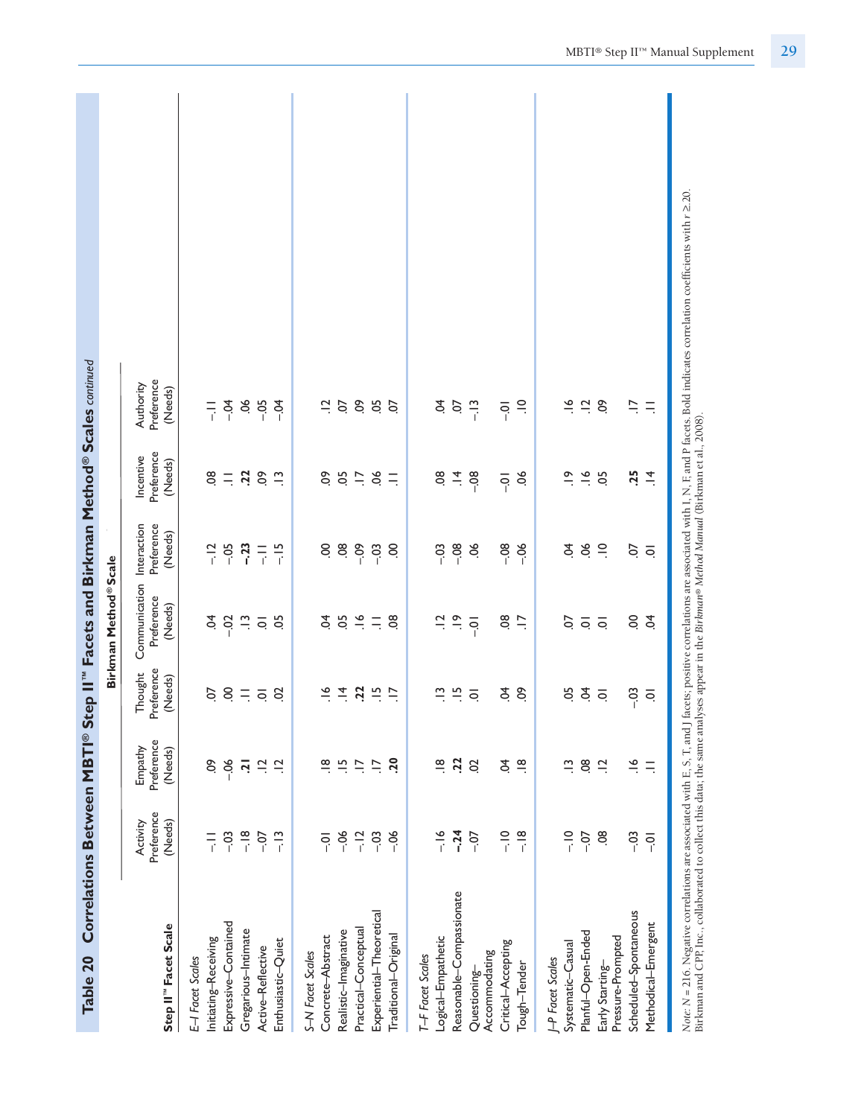| Table 20                             |                                   |                                  |                                  | Correlations Between MBTI® Step II" Facets and Birkman Method® Scales continued |                       |                                    |                                                                                                                                                                                                       |
|--------------------------------------|-----------------------------------|----------------------------------|----------------------------------|---------------------------------------------------------------------------------|-----------------------|------------------------------------|-------------------------------------------------------------------------------------------------------------------------------------------------------------------------------------------------------|
|                                      |                                   |                                  |                                  | Birkman Method <sup>®</sup> Scale                                               |                       |                                    |                                                                                                                                                                                                       |
| Step II" Facet Scale                 | Preference<br>(Needs)<br>Activity | Preference<br>Empathy<br>(Needs) | Preference<br>Thought<br>(Needs) | Communication Interaction<br>Preference<br>(Needs)                              | Preference<br>(Needs) | Preference<br>Incentive<br>(Needs) | Preference<br>Authority<br>(Needs)                                                                                                                                                                    |
| E-I Facet Scales                     |                                   |                                  |                                  |                                                                                 |                       |                                    |                                                                                                                                                                                                       |
| Initiating-Receiving                 | $\frac{-}{4}$                     | ငံ                               | S.                               | Ş                                                                               | $-12$                 | $\overline{8}$                     | $\frac{1}{i}$                                                                                                                                                                                         |
| Expressive-Contained                 | $-03$                             | $-06$                            |                                  | $-02$                                                                           | $-0.5$                | $\equiv$                           | $-5$                                                                                                                                                                                                  |
| Gregarious-Intimate                  | $\frac{8}{1}$                     | $\overline{5}$                   | $8 = 58$                         | $\vec{a}$                                                                       | $-23$                 | $\overline{z}$                     |                                                                                                                                                                                                       |
| Active-Reflective                    | $-0.7$                            | $\overline{a}$                   |                                  | $\overline{\circ}$                                                              | 듶                     | So                                 | $80 - 05$                                                                                                                                                                                             |
| Enthusiastic-Quiet                   | $-13$                             | $\frac{1}{2}$                    |                                  | 5O                                                                              | $-15$                 | $\tilde{=}$                        | $-04$                                                                                                                                                                                                 |
| S-N Facet Scales                     |                                   |                                  |                                  |                                                                                 |                       |                                    |                                                                                                                                                                                                       |
| Concrete-Abstract                    | $\overline{Q}$                    | $\frac{\infty}{\cdot}$           | $\leq$                           | S.                                                                              | S.                    | δo                                 | $\Xi$                                                                                                                                                                                                 |
| Realistic-Imaginative                | $-06$                             | $\frac{15}{1}$                   | $\vec{=}$                        | .05                                                                             | $\overline{0}$        | 05                                 | S.                                                                                                                                                                                                    |
| Practical-Conceptual                 | $-12$                             | F.                               | $\overline{2}$                   | $\leq$ $=$                                                                      | $-0.09$               | $\overline{a}$                     | $\overline{6}$                                                                                                                                                                                        |
| Experiential-Theoretical             | $-0.3$                            | $\ddot{=}$                       | $\frac{15}{2}$                   |                                                                                 | $-03$                 | $\infty$                           | 50                                                                                                                                                                                                    |
| Traditional-Original                 | $-06$                             | <b>PC</b>                        |                                  | $\frac{8}{2}$                                                                   | S                     | $\equiv$                           | S.                                                                                                                                                                                                    |
| T-F Facet Scales                     |                                   |                                  |                                  |                                                                                 |                       |                                    |                                                                                                                                                                                                       |
| Logical-Empathetic                   | $-16$                             | $\frac{\infty}{\cdot}$           | $\tilde{\Xi}$                    | $\Xi$                                                                           | $-03$                 | 80                                 | Ş                                                                                                                                                                                                     |
| Reasonable-Compassionate             | $-24$                             | 22                               | $\frac{10}{10}$                  | $\frac{\infty}{\cdot}$                                                          | $-08$                 | $\vec{a}$                          | CO.                                                                                                                                                                                                   |
| Questioning-                         | $-0$                              | S                                | $\overline{Q}$                   | $\overline{Q}$                                                                  | ð.                    | $-08$                              | $-13$                                                                                                                                                                                                 |
| Critical-Accepting<br>Accommodating  | $\frac{1}{1}$                     | Ş                                | \$                               | $\overline{8}$                                                                  | $-0.8$                | $\overline{O}$ .                   | $\overline{q}$                                                                                                                                                                                        |
| Tough-Tender                         | $\frac{8}{1}$                     | $\frac{\infty}{\cdot}$           | $\delta$                         | $\ddot{=}$                                                                      | $-06$                 | ð.                                 | $\equiv$                                                                                                                                                                                              |
| <b>P</b> Facet Scales                |                                   |                                  |                                  |                                                                                 |                       |                                    |                                                                                                                                                                                                       |
| Systematic-Casual                    | $\frac{1}{1}$                     | $\tilde{\mathbf{u}}$             | 5Ö                               | S.                                                                              | Ş.                    | $\tilde{=}$                        |                                                                                                                                                                                                       |
| Planful-Open-Ended                   | $-0.7$                            | $\overline{0}$                   | $\dot{q}$ $\dot{q}$              | $\overline{Q}$                                                                  | 80                    | $\frac{8}{1}$                      | $\frac{6}{1}$ $\frac{1}{2}$                                                                                                                                                                           |
| Pressure-Prompted<br>Early Starting- | $\overline{0}$                    | $\frac{1}{2}$                    |                                  |                                                                                 |                       | 05                                 | SO.                                                                                                                                                                                                   |
| Scheduled-Spontaneous                | $-03$                             | $\frac{6}{1}$                    | $-03$                            | S                                                                               | S.                    | $\ddot{5}$                         | $\overline{a}$                                                                                                                                                                                        |
| Methodical-Emergent                  | $\overline{Q}$                    | $\equiv$                         | ਼                                | $\tilde{S}$                                                                     | $\overline{Q}$        | $\vec{=}$                          | $\equiv$                                                                                                                                                                                              |
|                                      |                                   |                                  |                                  |                                                                                 |                       |                                    | Note: N = 216. Negative correlations are associated with E, S, T, and J facets; positive correlations are associated with I, N, F, and P facets. Bold indicates correlation coefficients with r ≥.20. |

Birkman and CPP, Inc., collaborated to collect this data; the same analyses appear in the Birkman® Method Manual (Birkman et al., 2008). Birkman and CPP, Inc., collaborated to collect this data; the same analyses appear in the *Birkman® Method Manual* (Birkman et al., 2008).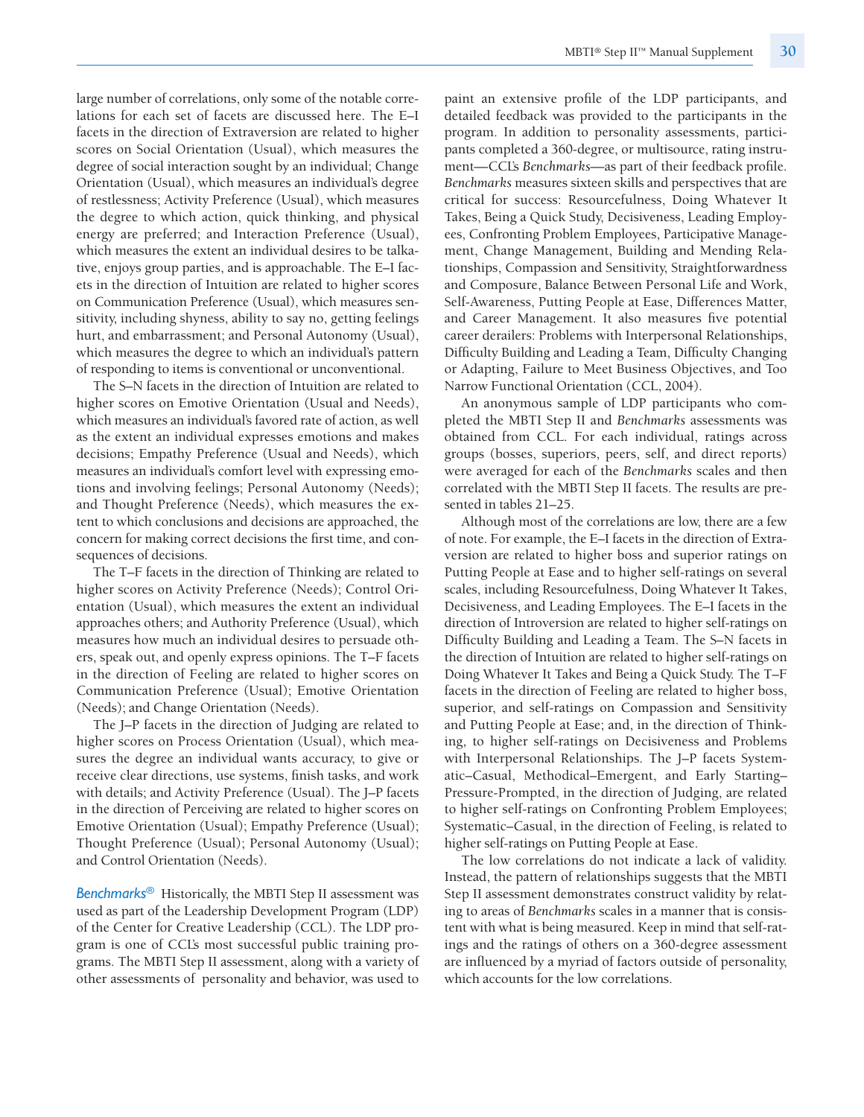large number of correlations, only some of the notable correlations for each set of facets are discussed here. The E–I facets in the direction of Extraversion are related to higher scores on Social Orientation (Usual), which measures the degree of social interaction sought by an individual; Change Orientation (Usual), which measures an individual's degree of restlessness; Activity Preference (Usual), which measures the degree to which action, quick thinking, and physical energy are preferred; and Interaction Preference (Usual), which measures the extent an individual desires to be talkative, enjoys group parties, and is approachable. The E–I facets in the direction of Intuition are related to higher scores on Communication Preference (Usual), which measures sensitivity, including shyness, ability to say no, getting feelings hurt, and embarrassment; and Personal Autonomy (Usual), which measures the degree to which an individual's pattern of responding to items is conventional or unconventional.

The S–N facets in the direction of Intuition are related to higher scores on Emotive Orientation (Usual and Needs), which measures an individual's favored rate of action, as well as the extent an individual expresses emotions and makes decisions; Empathy Preference (Usual and Needs), which measures an individual's comfort level with expressing emotions and involving feelings; Personal Autonomy (Needs); and Thought Preference (Needs), which measures the extent to which conclusions and decisions are approached, the concern for making correct decisions the first time, and consequences of decisions.

The T–F facets in the direction of Thinking are related to higher scores on Activity Preference (Needs); Control Orientation (Usual), which measures the extent an individual approaches others; and Authority Preference (Usual), which measures how much an individual desires to persuade others, speak out, and openly express opinions. The T–F facets in the direction of Feeling are related to higher scores on Communication Preference (Usual); Emotive Orientation (Needs); and Change Orientation (Needs).

The J–P facets in the direction of Judging are related to higher scores on Process Orientation (Usual), which measures the degree an individual wants accuracy, to give or receive clear directions, use systems, finish tasks, and work with details; and Activity Preference (Usual). The J–P facets in the direction of Perceiving are related to higher scores on Emotive Orientation (Usual); Empathy Preference (Usual); Thought Preference (Usual); Personal Autonomy (Usual); and Control Orientation (Needs).

*Benchmarks®* Historically, the MBTI Step II assessment was used as part of the Leadership Development Program (LDP) of the Center for Creative Leadership (CCL). The LDP program is one of CCL's most successful public training programs. The MBTI Step II assessment, along with a variety of other assessments of personality and behavior, was used to paint an extensive profile of the LDP participants, and detailed feedback was provided to the participants in the program. In addition to personality assessments, participants completed a 360-degree, or multisource, rating instrument—CCL's *Benchmarks*—as part of their feedback profile. *Benchmarks* measures sixteen skills and perspectives that are critical for success: Resourcefulness, Doing Whatever It Takes, Being a Quick Study, Decisiveness, Leading Employees, Confronting Problem Employees, Participative Management, Change Management, Building and Mending Relationships, Compassion and Sensitivity, Straightforwardness and Composure, Balance Between Personal Life and Work, Self-Awareness, Putting People at Ease, Differences Matter, and Career Management. It also measures five potential career derailers: Problems with Interpersonal Relationships, Difficulty Building and Leading a Team, Difficulty Changing or Adapting, Failure to Meet Business Objectives, and Too Narrow Functional Orientation (CCL, 2004).

An anonymous sample of LDP participants who completed the MBTI Step II and *Benchmarks* assessments was obtained from CCL. For each individual, ratings across groups (bosses, superiors, peers, self, and direct reports) were averaged for each of the *Benchmarks* scales and then correlated with the MBTI Step II facets. The results are presented in tables 21–25.

Although most of the correlations are low, there are a few of note. For example, the E–I facets in the direction of Extraversion are related to higher boss and superior ratings on Putting People at Ease and to higher self-ratings on several scales, including Resourcefulness, Doing Whatever It Takes, Decisiveness, and Leading Employees. The E–I facets in the direction of Introversion are related to higher self-ratings on Difficulty Building and Leading a Team. The S–N facets in the direction of Intuition are related to higher self-ratings on Doing Whatever It Takes and Being a Quick Study. The T–F facets in the direction of Feeling are related to higher boss, superior, and self-ratings on Compassion and Sensitivity and Putting People at Ease; and, in the direction of Thinking, to higher self-ratings on Decisiveness and Problems with Interpersonal Relationships. The J–P facets Systematic–Casual, Methodical–Emergent, and Early Starting– Pressure-Prompted, in the direction of Judging, are related to higher self-ratings on Confronting Problem Employees; Systematic–Casual, in the direction of Feeling, is related to higher self-ratings on Putting People at Ease.

The low correlations do not indicate a lack of validity. Instead, the pattern of relationships suggests that the MBTI Step II assessment demonstrates construct validity by relating to areas of *Benchmarks* scales in a manner that is consistent with what is being measured. Keep in mind that self-ratings and the ratings of others on a 360-degree assessment are influenced by a myriad of factors outside of personality, which accounts for the low correlations.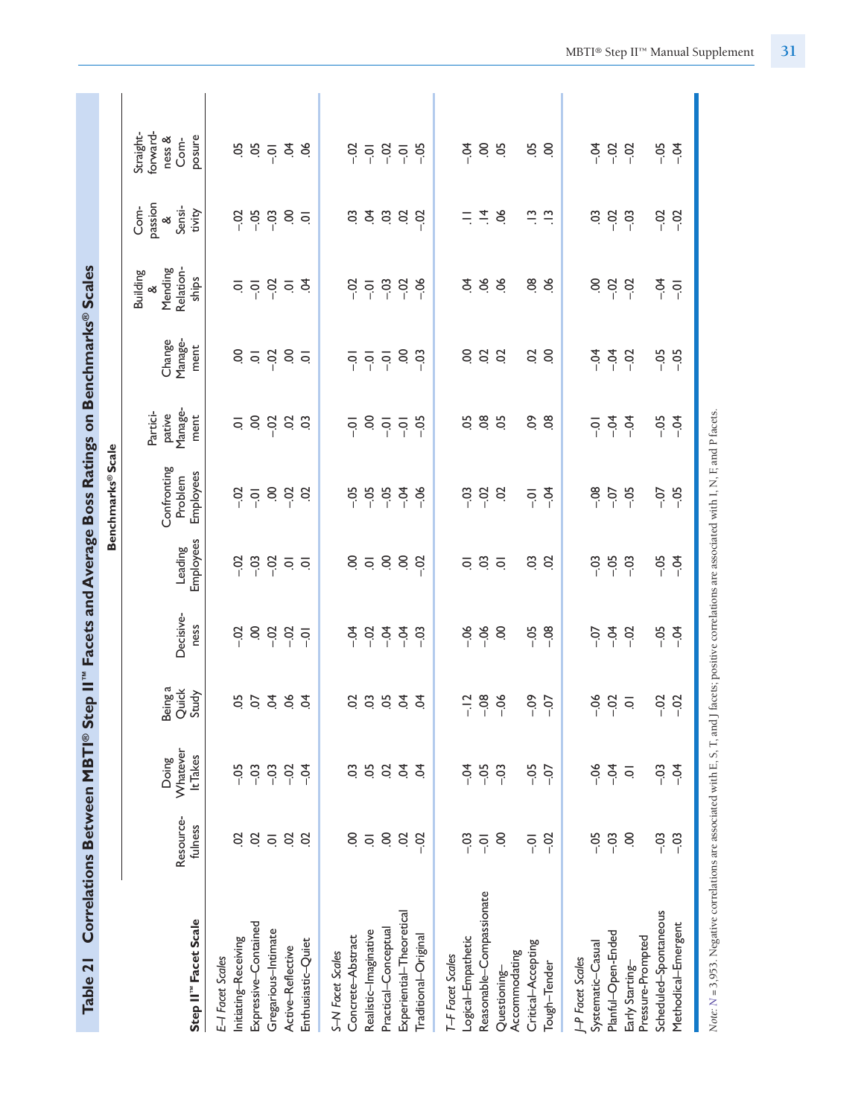| Table 21                             |                         |                               |                           |                   |                      | Correlations Between MBTI® Step II" Facets and Average Boss Ratings on Benchmarks® Scales |                                                                                                                      |                                              |                                                       |                                                 |                                                   |
|--------------------------------------|-------------------------|-------------------------------|---------------------------|-------------------|----------------------|-------------------------------------------------------------------------------------------|----------------------------------------------------------------------------------------------------------------------|----------------------------------------------|-------------------------------------------------------|-------------------------------------------------|---------------------------------------------------|
|                                      |                         |                               |                           |                   |                      | Benchmarks® Scale                                                                         |                                                                                                                      |                                              |                                                       |                                                 |                                                   |
| Step II" Facet Scale                 | Resource-<br>fulness    | Whatever<br>It Takes<br>Doing | Being a<br>Quick<br>Study | Decisive-<br>ness | Employees<br>Leading | Confronting<br>Employees<br>Problem                                                       | Manage-<br>Partici-<br>pative<br>ment                                                                                | Manage-<br>Change<br>ment                    | Relation-<br>Mending<br><b>Building</b><br>ships<br>ళ | passion<br>Com-<br>Sensi-<br>tivity<br>$\infty$ | forward-<br>Straight-<br>posure<br>ness &<br>Com- |
| E-I Facet Scales                     |                         |                               |                           |                   |                      |                                                                                           |                                                                                                                      |                                              |                                                       |                                                 |                                                   |
| Initiating-Receiving                 | S                       | $-0.5$                        | $5\overline{5}$           | $-0.2$            | $-0.2$               | $-0$                                                                                      |                                                                                                                      | S.                                           |                                                       | Sö-                                             |                                                   |
| Expressive-Contained                 | $\overline{5}$          | $-03$                         |                           | S.                | $-03$                | $\overline{Q}$                                                                            |                                                                                                                      | $\overline{\circ}$                           |                                                       | $-0.5$                                          |                                                   |
| Gregarious-Intimate                  | $\overline{\mathsf{o}}$ | $-03$                         | Š.                        | $-0.02$           | $-02$                | $\ddot{\circ}$                                                                            |                                                                                                                      | $-02$                                        |                                                       | $-03$                                           |                                                   |
| Active-Reflective                    | S<br>$\overline{c}$     | $-02$                         | 8                         | $-02$             | $\overline{Q}$       | $-02$                                                                                     | $\frac{1}{2}$ $\frac{1}{2}$ $\frac{1}{2}$ $\frac{1}{2}$ $\frac{1}{2}$ $\frac{1}{2}$ $\frac{1}{2}$                    | $6\overline{0}$                              | ㅎㅎㅎㅎ                                                  | $\frac{1}{2}$                                   | $5.59$ $\frac{1}{2}$ $\frac{1}{2}$ $\frac{1}{2}$  |
| Enthusiastic-Quiet                   |                         | $-54$                         | \$                        | $\overline{Q}$    |                      | S                                                                                         |                                                                                                                      |                                              |                                                       |                                                 |                                                   |
| S-N Facet Scales                     |                         |                               |                           |                   |                      |                                                                                           |                                                                                                                      |                                              |                                                       |                                                 |                                                   |
| Concrete-Abstract                    | S                       | S.                            | S                         | $rac{1}{2}$       | 8588                 | $-0.5$                                                                                    | $\overline{5}$ , $\overline{6}$ , $\overline{6}$ , $\overline{6}$ , $\overline{6}$ , $\overline{6}$ , $\overline{1}$ |                                              | $rac{3}{1}$ $rac{5}{1}$                               | s z s s s s                                     |                                                   |
| Realistic-Imaginative                | $\overline{\mathsf{o}}$ | 50                            | 3933                      | $-23.5$           |                      | $-05$                                                                                     |                                                                                                                      | $\overline{5}$ $\overline{5}$ $\overline{5}$ |                                                       |                                                 |                                                   |
| Practical-Conceptual                 | S                       | S                             |                           |                   |                      | $-05$                                                                                     |                                                                                                                      |                                              | 38.8                                                  |                                                 |                                                   |
| Experiential-Theoretical             | S                       | S.                            |                           | $-0.4$            |                      | $-54$                                                                                     |                                                                                                                      | S.                                           |                                                       |                                                 |                                                   |
| Traditional-Original                 | $-02$                   | £,                            |                           | $-03$             |                      | $-0.5$                                                                                    |                                                                                                                      | - ၁                                          |                                                       |                                                 |                                                   |
| T-F Facet Scales                     |                         |                               |                           |                   |                      |                                                                                           |                                                                                                                      |                                              |                                                       |                                                 |                                                   |
| Logical-Empathetic                   | $-03$                   | $-5$                          | $-12$                     | $-0.6$            | $\overline{Q}$       | $-03$                                                                                     | 5o                                                                                                                   | S                                            | $\tilde{q}$                                           |                                                 | $-5$                                              |
| Reasonable-Compassionate             | $\overline{q}$          | $-05$                         | $-0.8$                    | $-06$             | $\overline{a}$       | $-02$                                                                                     | $\overline{0}$                                                                                                       | $\overline{5}$                               | 88                                                    | $= 48$                                          | 8 g                                               |
| Questioning-                         | S                       | $-03$                         | $-06$                     | S                 |                      | S                                                                                         | 5g                                                                                                                   | S                                            |                                                       |                                                 |                                                   |
| Critical-Accepting<br>Accommodating  | $\overline{Q}$          | $-0.5$                        | $-0.09$                   | $-0.5$            |                      | $\overline{0}$ .                                                                          |                                                                                                                      | SÖ                                           |                                                       |                                                 |                                                   |
| Tough-Tender                         | $-02$                   | $-0$                          | $-0$                      | $-08$             | S S                  | $-54$                                                                                     | <b>e</b> es                                                                                                          | S.                                           | 8.8                                                   | $\frac{m}{2}$ $\frac{m}{2}$                     | <b>S</b> S                                        |
| J-P Facet Scales                     |                         |                               |                           |                   |                      |                                                                                           |                                                                                                                      |                                              |                                                       |                                                 |                                                   |
| Systematic-Casual                    | $-0.5$                  | $-06$                         | $-06$                     | $-0$              | $-0.3$               | $-08$                                                                                     | $\overline{q}$                                                                                                       | $-5$                                         | S.                                                    | So                                              | $\overline{5}$ .                                  |
| Planful-Open-Ended                   | $-03$                   | $-5$                          | $-0.02$                   | $-0.4$            | $-0.5$               | $-0$                                                                                      | $\frac{1}{2}$ $\frac{1}{2}$                                                                                          | $-32$                                        | $-02$                                                 | $-02$                                           | $\frac{5}{1}$                                     |
| Pressure-Prompted<br>Early Starting- | S                       | $\overline{\circ}$            | $\overline{\mathsf{o}}$   | $-02$             | $-03$                | $-0.5$                                                                                    |                                                                                                                      |                                              | $-02$                                                 | $-03$                                           |                                                   |
| Scheduled-Spontaneous                | $-03$                   | $-03$                         | $-0.2$                    | $-0.5$            | $-0.5$               | $-0$                                                                                      | $-0.5$                                                                                                               | $-0.5$                                       | $-0.4$                                                | $-02$                                           | $-0.5$                                            |
| Methodical-Emergent                  | $-03$                   | $-5$                          | $-0.02$                   | $-5$              | $-5$                 | $-05$                                                                                     | $-5$                                                                                                                 | $-0.5$                                       | $\overline{Q}$                                        | $-02$                                           | $-5$                                              |
|                                      |                         |                               |                           |                   |                      |                                                                                           |                                                                                                                      |                                              |                                                       |                                                 |                                                   |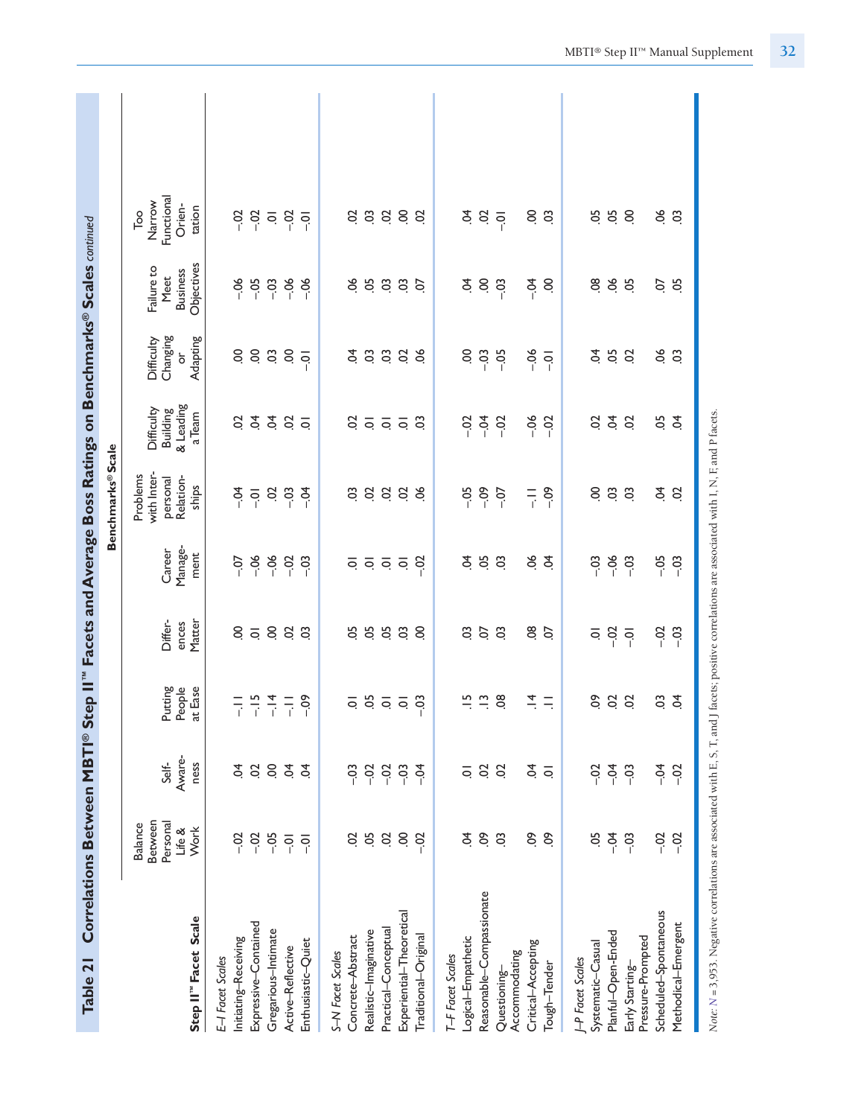| Table 21                                                                                                                                            | Correlations Between MBTI® Step II"                            |                                                          |                                                                                     |                                                     |                                             | Facets and Average Boss Ratings on Benchmarks® Scales continued |                                                                                 |                                                  |                                                     |                                                                     |  |
|-----------------------------------------------------------------------------------------------------------------------------------------------------|----------------------------------------------------------------|----------------------------------------------------------|-------------------------------------------------------------------------------------|-----------------------------------------------------|---------------------------------------------|-----------------------------------------------------------------|---------------------------------------------------------------------------------|--------------------------------------------------|-----------------------------------------------------|---------------------------------------------------------------------|--|
|                                                                                                                                                     |                                                                |                                                          |                                                                                     |                                                     |                                             | Benchmarks® Scale                                               |                                                                                 |                                                  |                                                     |                                                                     |  |
| Step II" Facet Scale                                                                                                                                | <b>Between</b><br>Personal<br><b>Balance</b><br>Life &<br>Work | Aware-<br>Self-<br>ness                                  | Putting<br>People<br>at Ease                                                        | Differ-<br>Matter<br>ences                          | Manage-<br>Career<br>ment                   | with Inter-<br>Problems<br>Relation-<br>personal<br>ships       | & Leading<br>Difficulty<br><b>Building</b><br>a Team                            | Changing<br>Adapting<br>Difficulty<br>ð          | Objectives<br>Failure to<br><b>Business</b><br>Meet | Functional<br>Narrow<br>Orien-<br>tation<br>$\overline{\mathsf{p}}$ |  |
| Expressive-Contained<br>Gregarious-Intimate<br>Initiating-Receiving<br>E-I Facet Scales                                                             | $-0.2$<br>$-02$<br>$-0.5$                                      | $\mathbf{S}$<br>S.<br>S                                  | $-15$<br>$-14$<br>同子                                                                | S.<br>$8\overline{0}$                               | $-06$<br>$-06$<br>$-0$                      | $-0.4$<br>$\overline{5}$<br>$\overline{Q}$                      | Ś.<br>Ś.<br>S                                                                   | S.<br>S.<br>$\rm _{0}$                           | $-06$<br>$-0.5$<br>$-03$                            | $-5$<br>$-02$<br>$\overline{\circ}$                                 |  |
| Enthusiastic-Quiet<br>Active-Reflective                                                                                                             | $-0$<br>$\overline{Q}$                                         | $\dot{q}$<br>S.                                          | $-0.9$<br>듶                                                                         | S<br>$\ddot{\circ}$                                 | $-0.2$<br>$-03$                             | $-03$<br>$-5$                                                   | S.<br>$\overline{Q}$                                                            | S<br>$\overline{Q}$                              | $-06$<br>$-06$                                      | $-02$<br>$\overline{Q}$                                             |  |
| Experiential-Theoretical<br>Practical-Conceptual<br>Realistic-Imaginative<br>Concrete-Abstract<br>Traditional-Original<br>S-N Facet Scales          | 5Ö<br>$\ddot{\mathrm{S}}$<br>S<br>S<br>$-02$                   | $-02$<br>$-03$<br>$-03$<br>$-02$<br>$-54$                | $\frac{1}{2}$ $\frac{1}{2}$ $\frac{1}{2}$ $\frac{1}{2}$ $\frac{1}{2}$ $\frac{1}{2}$ | 555<br>ă,<br>S.                                     | <u>s s s s s</u>                            | 3888<br>C <sub>3</sub>                                          | S<br>$\overline{Q}$ $\overline{Q}$ $\overline{Q}$ $\overline{Q}$ $\overline{Q}$ | 3338<br>S.                                       | 66<br>5 5 5<br>ίó.                                  | 3888<br>S                                                           |  |
| Reasonable-Compassionate<br>Logical-Empathetic<br>Critical-Accepting<br>Accommodating<br>T-F Facet Scales<br>Tough-Tender<br>Questioning-           | S.<br>δ,<br>Ś.<br>S.<br>3                                      | S<br>\$<br>S<br>$\overline{\circ}$<br>$\overline{\circ}$ | $\tilde{=}$<br>$\Xi$<br>$\frac{8}{2}$<br>$\vec{=}$<br>Ξ                             | C <sub>O</sub><br>CO.<br>$\ddot{\circ}$<br>08<br>S. | 50<br>ತ್ರೆ<br>$\ddot{\circ}$<br>\$<br>\$    | $-09$<br>$-09$<br>$-0.5$<br>$-0$<br>$\frac{1}{1}$               | $-0.4$<br>$-06$<br>$-0.02$<br>$-02$<br>$-02$                                    | $-06$<br>S.<br>$-03$<br>$-0.5$<br>$\overline{Q}$ | S.<br>$-0.4$<br>Ś.<br>$-03$<br>S                    | \$<br>$\overline{5}$<br>S S<br>$\overline{Q}$                       |  |
| Scheduled-Spontaneous<br>Methodical-Emergent<br>Planful-Open-Ended<br>Pressure-Prompted<br>Systematic-Casual<br>J-P Facet Scales<br>Early Starting- | 5Ö<br>$-0$<br>$-02$<br>$-03$<br>$-02$                          | $-0$<br>$-5$<br>$-02$<br>$-03$<br>$-02$                  | δò<br>$\frac{5}{2}$<br>C.<br>\$                                                     | $-0.07 - 0.01$<br>$-0.02$<br>$-03$<br>ē             | $-06$<br>$-0.5$<br>$-03$<br>$-03$<br>$-0.3$ | $\overline{0}$<br>\$<br>S<br>$\ddot{\circ}$<br>$\overline{c}$   | $\dot{5}$<br>5.5<br>S<br>S                                                      | 05<br>8Ó<br>\$<br>$\ddot{\circ}$<br>S            | 80<br>8<br>ă,<br>Ο.<br>.05                          | <b>ន</b> ុំ<br>66<br>S.<br>C <sub>3</sub>                           |  |
| Nate: N = 3,953. Negative correlations are associated with E, S, T, and J facets; positive correlations are associated with I, N, F, and P facets.  |                                                                |                                                          |                                                                                     |                                                     |                                             |                                                                 |                                                                                 |                                                  |                                                     |                                                                     |  |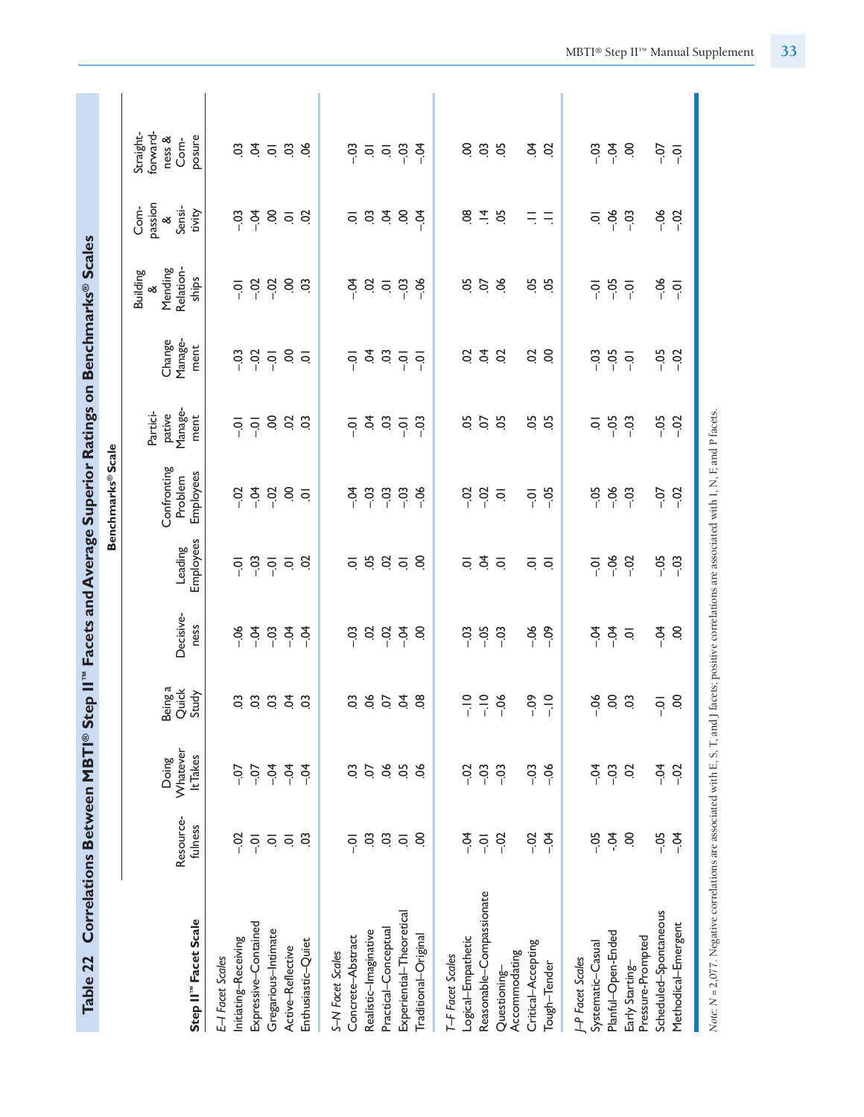| Table 22                             |                              |                               |                           |                   |                                                                                                                      | Correlations Between MBTI® Step II" Facets and Average Superior Ratings on Benchmarks® Scales |                                                                                                                 |                                           |                                              |                                                 |                                                                       |
|--------------------------------------|------------------------------|-------------------------------|---------------------------|-------------------|----------------------------------------------------------------------------------------------------------------------|-----------------------------------------------------------------------------------------------|-----------------------------------------------------------------------------------------------------------------|-------------------------------------------|----------------------------------------------|-------------------------------------------------|-----------------------------------------------------------------------|
|                                      |                              |                               |                           |                   |                                                                                                                      | <b>Benchmarks®Scale</b>                                                                       |                                                                                                                 |                                           |                                              |                                                 |                                                                       |
| Step II" Facet Scale                 | Resource-<br>fulness         | Whatever<br>It Takes<br>Doing | Being a<br>Quick<br>Study | Decisive-<br>ness | Employees<br>Leading                                                                                                 | Confronting<br>Employees<br>Problem                                                           | Manage-<br>Partici-<br>pative<br>ment                                                                           | Manage-<br>Change<br>ment                 | Relation-<br>Mending<br><b>Building</b><br>ళ | passion<br>Com-<br>Sensi-<br>tivity<br>$\infty$ | forward-<br>Straight-<br>ness &<br>Com-                               |
| E-I Facet Scales                     |                              |                               |                           |                   |                                                                                                                      |                                                                                               |                                                                                                                 |                                           | ships                                        |                                                 | posure                                                                |
| Initiating-Receiving                 | Sc−                          | $-0$                          | S.                        | $-06$             | 후                                                                                                                    | $-0.2$                                                                                        |                                                                                                                 | $-03$                                     | $\overline{S}$                               | $-03$                                           | S.                                                                    |
| Expressive-Contained                 | $\overline{Q}$               | $-0$                          | S.                        | $-0.4$            | $-03$                                                                                                                | $-54$                                                                                         | $\frac{1}{2}$ $\frac{1}{2}$ $\frac{1}{2}$ $\frac{1}{2}$ $\frac{1}{2}$ $\frac{1}{2}$ $\frac{1}{2}$ $\frac{1}{2}$ | $-02$                                     | $-02$                                        | $\overline{a}$                                  |                                                                       |
| Gregarious-Intimate                  | $\bar{\circ}$                | $-04$                         | S.                        | $-0.3$            |                                                                                                                      | $-02$                                                                                         |                                                                                                                 | $\overline{Q}$                            | $-02$                                        |                                                 | 3508                                                                  |
| Active-Reflective                    | $\overline{\mathsf{O}}$      | $-04$                         | Š                         | $-0.4$            | $\frac{1}{2}$ or $\frac{1}{2}$                                                                                       |                                                                                               |                                                                                                                 |                                           |                                              | $S \subseteq S$                                 |                                                                       |
| Enthusiastic-Quiet                   | C <sub>3</sub>               | $-54$                         | $\mathbf{c}$              | $-54$             |                                                                                                                      | $\frac{1}{2}$                                                                                 |                                                                                                                 | $\frac{1}{2}$                             | S S                                          |                                                 |                                                                       |
| S-N Facet Scales                     |                              |                               |                           |                   |                                                                                                                      |                                                                                               |                                                                                                                 |                                           |                                              |                                                 |                                                                       |
| Concrete-Abstract                    | $\overline{Q}$               | S.                            | S.                        | $-0.3$            |                                                                                                                      | $-5$                                                                                          |                                                                                                                 | $\overline{Q}$                            |                                              |                                                 |                                                                       |
| Realistic-Imaginative                | S.                           | S                             | 853                       | 384               | $\overline{q}$ , $\overline{q}$ , $\overline{q}$ , $\overline{q}$ , $\overline{q}$ , $\overline{q}$ , $\overline{q}$ | $-03$                                                                                         | $\frac{1}{2}$ $\frac{1}{2}$ $\frac{1}{2}$ $\frac{1}{2}$ $\frac{1}{2}$ $\frac{1}{2}$                             | $\frac{1}{2}$ $\frac{1}{2}$ $\frac{1}{2}$ | र् 8 व 8 है।<br>इ                            | 58385                                           | $\frac{3}{5}$ $\frac{3}{5}$ $\frac{3}{5}$ $\frac{3}{5}$ $\frac{3}{5}$ |
| Practical-Conceptual                 | $\ddot{\circ}$ $\dot{\circ}$ | 66                            |                           |                   |                                                                                                                      | $-03$                                                                                         |                                                                                                                 |                                           |                                              |                                                 |                                                                       |
| Experiential-Theoretical             |                              | 05                            |                           |                   |                                                                                                                      | $-03$                                                                                         |                                                                                                                 |                                           |                                              |                                                 |                                                                       |
| Traditional-Original                 | S.                           | ತ್ತ                           | $\frac{8}{2}$             | S                 |                                                                                                                      | $-06$                                                                                         |                                                                                                                 | $\overline{S}$                            |                                              |                                                 |                                                                       |
| T-F Facet Scales                     |                              |                               |                           |                   |                                                                                                                      |                                                                                               |                                                                                                                 |                                           |                                              |                                                 |                                                                       |
| Logical-Empathetic                   | $-5$                         | $-02$                         | $rac{1}{i}$               | $-03$             | $\overline{Q}$                                                                                                       | $-02$                                                                                         | 5g                                                                                                              | S                                         | 5O                                           | 80                                              | S                                                                     |
| Reasonable-Compassionate             | $-5$                         | $-03$                         | $\frac{1}{i}$             | $-0.5$            | $\tilde{q}$                                                                                                          | $-02$                                                                                         | 5C                                                                                                              | $\dot{q}$                                 | 6.8                                          | $\frac{1}{4}$ 9                                 | <b>3</b> 50                                                           |
| Questioning-                         | $-02$                        | $-03$                         | $-06$                     | $-03$             | $\overline{Q}$                                                                                                       | $\overline{\circ}$                                                                            | $\overline{0}$                                                                                                  | S                                         |                                              |                                                 |                                                                       |
| Critical-Accepting<br>Accommodating  | $-0.02$                      | $-03$                         | $-0.09$                   | $-06$             |                                                                                                                      | $\overline{Q}$                                                                                |                                                                                                                 | SÖ                                        |                                              | $\equiv$                                        |                                                                       |
| Tough-Tender                         | $-5$                         | $-06$                         | $\frac{1}{1}$             | $-0.09$           | $\overline{Q}$ $\overline{Q}$                                                                                        | $-05$                                                                                         | 5 S                                                                                                             | S.                                        | 5 g                                          | $\equiv$                                        | 2 g                                                                   |
| J-P Facet Scales                     |                              |                               |                           |                   |                                                                                                                      |                                                                                               |                                                                                                                 |                                           |                                              |                                                 |                                                                       |
| Systematic-Casual                    | $-0.5$                       | ₹<br>P                        | $-0.5$                    | $-5$              | $\overline{q}$                                                                                                       | $-0.5$                                                                                        |                                                                                                                 | $-03$                                     | $\overline{S}$                               | ē                                               | $-0.5$                                                                |
| Planful-Open-Ended                   | $-0.4$                       | $-03$                         | S.                        | $rac{1}{2}$ or    | $-06$                                                                                                                | $-06$                                                                                         | <u>ㅎ</u> ㅎ ㅎ<br>- .                                                                                             | $-0.5$                                    | $-0.5$                                       | $-06$                                           | $\begin{array}{c}\n5 \\ 7\n\end{array}$                               |
| Pressure-Prompted<br>Early Starting- | S                            | S                             | C <sub>3</sub>            |                   | $-02$                                                                                                                | $-03$                                                                                         |                                                                                                                 |                                           | $\overline{S}$                               | $-03$                                           | S                                                                     |
| Scheduled-Spontaneous                | $-0.5$                       | $-5$                          | $\overline{S}$            | $-0.4$            | $-0.5$                                                                                                               | $-0$                                                                                          | $-0.5$                                                                                                          | $-0.5$                                    | $-06$                                        | $-06$                                           | $-0$                                                                  |
| Methodical-Emergent                  | $-5$                         | $-02$                         | S                         | S                 | $-03$                                                                                                                | $-02$                                                                                         | $-02$                                                                                                           | $-02$                                     | $\overline{Q}$                               | $-02$                                           | $\overline{Q}$                                                        |
|                                      |                              |                               |                           |                   |                                                                                                                      |                                                                                               |                                                                                                                 |                                           |                                              |                                                 |                                                                       |

Note: N = 2,077. Negative correlations are associated with E, S, T, and J facets; positive correlations are associated with I, N, F, and P facets. *Note: N =* 2,077. Negative correlations are associated with E, S, T, and J facets; positive correlations are associated with I, N, F, and P facets*.*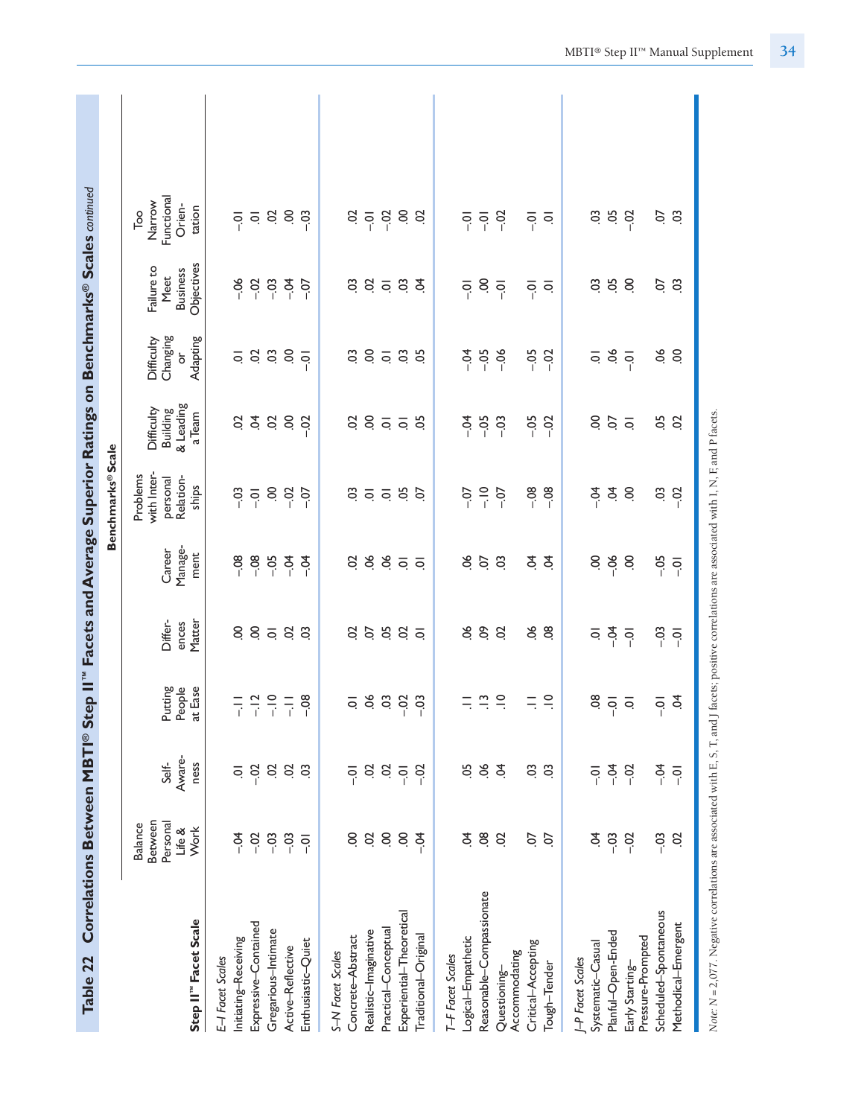| Correlations Between MBTI® Step II"<br><b>Table 22</b>                                                                                              |                                                         |                                                                        |                                                                                  |                                                                            |                                              |                                                                     |                                                      |                                                        | Facets and Average Superior Ratings on Benchmarks <sup>®</sup> Scales continued |                                                                              |  |
|-----------------------------------------------------------------------------------------------------------------------------------------------------|---------------------------------------------------------|------------------------------------------------------------------------|----------------------------------------------------------------------------------|----------------------------------------------------------------------------|----------------------------------------------|---------------------------------------------------------------------|------------------------------------------------------|--------------------------------------------------------|---------------------------------------------------------------------------------|------------------------------------------------------------------------------|--|
|                                                                                                                                                     |                                                         |                                                                        |                                                                                  |                                                                            |                                              | <b>Benchmarks®Scale</b>                                             |                                                      |                                                        |                                                                                 |                                                                              |  |
| Step II <sup>"</sup> Facet Scale                                                                                                                    | Between<br>Personal<br><b>Balance</b><br>Life &<br>Work | Aware-<br>Self-<br>ness                                                | People<br>Putting<br>at Ease                                                     | Matter<br>Differ-<br>ences                                                 | Manage-<br>Career<br>ment                    | with Inter-<br>Problems<br>Relation-<br>personal<br>ships           | & Leading<br>Difficulty<br><b>Building</b><br>a Team | Changing<br>Adapting<br>Difficulty<br>ŏ                | Objectives<br>Failure to<br><b>Business</b><br>Meet                             | Functional<br>Narrow<br>Orien-<br>tation<br>$\overline{\phantom{a}}^{\circ}$ |  |
| Expressive-Contained<br>Initiating-Receiving<br>E-I Facet Scales                                                                                    | $-0$<br>$-02$                                           | $-02$<br>ā                                                             | $-12$<br>$\frac{1}{\sqrt{2}}$                                                    | $\rm ^{\rm o}$<br>$\mathcal{S}$                                            | $-08$<br>$-0.08$                             | $-03$<br>$\overline{Q}$                                             | $\tilde{q}$<br>S                                     | 583                                                    | $-06$<br>$-0.02$                                                                | $\overline{\mathsf{o}}$<br>$\overline{S}$                                    |  |
| Gregarious-Intimate<br>Enthusiastic-Quiet<br>Active-Reflective                                                                                      | $-03$<br>$-03$<br>$\overline{Q}$                        | $\overline{c}$<br>$\overline{c}$<br>S.                                 | $-10$<br>$-08$<br>$\overline{a}$                                                 | $\overline{\circ}$<br>S<br>$\mathbf{S}$                                    | $-0.4$<br>$-0.5$<br>₹<br>P                   | S.<br>$-02$<br>$-0$                                                 | $\mathbf{S}$<br>$\overline{5}$<br>$-02$              | $\overline{5}$<br>$\overline{Q}$                       | $-03$<br>$-0.4$<br>$-0$                                                         | S.<br>S<br>$-03$                                                             |  |
| Experiential-Theoretical<br>Practical-Conceptual<br>Realistic-Imaginative<br>Traditional-Original<br>Concrete-Abstract<br>S-N Facet Scales          | S<br>$\overline{S}$<br>$\overline{c}$<br>S<br>$-54$     | Sc<br>$\ddot{\mathrm{S}}$<br>$-02$<br>$\overline{Q}$<br>$\overline{Q}$ | 889<br>$\overline{\circ}$<br>$-03$                                               | 5.58<br>$\mathcal{S}$<br>$\overline{\circ}$                                | ತ್ತೆ ತ್ರ ಪ್ರ<br>S<br>$\overline{\circ}$      | C <sub>3</sub><br>$\overline{Q}$ $\overline{Q}$ $\overline{Q}$<br>5 | 8558<br>S                                            | 8588<br>CO.                                            | C <sub>3</sub><br>S<br>$\overline{a}$ is<br>$\overline{5}$                      | S<br>$\frac{5}{1}$ 8<br>$\overline{Q}$<br>S                                  |  |
| Reasonable-Compassionate<br>Logical-Empathetic<br>Critical-Accepting<br>Accommodating<br>T-F Facet Scales<br>Tough-Tender<br>Questioning-           | $\overline{8}$<br>Ś.<br>S<br>S.<br>S.                   | ð.<br>5c<br>\$<br>CO.<br>C <sub>3</sub>                                | $\vec{=}$<br>$\frac{1}{2}$<br>$\Xi$<br>$\equiv$<br>$\equiv$                      | 66<br>δò<br>9O.<br>$\mathcal{S}$<br>$\frac{8}{2}$                          | $\infty$<br>$\ddot{\circ}$<br>\$<br>\$<br>S. | $\frac{1}{2}$<br>$-08$<br>$-08$<br>$-0$<br>$-5$                     | $-5$<br>$-0.5$<br>$-0.5$<br>$-02$<br>$-03$           | $-0.5$<br>$-05$<br>$-0.4$<br>$-06$<br>$-02$            | S.<br>$\overline{Q}$<br>$\overline{S}$<br>$\overline{S}$<br>ē                   | $-02$<br>$-0$<br>후호<br>$\overline{S}$                                        |  |
| Scheduled-Spontaneous<br>Methodical-Emergent<br>Planful-Open-Ended<br>Pressure-Prompted<br>Systematic-Casual<br>J-P Facet Scales<br>Early Starting- | S.<br>$-03$<br>$-03$<br>$-02$<br>S                      | $-5$<br>$-5$<br>$-02$<br>$\overline{0}$<br>$\overline{Q}$              | $\overline{0}$<br>Ś.<br>$\overline{Q}$<br>$\overline{O}$ .<br>$\overline{\circ}$ | $-0.4$<br>$-0.3$<br>$\overline{\circ}$<br>$\overline{Q}$<br>$\overline{Q}$ | S.<br>$-06$<br>S<br>$-0.5$<br>$\overline{Q}$ | Ś.<br>$-5$<br>S.<br>CO.<br>$-02$                                    | S.<br>5Ö<br>$\overline{5}$<br>S                      | 56<br>60<br>S.<br>$\overline{Q}$<br>$\overline{\circ}$ | 05<br>S<br>S.<br>S.<br>C <sub>3</sub>                                           | 5O<br>S<br>So<br>C <sub>3</sub><br>$-02$                                     |  |
| Note: N = 2,077. Negative correlations are associated with E, S, T, and J facets; positive correlations are associated with I, N, F, and P facets.  |                                                         |                                                                        |                                                                                  |                                                                            |                                              |                                                                     |                                                      |                                                        |                                                                                 |                                                                              |  |

MBTI® Step II™ Manual Supplement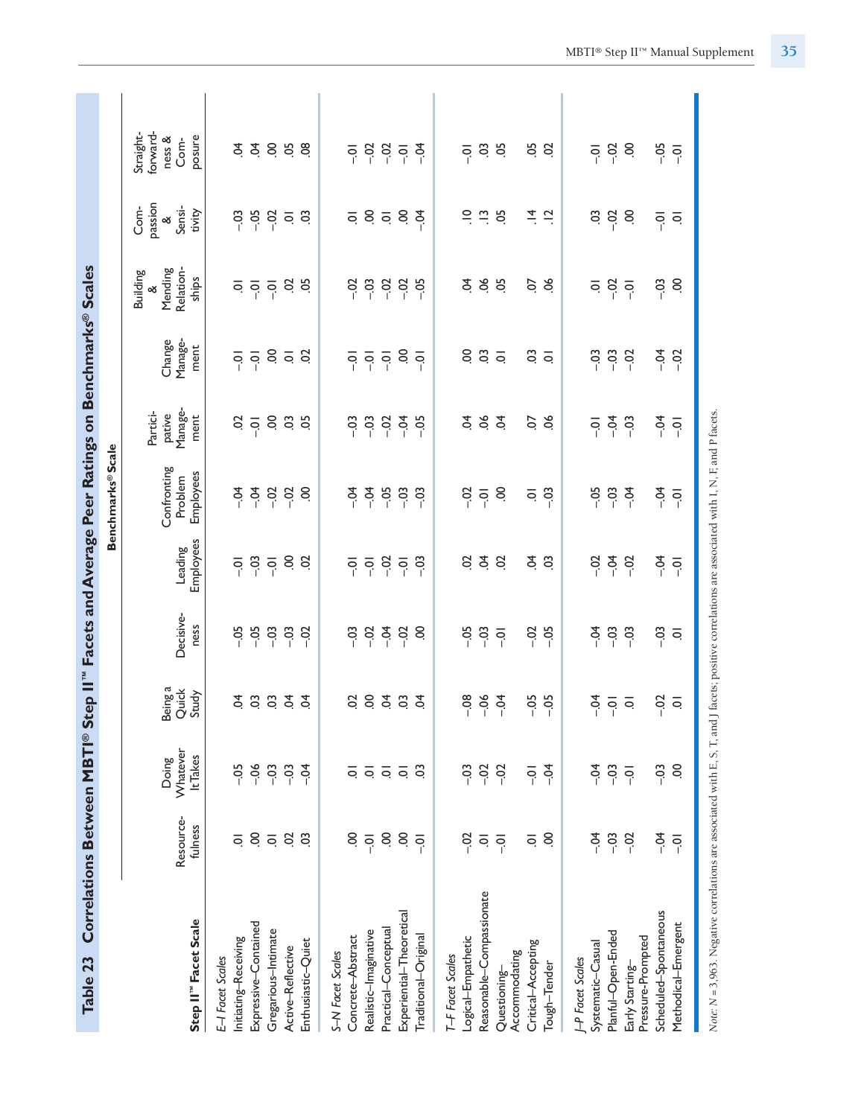| Table 23                                 |                         |                               |                           |                    |                      | Correlations Between MBTI® Step II" Facets and Average Peer Ratings on Benchmarks® Scales |                                                       |                           |                                                       |                                                 |                                                   |
|------------------------------------------|-------------------------|-------------------------------|---------------------------|--------------------|----------------------|-------------------------------------------------------------------------------------------|-------------------------------------------------------|---------------------------|-------------------------------------------------------|-------------------------------------------------|---------------------------------------------------|
|                                          |                         |                               |                           |                    |                      | <b>Benchmarks® Scale</b>                                                                  |                                                       |                           |                                                       |                                                 |                                                   |
| Step II" Facet Scale                     | Resource-<br>fulness    | Whatever<br>It Takes<br>Doing | Being a<br>Quick<br>Study | Decisive-<br>ness  | Employees<br>Leading | Confronting<br>Employees<br>Problem                                                       | Manage-<br>Partici-<br>pative<br>ment                 | Manage-<br>Change<br>ment | Relation-<br>Mending<br><b>Building</b><br>ships<br>త | passion<br>Com-<br>Sensi-<br>tivity<br>$\infty$ | forward-<br>Straight-<br>posure<br>ness &<br>Com- |
| Initiating-Receiving<br>E-I Facet Scales | $\overline{\circ}$      | $-0.5$                        | $\tilde{q}$               | $-0.5$             | ៑                    | $-5$                                                                                      |                                                       | ခု                        |                                                       | $-03$                                           | £                                                 |
| Expressive-Contained                     | $\overline{S}$          | $-06$                         | $\ddot{\rm o}$            | $-0.5$             | $-03$                | $-0$                                                                                      | $\frac{3}{2}$                                         | $\overline{Q}$            | $\overline{5}$ $\overline{5}$ $\overline{6}$          | $-05$                                           | Š.                                                |
| Gregarious-Intimate                      | $\overline{\mathsf{o}}$ | $-03$                         | $\ddot{\rm o}$            | $-03$              | $\overline{Q}$       | $-02$                                                                                     |                                                       |                           |                                                       | $-02$                                           |                                                   |
| Active-Reflective                        | S                       | $-03$                         | Š                         | $-03$              | S.                   | $-02$                                                                                     | 8 9 9                                                 | $S \subseteq S$           | 65                                                    | $\frac{1}{2}$                                   | 888                                               |
| Enthusiastic-Quiet                       | $\ddot{\circ}$          | $-54$                         | \$                        | $-02$              | S.                   | S.                                                                                        |                                                       |                           |                                                       |                                                 |                                                   |
| S-N Facet Scales                         |                         |                               |                           |                    |                      |                                                                                           |                                                       |                           |                                                       |                                                 |                                                   |
| Concrete-Abstract                        | S.                      | ੨                             | SO                        | $-03$              | $\overline{q}$       | $-0.4$                                                                                    | $-0.5$                                                |                           | $-0.2$                                                |                                                 | $\overline{S}$                                    |
| Realistic-Imaginative                    | $\overline{q}$          | ē                             | 8.5.85                    | $-02$              | $\overline{Q}$       | $-0.4$                                                                                    | $\begin{array}{c} 0.97 \\ -0.97 \\ -0.97 \end{array}$ | 후 후 후                     | $\frac{3}{1}$                                         | 58589                                           | 3357                                              |
| Practical-Conceptual                     | $\overline{5}$          | $\overline{Q}$ $\overline{Q}$ |                           | $rac{4}{1}$        | $-02$                | $-0.5$                                                                                    |                                                       |                           | 889                                                   |                                                 |                                                   |
| Experiential-Theoretical                 | S.                      |                               |                           | $-02$              | $\overline{Q}$       | $-03$                                                                                     |                                                       | S.                        |                                                       |                                                 |                                                   |
| Traditional-Original                     | $\overline{Q}$          | ප                             |                           | S                  | $-03$                | -03                                                                                       | $-5$                                                  | $\overline{Q}$            |                                                       |                                                 |                                                   |
| T-F Facet Scales                         |                         |                               |                           |                    |                      |                                                                                           |                                                       |                           |                                                       |                                                 |                                                   |
| Logical-Empathetic                       | $-02$                   | $-03$                         | $-08$                     | $-0.5$             | S                    | $-02$                                                                                     | S.                                                    | S                         | \$                                                    |                                                 | Ξ                                                 |
| Reasonable-Compassionate                 | $\overline{\mathsf{o}}$ | $-02$                         | $-06$                     | $-03$              | S.                   | $\overline{0}$                                                                            | $\infty$                                              | $\ddot{\circ}$            | 06                                                    | $rac{1}{2}$ $rac{1}{2}$                         | Si S                                              |
| Accommodating<br>Questioning-            | $\overline{Q}$          | $-02$                         | $-0.4$                    | $\overline{q}$     | $\overline{c}$       | S                                                                                         | $\mathfrak{L}$                                        | $\overline{Q}$            | $\overline{0}$                                        | <b>SO</b>                                       |                                                   |
| Critical-Accepting                       | $\overline{\mathsf{o}}$ | $\overline{Q}$                | $-0.5$                    | $-0.02$            | \$                   | $\overline{\circ}$                                                                        |                                                       |                           |                                                       |                                                 |                                                   |
| Tough-Tender                             | S.                      | $-54$                         | $-0.5$                    | $-0.5$             | $\ddot{\circ}$       | $-03$                                                                                     | 5.8                                                   | $\frac{3}{2}$             | 6.6                                                   | $rac{4}{5}$ $rac{1}{2}$                         | 5 S                                               |
| J-P Facet Scales                         |                         |                               |                           |                    |                      |                                                                                           |                                                       |                           |                                                       |                                                 |                                                   |
| Systematic-Casual                        | $-5$                    | $-5$                          | $-0.4$                    | $-0.4$             | $-0.2$               | $-0.5$                                                                                    | $\overline{Q}$                                        | $-0.5$                    | ō                                                     |                                                 | $\overline{q}$                                    |
| Planful-Open-Ended                       | $-03$                   | $-03$                         | $\frac{1}{2}$             | $-0.3$             | $-0.4$               | $-03$                                                                                     | $-5$                                                  | $-03$                     | $rac{5}{1}$                                           | g g                                             | $-02$                                             |
| Pressure-Prompted<br>Early Starting-     | $-02$                   | $\overline{Q}$                |                           | $-03$              | $-0.2$               | $-5$                                                                                      | $-03$                                                 | $-02$                     |                                                       | S                                               | S                                                 |
| Scheduled-Spontaneous                    | $-0.4$                  | $-03$                         | $-0.2$                    | $-0.3$             | $-0$                 | $-5$                                                                                      | $-0.4$                                                | $-5$                      | $-03$                                                 | $\overline{S}$                                  | $-0.5$                                            |
| Methodical-Emergent                      | $\overline{Q}$          | S                             | $\overline{Q}$            | $\overline{\circ}$ | $\overline{Q}$       | $\overline{Q}$                                                                            | $\overline{Q}$                                        | $-02$                     | S                                                     | ē                                               | $\overline{Q}$                                    |
|                                          |                         |                               |                           |                    |                      |                                                                                           |                                                       |                           |                                                       |                                                 |                                                   |

Note: N = 3,963. Negative correlations are associated with E, S, T, and J facets; positive correlations are associated with I, N, F, and P facets. *Note: N =* 3,963. Negative correlations are associated with E, S, T, and J facets; positive correlations are associated with I, N, F, and P facets*.*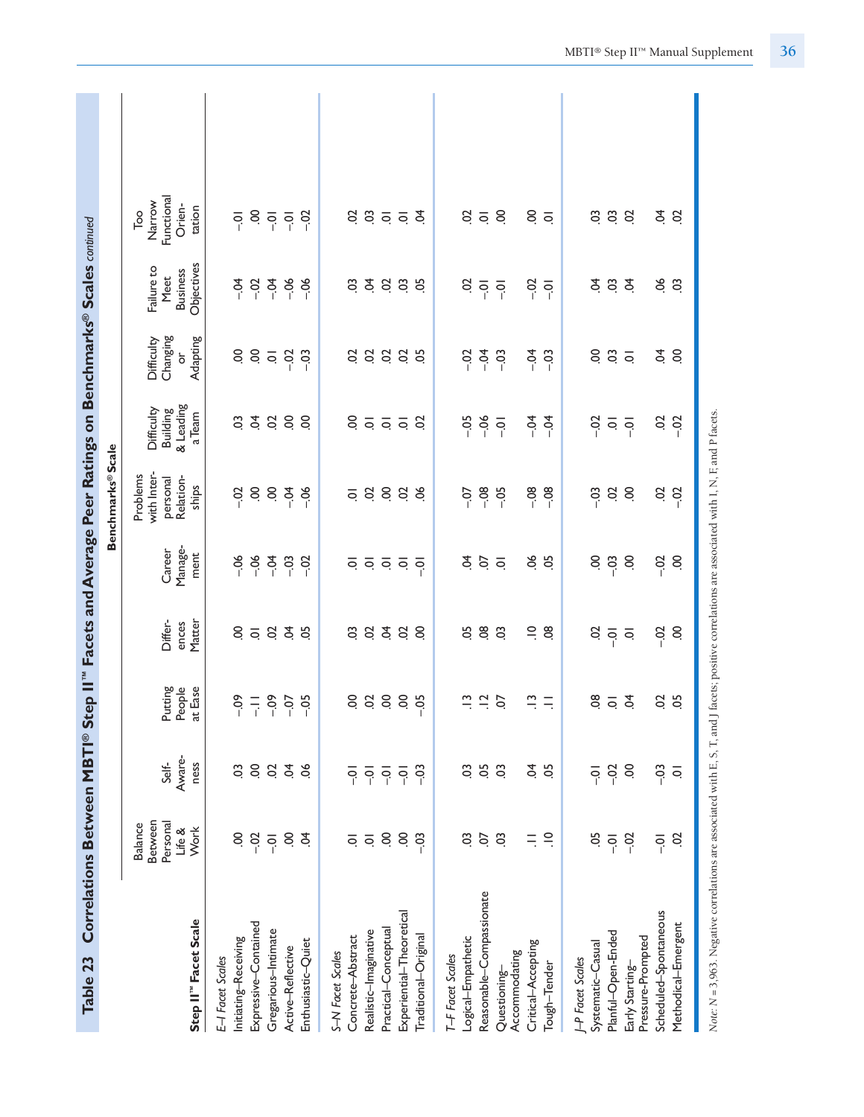| Correlations Between MBTI® Step II"<br>Table 23                                                                                                    |                                                         |                                  |                                  |                                |                                                                       |                                                           |                                               |                                         | Facets and Average Peer Ratings on Benchmarks® Scales continued |                                                                              |  |
|----------------------------------------------------------------------------------------------------------------------------------------------------|---------------------------------------------------------|----------------------------------|----------------------------------|--------------------------------|-----------------------------------------------------------------------|-----------------------------------------------------------|-----------------------------------------------|-----------------------------------------|-----------------------------------------------------------------|------------------------------------------------------------------------------|--|
|                                                                                                                                                    |                                                         |                                  |                                  |                                |                                                                       | <b>Benchmarks®Scale</b>                                   |                                               |                                         |                                                                 |                                                                              |  |
| Step II" Facet Scale                                                                                                                               | Between<br>Personal<br><b>Balance</b><br>Life &<br>Work | Aware-<br>Self-<br>ness          | Putting<br>People<br>at Ease     | Differ-<br>Matter<br>ences     | Manage-<br>Career<br>ment                                             | with Inter-<br>Problems<br>Relation-<br>personal<br>ships | & Leading<br>Difficulty<br>Building<br>a Team | Changing<br>Adapting<br>Difficulty<br>ð | Objectives<br>Failure to<br><b>Business</b><br>Meet             | Functional<br>Narrow<br>Orien-<br>tation<br>$\overline{\phantom{a}}^{\circ}$ |  |
| Expressive-Contained<br>Initiating-Receiving<br>E-I Facet Scales                                                                                   | S<br>$-0.2$                                             | S<br>S.                          | $-0.09$<br>$\frac{1}{1}$         | S.<br>$\overline{\circ}$       | $-06$<br>$-06$                                                        | S<br>$-5$                                                 | $\mathbf{S}$<br>$\tilde{q}$                   | S.<br>S.                                | $-0.4$<br>$-0.02$                                               | S.<br>$\overline{S}$                                                         |  |
| Gregarious-Intimate<br>Active-Reflective                                                                                                           | S.<br>$\overline{Q}$                                    | $\dot{5}$<br>$\overline{c}$      | $-0.09$<br>$-0$                  | $\overline{a}$<br>S            | $-0$<br>$-03$                                                         | S.<br>$-5$                                                | S.<br>S                                       | $-02$<br>$\overline{\mathsf{o}}$        | $-06$<br>$-0.4$                                                 | $\overline{q}$<br>$\overline{S}$                                             |  |
| Enthusiastic-Quiet                                                                                                                                 | Ś.                                                      | 8                                | $-0.5$                           | 5o                             | $-02$                                                                 | $-06$                                                     | S <sub>0</sub>                                | $-03$                                   | $-06$                                                           | $-02$                                                                        |  |
| Concrete-Abstract<br>S-N Facet Scales                                                                                                              | $\overline{Q}$                                          | $\overline{Q}$                   | S                                | $\overline{c}$                 | $\overline{\circ}$                                                    | $\overline{Q}$                                            | S.                                            | S                                       | 3                                                               | S                                                                            |  |
| Practical-Conceptual<br>Realistic-Imaginative                                                                                                      | S.<br>$\overline{\mathsf{o}}$                           | $\overline{0}$                   | $\overline{c}$<br>$\ddot{\rm o}$ |                                |                                                                       |                                                           |                                               |                                         |                                                                 |                                                                              |  |
| Experiential-Theoretical                                                                                                                           | S.                                                      | $\overline{Q}$<br>$\overline{Q}$ | S.                               | 9.59                           | $\frac{1}{2}$ $\frac{1}{2}$ $\frac{1}{2}$ $\frac{1}{2}$ $\frac{1}{2}$ | 3888                                                      | $\overline{Q}$ $\overline{Q}$ $\overline{Q}$  | 8888                                    | <b>2</b> 9 9                                                    | 350                                                                          |  |
| Traditional-Original                                                                                                                               | $-03$                                                   | $-03$                            | $-0.5$                           | S.                             |                                                                       |                                                           | S                                             |                                         | 5O                                                              | $\overline{5}$                                                               |  |
| T-F Facet Scales                                                                                                                                   | S.                                                      | S.                               |                                  |                                |                                                                       |                                                           |                                               |                                         |                                                                 |                                                                              |  |
| Reasonable-Compassionate<br>Logical-Empathetic                                                                                                     | S.                                                      | 5Ö                               | $\tilde{\Xi}$<br>$\frac{1}{2}$   | $\overline{0}$<br>5o           | \$<br>CO.                                                             | $-08$<br>$-0$                                             | $-06$<br>$-0.5$                               | $-04$<br>$-02$                          | S<br>$\overline{Q}$                                             | S<br>$\overline{\circ}$                                                      |  |
| Accommodating<br>Questioning-                                                                                                                      | C <sub>3</sub>                                          | C <sub>3</sub>                   | S.                               | C <sub>3</sub>                 | $\overline{Q}$                                                        | $-0.5$                                                    | $\overline{Q}$                                | $-03$                                   | $\overline{q}$                                                  | S.                                                                           |  |
| Critical-Accepting                                                                                                                                 | Ξ                                                       | Ş.                               | $\Xi$                            | $\Xi$                          | 90.                                                                   | $-08$                                                     | $-0$                                          | $-0$                                    | $-0.07$                                                         | $8\overline{5}$                                                              |  |
| Tough-Tender                                                                                                                                       | $\supseteq$                                             | 5O                               | $\equiv$                         | $\frac{8}{2}$                  | 5c                                                                    | $-08$                                                     | $-0.4$                                        | $-03$                                   | $\overline{Q}$                                                  |                                                                              |  |
| J-P Facet Scales                                                                                                                                   |                                                         |                                  |                                  |                                |                                                                       |                                                           |                                               |                                         |                                                                 |                                                                              |  |
| Systematic-Casual                                                                                                                                  | ă                                                       | $\overline{Q}$                   | 80                               | Sö                             | S.                                                                    | $-03$                                                     | $-0.02$                                       | S.                                      | \$                                                              | S.                                                                           |  |
| Planful-Open-Ended                                                                                                                                 | $\overline{Q}$                                          | $-02$                            | $\frac{1}{2}$                    | $\frac{1}{2}$ or $\frac{1}{2}$ | $-0.3$                                                                | $\mathfrak{S}% _{CS}^{\ast}(\mathbb{R}^{2n})$             | $\overline{\mathsf{o}}$                       | $\overline{0}$                          | $\overline{0}$                                                  | $\overline{0}$                                                               |  |
| Pressure-Prompted<br>Early Starting-                                                                                                               | $-0.2$                                                  | S                                |                                  |                                | S                                                                     | S.                                                        | $\overline{Q}$                                | $\overline{Q}$                          | \$                                                              | S                                                                            |  |
| Scheduled-Spontaneous                                                                                                                              | $\overline{Q}$                                          | $-03$                            | S                                | $-0.2$                         | $-0.2$                                                                | $\mathcal{S}$                                             | S                                             | \$                                      | 90.                                                             | Ş.                                                                           |  |
| Methodical-Emergent                                                                                                                                | S                                                       | $\overline{Q}$                   | 5c                               | S                              | S.                                                                    | $-02$                                                     | $-02$                                         | S.                                      | C <sub>3</sub>                                                  | S                                                                            |  |
| Nate: N = 3,963. Negative correlations are associated with E, S, T, and J facets; positive correlations are associated with I, N, F, and P facets. |                                                         |                                  |                                  |                                |                                                                       |                                                           |                                               |                                         |                                                                 |                                                                              |  |

MBTI® Step II™ Manual Supplement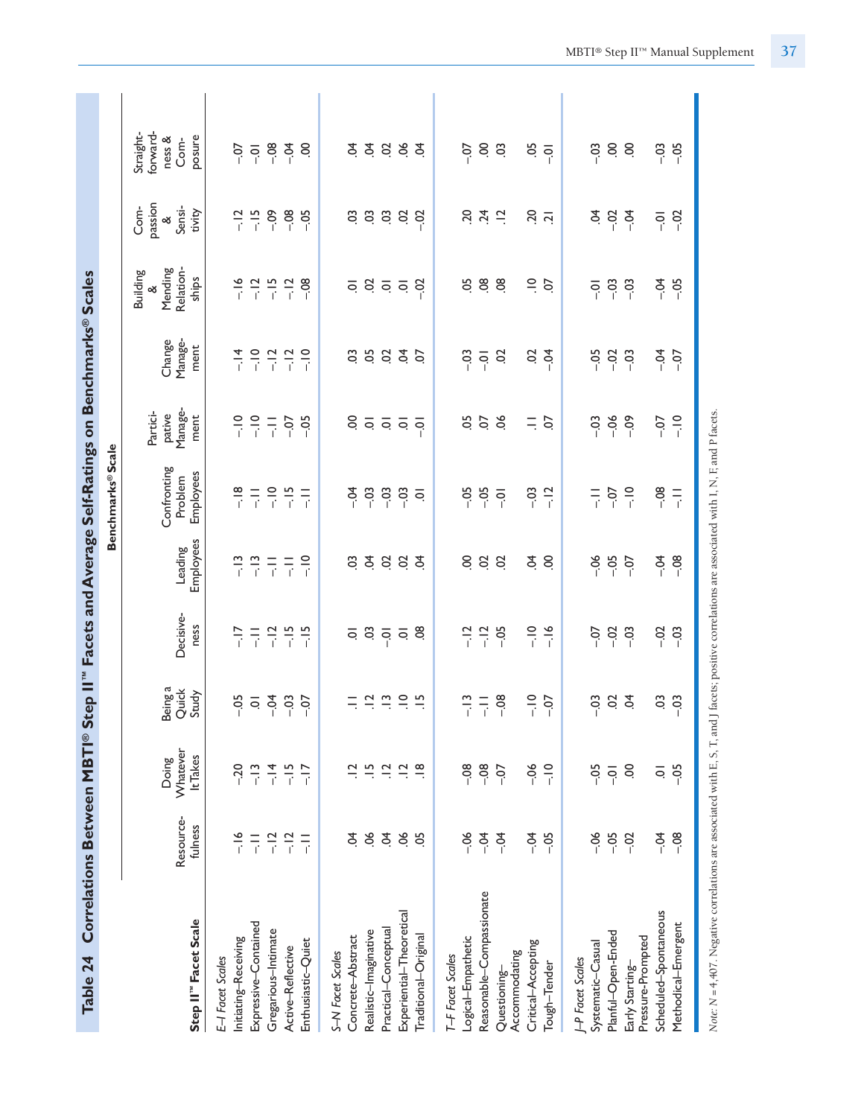| Table 24                                                                                                                                                   |                                                                  |                                                                  |                                                              |                                                                                         |                                                                                                      | Correlations Between MBTI® Step II" Facets and Average Self-Ratings on Benchmarks® Scales     |                                                                                                 |                                                                                |                                                                                                                         |                                                           |                                                   |
|------------------------------------------------------------------------------------------------------------------------------------------------------------|------------------------------------------------------------------|------------------------------------------------------------------|--------------------------------------------------------------|-----------------------------------------------------------------------------------------|------------------------------------------------------------------------------------------------------|-----------------------------------------------------------------------------------------------|-------------------------------------------------------------------------------------------------|--------------------------------------------------------------------------------|-------------------------------------------------------------------------------------------------------------------------|-----------------------------------------------------------|---------------------------------------------------|
|                                                                                                                                                            |                                                                  |                                                                  |                                                              |                                                                                         |                                                                                                      | Benchmarks® Scale                                                                             |                                                                                                 |                                                                                |                                                                                                                         |                                                           |                                                   |
| Step II" Facet Scale                                                                                                                                       | Resource-<br>fulness                                             | Whatever<br>It Takes<br>Doing                                    | Beinga<br>Quick<br>Study                                     | Decisive-<br>ness                                                                       | Employees<br>Leading                                                                                 | Confronting<br>Employees<br>Problem                                                           | Manage-<br>Partici-<br>pative<br>ment                                                           | Manage-<br>Change<br>ment                                                      | Mending<br>Relation-<br><b>Building</b><br>ships<br>ళ                                                                   | passion<br>Com-<br>Sensi-<br>tivity<br>$\infty$           | forward-<br>Straight-<br>posure<br>ness &<br>Com- |
| Expressive-Contained<br>Gregarious-Intimate<br>Initiating-Receiving<br>Enthusiastic-Quiet<br>Active-Reflective<br>E-I Facet Scales                         | $-16$<br>$-12$<br>$-12$<br>$\frac{\Box}{\Box}$<br>$\overline{a}$ | $-14$<br>$-20$<br>$-13$<br>$-15$<br>$-17$                        | $\frac{5}{6}$ $\frac{3}{6}$ $\frac{4}{1}$<br>$-0$<br>$-0$    | $\frac{1}{2}$ $\frac{1}{2}$ $\frac{1}{2}$ $\frac{1}{2}$ $\frac{1}{2}$<br>$\frac{17}{1}$ | $\frac{1}{\left  \vec{r} \right } = \frac{1}{\left  \vec{r} \right }$<br>$\frac{3}{1}$ $\frac{3}{1}$ | $\frac{\infty}{\cdot} = \frac{\infty}{\cdot} = \frac{\infty}{\cdot} = \frac{\infty}{\cdot} =$ | $00 = 00 = 00$                                                                                  | $\begin{array}{cccccccc}\n1 & 1 & 1 & 1 & 1 \\ 1 & 1 & 1 & 1 & 1\n\end{array}$ | $\frac{16}{1}$ $\frac{12}{1}$ $\frac{15}{1}$ $\frac{12}{1}$ $\frac{12}{1}$ $\frac{12}{1}$ $\frac{12}{1}$ $\frac{12}{1}$ | $\frac{12}{1}$ $\frac{15}{1}$<br>$-0.09$<br>$-88$         | 8848<br>$\frac{5}{9}$                             |
| Experiential-Theoretical<br>Practical-Conceptual<br>Realistic-Imaginative<br>Concrete-Abstract<br>Traditional-Original<br>S-N Facet Scales                 | $\infty$<br>S.<br>Ś.<br>$\infty$<br>5O                           | $\Xi$<br>$\vec{a}$ $\vec{a}$ $\vec{b}$<br>$\frac{\infty}{\cdot}$ | $\frac{1}{2}$ $\frac{1}{2}$ $\frac{1}{2}$ $\frac{1}{2}$<br>Ξ |                                                                                         | 33333                                                                                                | $-5$<br>$-03$<br>$\frac{3}{5}$ $\frac{3}{5}$ $\frac{3}{5}$                                    | side de                                                                                         | 3.5.855                                                                        | a g a a g                                                                                                               | a a a a a a                                               | ささらささ                                             |
| Reasonable-Compassionate<br>Logical-Empathetic<br>Critical-Accepting<br>Accommodating<br>T-F Facet Scales<br>Tough-Tender<br>Questioning-                  | $-06$<br>$-0$<br>$-0$<br>$-54$<br>$-0.5$                         | $-08$<br>$-08$<br>$-06$<br>$\frac{1}{1}$<br>$-0$                 | $\frac{1}{2}$<br>$\frac{m}{i} = \frac{8}{1}$<br>$-0$         | $-12$<br>$\frac{1}{i}$<br>$-16$<br>$\frac{1}{2}$<br>$-0.5$                              | $\overline{5}$<br>S.<br>$\frac{3}{2}$<br>S.                                                          | $-05$<br>$-03$<br>$-0.5$<br>$-12$<br>$\overline{S}$                                           | 50<br>0.56<br>$\equiv$<br>S.                                                                    | S<br>$-03$<br>$\overline{Q}$<br>S<br>$\vec{r}$                                 | 5 8 8<br>$rac{1}{2}$                                                                                                    | 3, 2, 5<br>$\frac{20}{11}$                                | $6\overline{3}$<br>$-0.5$<br>$-0$                 |
| Scheduled-Spontaneous<br>Methodical-Emergent<br>Planful-Open-Ended<br>Pressure-Prompted<br>Systematic-Casual<br><b>I-P</b> Facet Scales<br>Early Starting- | $-06$<br>$-0.5$<br>$-0.4$<br>$-08$<br>$-02$                      | S<br>$-05$<br>$-05$<br>$\overline{Q}$<br>ē                       | $-03$<br>9.8<br>C.<br>$-03$                                  | $-0$<br>$-02$<br>$-03$<br>$-0.02$<br>$-03$                                              | $-85.0$<br>$-0.4$<br>$-08$                                                                           | $-08$<br>$-0.7$<br>$\frac{1}{1}$<br>$\frac{1}{1}$                                             | $\begin{array}{ccc} 0 & 0 & 0 \\ 0 & -1 & 0 \\ 0 & 0 & -1 \end{array}$<br>$\frac{1}{2}$<br>$-0$ | $-5$<br>$-0.5$<br>$\frac{5}{6}$<br>$-0$                                        | $-0.3$<br>$-0.4$<br>$-0.5$<br>$\overline{q}$                                                                            | $\ddot{S}$ $\ddot{S}$<br>$-04$<br>$-02$<br>$\overline{Q}$ | $-0.3$<br>68<br>$-03$<br>$-0.5$                   |

**Table 24 Correlations Between MBTI® Step II™ Facets and Average Self-Ratings on Benchmarks® Scales** f D Colf Datin  $\frac{1}{2}$  $\blacksquare$ MRTI® C+.  $\overline{c}$ Table 24 C.

Note: N = 4,407. Negative correlations are associated with E, S, T, and J facets; positive correlations are associated with I, N, F, and P facets. *Note: N =* 4,407. Negative correlations are associated with E, S, T, and J facets; positive correlations are associated with I, N, F, and P facets*.*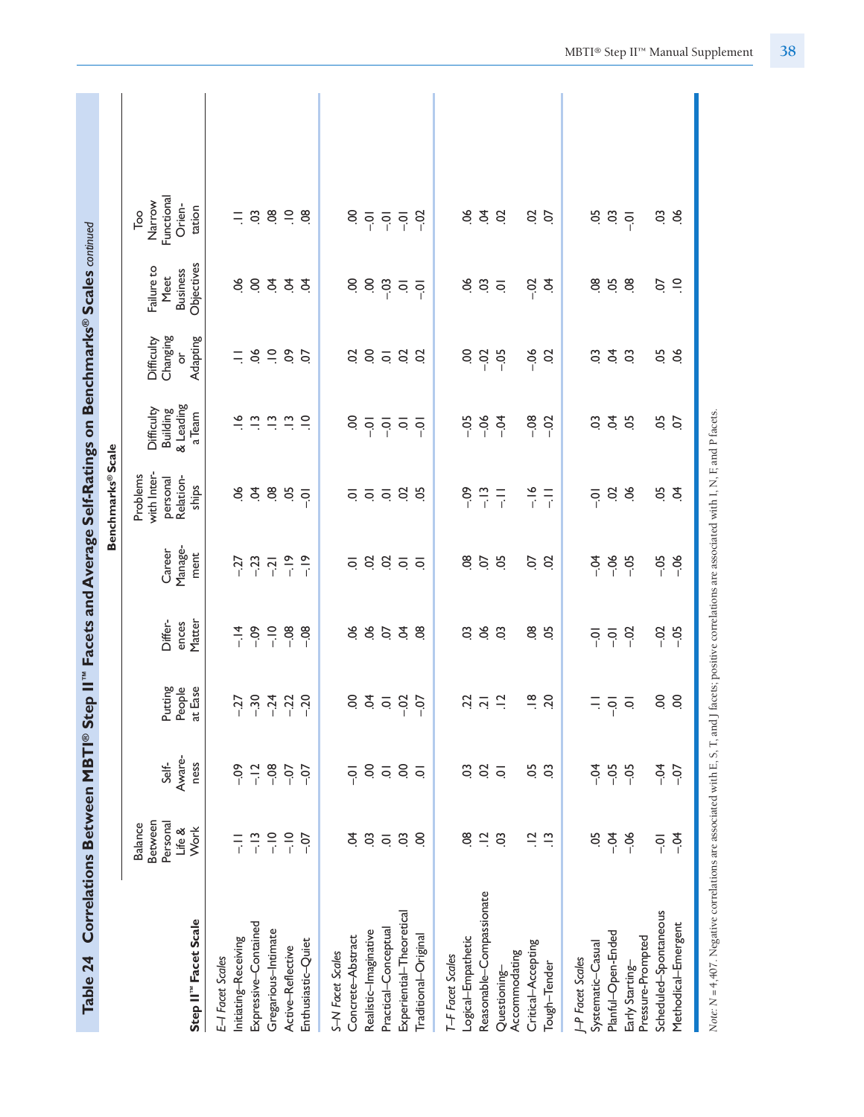| Table 24                                                                                                                                            | Correlations Between MBTI® Step II"                                    |                                                                                     |                                            |                                                                |                                      | Facets and Average Self-Ratings on Benchmarks® Scales continued                                                 |                                                                                                                          |                                                |                                                     |                                                                     |  |
|-----------------------------------------------------------------------------------------------------------------------------------------------------|------------------------------------------------------------------------|-------------------------------------------------------------------------------------|--------------------------------------------|----------------------------------------------------------------|--------------------------------------|-----------------------------------------------------------------------------------------------------------------|--------------------------------------------------------------------------------------------------------------------------|------------------------------------------------|-----------------------------------------------------|---------------------------------------------------------------------|--|
|                                                                                                                                                     |                                                                        |                                                                                     |                                            |                                                                |                                      | Benchmarks® Scale                                                                                               |                                                                                                                          |                                                |                                                     |                                                                     |  |
| Step II" Facet Scale                                                                                                                                | Between<br>Personal<br><b>Balance</b><br>Life &<br>Work                | Aware-<br>Self-<br>ness                                                             | Putting<br>People<br>at Ease               | Differ-<br>Matter<br>ences                                     | Manage-<br>Career<br>ment            | with Inter-<br>Problems<br>Relation-<br>personal<br>ships                                                       | & Leading<br>Difficulty<br><b>Building</b><br>a Team                                                                     | Changing<br>Adapting<br>Difficulty<br>ð        | Objectives<br>Failure to<br><b>Business</b><br>Meet | Functional<br>Narrow<br>Orien-<br>tation<br>$\overline{\mathrm{P}}$ |  |
| Expressive-Contained<br>Initiating-Receiving<br>E-I Facet Scales                                                                                    | $-13$<br>$\frac{1}{1}$                                                 | $-09$<br>$-12$                                                                      |                                            | $-0.09$<br>$-14$                                               | $-27$<br>$-23$<br>$-1$               | 8Ġ<br>$\dot{5}$                                                                                                 |                                                                                                                          | $=$ $\leq$ $=$                                 |                                                     |                                                                     |  |
| Gregarious-Intimate<br>Enthusiastic-Quiet<br>Active-Reflective                                                                                      | $-10$<br>$-10$<br>$-0.7$                                               | $-08$<br>$-0$<br>$-0$                                                               |                                            | $\frac{1}{1}$<br>$-0.08$<br>$-08$                              | $\frac{9}{1}$<br>$-19$               | 08<br>05<br>$\overline{Q}$                                                                                      | $\vec{e}$ in in in $\vec{e}$<br>$\approx$                                                                                | $\ddot{\circ}$<br>5                            | \$833<br>$\mathfrak{L}$                             | $= 889.88$                                                          |  |
| Experiential-Theoretical<br>Practical-Conceptual<br>Realistic-Imaginative<br>Concrete-Abstract<br>Traditional-Original<br>S-N Facet Scales          | $\overline{0}$<br>S.<br>C <sub>3</sub><br>8<br>$\overline{\mathsf{o}}$ | S.<br>$\overline{S}$<br>$\overline{\mathsf{o}}$<br>$\overline{Q}$<br>$\overline{Q}$ | $6557$<br>$655$<br>$65$<br>$65$            | 8853<br>8                                                      | 3855<br>$\overline{Q}$               | $\frac{1}{2}$ $\frac{1}{2}$ $\frac{1}{2}$ $\frac{1}{2}$ $\frac{1}{2}$ $\frac{1}{2}$ $\frac{1}{2}$ $\frac{1}{2}$ | $8\overline{0}$ $\overline{0}$ $\overline{0}$ $\overline{0}$ $\overline{0}$ $\overline{0}$ $\overline{0}$ $\overline{0}$ | 858<br>$\mathcal{S}$                           | 889777                                              | S.<br>$-02$<br>$\overline{9}$<br>$-5 - 5$                           |  |
| Reasonable-Compassionate<br>Logical-Empathetic<br>Critical-Accepting<br>Accommodating<br>T-F Facet Scales<br>Tough-Tender<br>Questioning-           | 8ġ<br>$\tilde{=}$<br>$\frac{1}{2}$<br>C <sub>3</sub><br>$\Xi$          | S.<br>S<br>5Ö<br>C <sub>3</sub><br>$\overline{Q}$                                   | $\frac{18}{10}$<br>$23 \over 21$           | 5.5<br>8 S<br>$\ddot{\circ}$                                   | $\overline{8}$<br>S.<br>8<br>S.<br>S | $rac{6}{1}$ $rac{1}{1}$<br>$\frac{m}{r}$ $\frac{m}{r}$<br>$-0.9$                                                | 5887<br>$-0.8$<br>$-02$                                                                                                  | $-06$<br>S.<br>$-0.5$<br>$\overline{c}$        | ಕೆ ಇ<br>$rac{3}{5}$<br>$\overline{Q}$               | \$<br>80<br>$\overline{c}$<br>$\frac{5}{2}$                         |  |
| Scheduled-Spontaneous<br>Methodical-Emergent<br>Planful-Open-Ended<br>Pressure-Prompted<br>Systematic-Casual<br>J-P Facet Scales<br>Early Starting- | $-0$<br>5Ö<br>$-06$<br>$\overline{a}$<br>$-0.4$                        | $-0$<br>$-0.5$<br>$-0$<br>$-05$<br>$-0$                                             | S.<br>S.<br>$\equiv \frac{1}{2}$ $\approx$ | $-0.02$<br>$-02$<br>$-0.5$<br>$\overline{Q}$<br>$\overline{S}$ | $-0.5$<br>$-0.5$<br>$-0$<br>$-06$    | 50<br>6.8<br>$\dot{5}$<br>$\overline{0}$                                                                        | $\ddot{q}$<br>5.5<br>SO.<br>5o                                                                                           | $\dot{q}$<br>-9<br>CO.<br>$\ddot{\rm o}$<br>ð. | 8 g<br>$\overline{0}$<br>$\supseteq$<br>Ο.          | 58300<br>$rac{3}{2}$                                                |  |
| Note: N = 4,407. Negative correlations are associated with E, S, T, and J facets; positive correlations are associated with I, N, F, and P facets.  |                                                                        |                                                                                     |                                            |                                                                |                                      |                                                                                                                 |                                                                                                                          |                                                |                                                     |                                                                     |  |

MBTI® Step II™ Manual Supplement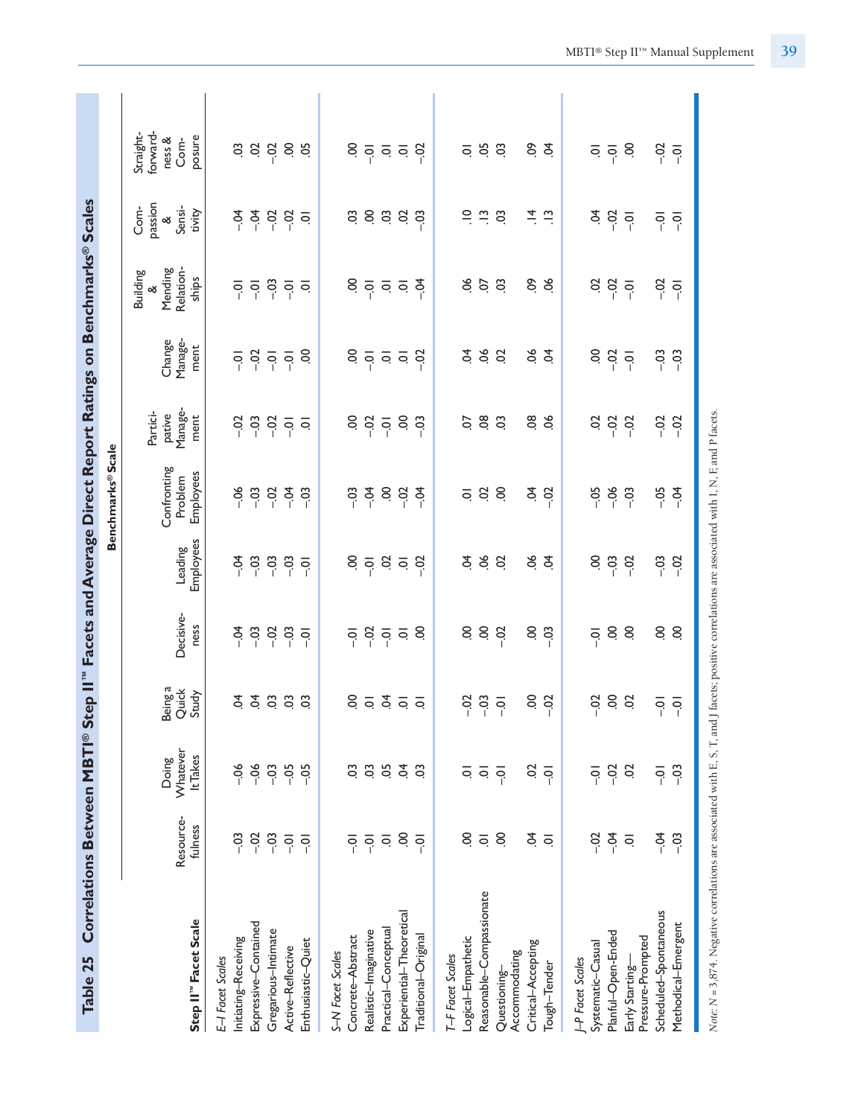| Table 25                                                                                                                                           |                      |                               |                                                             |                         |                         | Correlations Between MBTI® Step II" Facets and Average Direct Report Ratings on Benchmarks® Scales |                                       |                                           |                                                       |                                               |                                                                       |
|----------------------------------------------------------------------------------------------------------------------------------------------------|----------------------|-------------------------------|-------------------------------------------------------------|-------------------------|-------------------------|----------------------------------------------------------------------------------------------------|---------------------------------------|-------------------------------------------|-------------------------------------------------------|-----------------------------------------------|-----------------------------------------------------------------------|
|                                                                                                                                                    |                      |                               |                                                             |                         |                         | <b>Benchmarks®Scale</b>                                                                            |                                       |                                           |                                                       |                                               |                                                                       |
| Step II <sup>"</sup> Facet Scale                                                                                                                   | Resource-<br>fulness | Whatever<br>It Takes<br>Doing | Being a<br>Quick<br>Study                                   | Decisive-<br>ness       | Employees<br>Leading    | Confronting<br>Employees<br>Problem                                                                | Manage-<br>Partici-<br>pative<br>ment | Manage-<br>Change<br>ment                 | Relation-<br>Mending<br><b>Building</b><br>ships<br>ళ | passion<br>Com-<br>Sensi-<br>tivity<br>∞      | forward-<br>Straight-<br>posure<br>ness &<br>Com-                     |
| E-I Facet Scales                                                                                                                                   |                      |                               |                                                             |                         |                         |                                                                                                    |                                       |                                           |                                                       |                                               |                                                                       |
| Initiating-Receiving                                                                                                                               | $-03$                | $-06$                         | £                                                           | $-0$                    | $-0$                    | $-06$                                                                                              | $-0.2$                                | $\overline{S}$                            | $\overline{0}$                                        | $-0$                                          |                                                                       |
| Expressive-Contained<br>Gregarious-Intimate                                                                                                        | $-0.2$<br>$-03$      | $-06$<br>$-03$                | 388                                                         | $-03$<br>$-02$          | $-03$<br>$-03$          | $-03$<br>$-02$                                                                                     | $-0$<br>$-2$                          | $\frac{3}{6}$ $\frac{1}{6}$ $\frac{1}{6}$ | $\overline{5}$ $\overline{9}$                         | $-0.1$<br>$-02$                               |                                                                       |
| Active-Reflective                                                                                                                                  | $\overline{S}$       | $-05$                         |                                                             | $-03$                   | $-03$                   | $-54$                                                                                              | $\overline{Q}$                        |                                           | $\frac{1}{2}$ or $\frac{1}{2}$                        | $-02$                                         |                                                                       |
| Enthusiastic-Quiet                                                                                                                                 | $\overline{Q}$       | $-05$                         | $\ddot{\circ}$                                              | $\overline{Q}$          | $\overline{Q}$          | $-03$                                                                                              | $\overline{\circ}$                    | S                                         |                                                       | $\overline{Q}$                                |                                                                       |
| Concrete-Abstract<br>S-N Facet Scales                                                                                                              | $\overline{S}$       | S.                            | S.                                                          | $\overline{Q}$          | S.                      | $-03$                                                                                              | S                                     | S.                                        | S                                                     | CO.                                           | S                                                                     |
| Realistic-Imaginative                                                                                                                              | $\overline{S}$       | CO.                           |                                                             | $-0.2$                  | $\overline{Q}$          | $-0.4$                                                                                             | $-0.02$                               |                                           |                                                       |                                               |                                                                       |
| Practical-Conceptual                                                                                                                               | $\overline{\circ}$   | 5O                            | $\overline{5}$ $\overline{5}$ $\overline{5}$ $\overline{5}$ | $\overline{O}$          | $\ddot{\mathrm{o}}$     | S                                                                                                  | $\overline{Q}$                        | $\frac{1}{2}$ or $\frac{1}{2}$            | $\frac{1}{2}$ or $\frac{1}{2}$                        | S S                                           | $\frac{1}{2}$ $\frac{1}{2}$ $\frac{1}{2}$ $\frac{1}{2}$ $\frac{1}{2}$ |
| Experiential-Theoretical                                                                                                                           | S                    | Ś.                            |                                                             | $\overline{\mathsf{o}}$ | $\overline{\mathsf{o}}$ | $-02$                                                                                              | S                                     |                                           |                                                       | S                                             |                                                                       |
| Traditional-Original                                                                                                                               | $\overline{Q}$       | 3                             |                                                             | S                       | $-02$                   | $-5$                                                                                               | $-03$                                 | $-02$                                     | $-54$                                                 | $-03$                                         |                                                                       |
| T-F Facet Scales                                                                                                                                   |                      |                               |                                                             |                         |                         |                                                                                                    |                                       |                                           |                                                       |                                               |                                                                       |
| Logical-Empathetic                                                                                                                                 | S.                   | ā                             | $-0.02$                                                     | S                       | \$                      | $\overline{Q}$                                                                                     | S                                     | \$                                        | 8Ó                                                    | $\Xi$                                         | $\overline{Q}$                                                        |
| Reasonable-Compassionate                                                                                                                           | $\overline{\circ}$   | $\overline{\circ}$            | $-0.3$                                                      | S.                      | 06                      | $\overline{5}$                                                                                     | $\overline{0}$                        | 06                                        | $\overline{O}$                                        | $\stackrel{\textstyle\circ}{\textstyle\cdot}$ | 05                                                                    |
| Accommodating<br>Questioning-                                                                                                                      | S                    | $\overline{Q}$                | $\overline{Q}$                                              | $-02$                   | S                       | S.                                                                                                 | $\ddot{\circ}$                        | S                                         | $\ddot{\rm o}$                                        | S.                                            | C <sub>3</sub>                                                        |
| Critical-Accepting                                                                                                                                 | \$                   | S                             | S.                                                          | S                       | 9Ó                      | Ş                                                                                                  | $\overline{0}$                        | 90.                                       | δò.                                                   | $\vec{=}$                                     | δò                                                                    |
| Tough-Tender                                                                                                                                       | $\overline{Q}$       | $\overline{Q}$                | $-02$                                                       | $-03$                   | \$                      | $-02$                                                                                              | $\infty$                              | \$                                        | $\infty$                                              | $\frac{1}{2}$                                 | Š.                                                                    |
| <b>P</b> Facet Scales                                                                                                                              |                      |                               |                                                             |                         |                         |                                                                                                    |                                       |                                           |                                                       |                                               |                                                                       |
| Systematic-Casual                                                                                                                                  | $-0.2$               | $\overline{q}$                | $-0.2$                                                      | $\overline{Q}$          | S.                      | $-0.5$                                                                                             | S                                     | S.                                        | S                                                     | Ş                                             | $\overline{\circ}$                                                    |
| Planful-Open-Ended                                                                                                                                 | $-0.4$               | $-02$                         | $\mathcal{S}$                                               | S                       | $-03$                   | $-06$                                                                                              | $-0.2$                                | $-02$                                     | $-0.02$                                               | $-02$                                         | $\overline{Q}$                                                        |
| Pressure-Prompted<br>Early Starting-                                                                                                               | $\overline{\circ}$   | S                             | S                                                           | S                       | $-02$                   | $-03$                                                                                              | $-02$                                 | $\overline{Q}$                            | $\overline{Q}$                                        | $\overline{Q}$                                | S                                                                     |
| Scheduled-Spontaneous                                                                                                                              | $-5$                 | $-5$                          | $\overline{Q}$                                              | S.                      | $-03$                   | $-0.5$                                                                                             | $-0.2$                                | $-03$                                     | $-0.2$                                                | $\overline{O}$ .                              | $-0.2$                                                                |
| Methodical-Emergent                                                                                                                                | $-03$                | $-03$                         | $\overline{Q}$                                              | S.                      | $-02$                   | $-54$                                                                                              | $-0.2$                                | $-03$                                     | $\overline{q}$                                        | $\overline{Q}$                                | $\overline{S}$                                                        |
| Note: N = 3,874. Negative correlations are associated with E, S, T, and J facets; positive correlations are associated with I, N, F, and P facets. |                      |                               |                                                             |                         |                         |                                                                                                    |                                       |                                           |                                                       |                                               |                                                                       |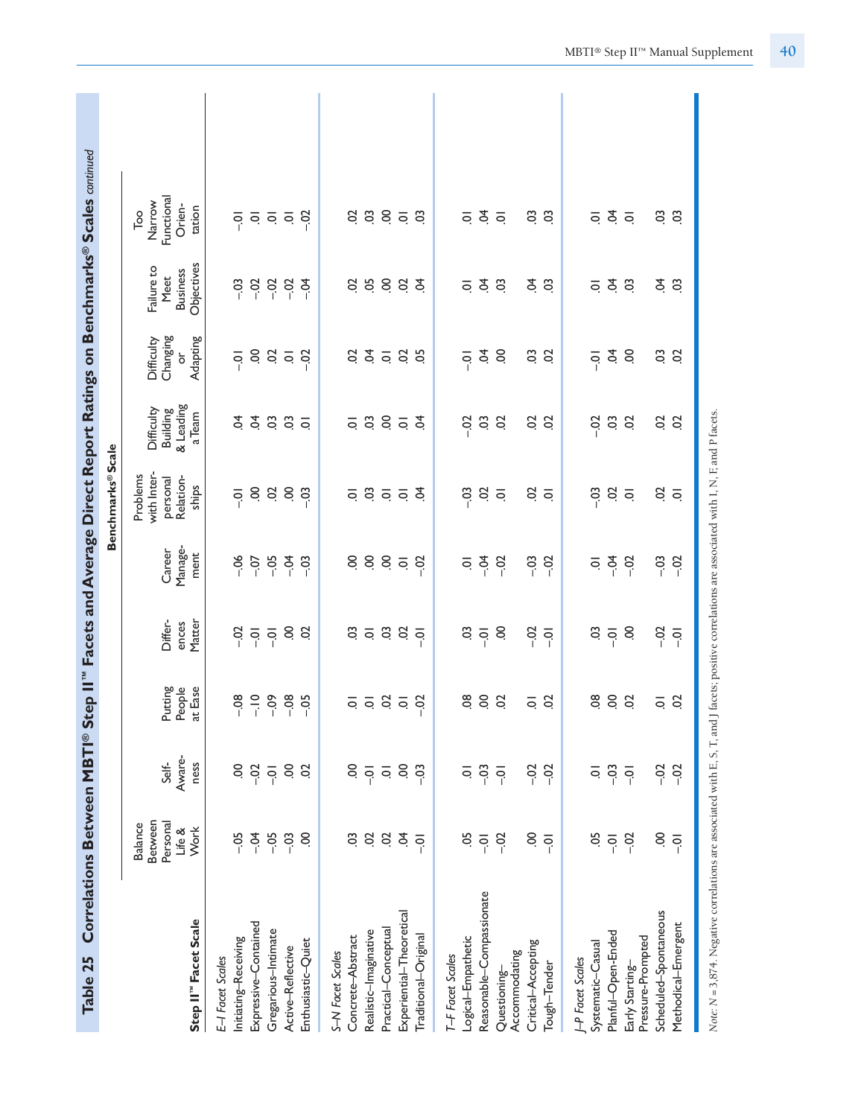| Correlations Between MBTI® Step II"<br>Table 25                                                                                                     |                                                         |                                                                 |                                                                          |                                                        |                                         |                                                                           |                                                      |                                              |                                                                        | Facets and Average Direct Report Ratings on Benchmarks® Scales continued     |  |
|-----------------------------------------------------------------------------------------------------------------------------------------------------|---------------------------------------------------------|-----------------------------------------------------------------|--------------------------------------------------------------------------|--------------------------------------------------------|-----------------------------------------|---------------------------------------------------------------------------|------------------------------------------------------|----------------------------------------------|------------------------------------------------------------------------|------------------------------------------------------------------------------|--|
|                                                                                                                                                     |                                                         |                                                                 |                                                                          |                                                        |                                         | <b>Benchmarks®Scale</b>                                                   |                                                      |                                              |                                                                        |                                                                              |  |
| Step II" Facet Scale                                                                                                                                | Between<br>Personal<br><b>Balance</b><br>Life &<br>Work | Aware-<br>Self-<br>ness                                         | Putting<br>People<br>at Ease                                             | Differ-<br>Matter<br>ences                             | Manage-<br>Career<br>ment               | with Inter-<br>Problems<br>Relation-<br>personal<br>ships                 | & Leading<br>Difficulty<br>Building<br>a Team        | Changing<br>Adapting<br>Difficulty<br>ŏ      | Objectives<br>Failure to<br><b>Business</b><br>Meet                    | Functional<br>Narrow<br>Orien-<br>tation<br>$\overline{\phantom{a}}^{\circ}$ |  |
| Expressive-Contained<br>Initiating-Receiving<br>E-I Facet Scales                                                                                    | $-05$<br>$-0.4$                                         | S<br>$-02$                                                      | $\frac{1}{2}$<br>$-08$                                                   | $-0.2$<br>$\overline{Q}$                               | $-06$<br>$-0$                           | S<br>$\overline{Q}$                                                       | $\overline{a}$<br>\$                                 | S.<br>$\overline{S}$                         | $-03$<br>$-0.02$                                                       | $\overline{S}$                                                               |  |
| Gregarious-Intimate<br>Enthusiastic-Quiet<br>Active-Reflective                                                                                      | $-0.5$<br>$-03$<br>S                                    | S.<br>S<br>$-0$                                                 | $-0.9$<br>$-08$<br>$-0.5$                                                | S<br>S<br>$-0$                                         | $-0.5$<br>$-0.4$<br>$-03$               | $\ddot{\mathrm{o}}$<br>S.<br>$-03$                                        | $\ddot{\circ}$<br>C <sub>3</sub><br>$\overline{Q}$   | $\overline{5}$<br>$-52$<br>$\bar{\circ}$     | $-0.02$<br>$-0.02$<br>₹<br>P                                           | $-02$<br>$\frac{1}{2}$ $\frac{1}{2}$ $\frac{1}{2}$                           |  |
| Experiential-Theoretical<br>Practical-Conceptual<br>Realistic-Imaginative<br>Concrete-Abstract<br>Traditional-Original<br>S-N Facet Scales          | S<br>Ś.<br>S.<br>$\ddot{\mathrm{S}}$<br>$\overline{Q}$  | S.<br>S<br>$-03$<br>$\overline{q}$<br>$\overline{\mathsf{o}}$   | 5 5 8 5<br>$-02$                                                         | $\leq$ $\frac{3}{2}$ $\leq$<br>CO.<br>$\overline{q}$   | S.<br>885<br>$-02$                      | 350<br>ट्<br>$\overline{Q}$                                               | 385<br>ट्<br>$\overline{Q}$                          | $\dot{q}$ $\dot{q}$ $\dot{q}$<br>S<br>8      | 5883<br>S                                                              | 3853<br>$\mathcal{S}$                                                        |  |
| Reasonable-Compassionate<br>Logical-Empathetic<br>Critical-Accepting<br>Accommodating<br>T-F Facet Scales<br>Tough-Tender<br>Questioning-           | S<br>5Ö<br>$-02$<br>$\overline{q}$<br>$\overline{q}$    | $-03$<br>$-02$<br>$-02$<br>ē<br>$\overline{Q}$                  | $\overline{0}$<br>$\mathcal{S}$<br>$\overline{c}$<br>S<br>$\overline{Q}$ | S<br>$-0.02$<br>Sö<br>$\overline{0}$<br>$\overline{Q}$ | $-0.4$<br>$-03$<br>$-02$<br>$-02$<br>ē  | S<br>$-03$<br>S<br>$\overline{Q}$<br>$\overline{Q}$                       | $\ddot{\mathrm{o}}$<br>$-0.02$<br>S<br>$\frac{3}{2}$ | Ş<br>S<br>CO.<br>S<br>៑                      | $\dot{5}$<br>S S<br>$\ddot{\circ}$<br>$\overline{Q}$                   | Ś.<br>$\frac{3}{2}$<br>$\overline{Q}$<br>$\overline{Q}$                      |  |
| Scheduled-Spontaneous<br>Methodical-Emergent<br>Planful-Open-Ended<br>Pressure-Prompted<br>Systematic-Casual<br>J-P Facet Scales<br>Early Starting- | S<br>-05<br>$-02$<br>$\overline{0}$ .<br>$\overline{Q}$ | $-03$<br>$-02$<br>$-02$<br>$\overline{\circ}$<br>$\overline{Q}$ | $\overline{8}$<br>$\overline{0}$<br>S<br>S<br>$\overline{\circ}$         | So<br>$-0$<br>S<br>$-0.02$<br>$\overline{Q}$           | $-0.4$<br>$-0.3$<br>$-02$<br>$-02$<br>ē | $-03$<br>$\ddot{\mathrm{S}}$<br>S<br>$\overline{\circ}$<br>$\overline{Q}$ | $\rm 03$<br>$-0.02$<br>$\overline{c}$<br>S<br>S      | $\dot{q}$<br>S.<br>S.<br>S<br>$\overline{Q}$ | $\dot{q}$<br>PÓ.<br>$\ddot{\circ}$<br>C <sub>3</sub><br>$\overline{Q}$ | $\dot{q}$ $\dot{q}$<br>S S<br>$\overline{Q}$                                 |  |
| Note: N = 3,874. Negative correlations are associated with E, S, T, and J facets; positive correlations are associated with I, N, F, and P facets.  |                                                         |                                                                 |                                                                          |                                                        |                                         |                                                                           |                                                      |                                              |                                                                        |                                                                              |  |

MBTI® Step II™ Manual Supplement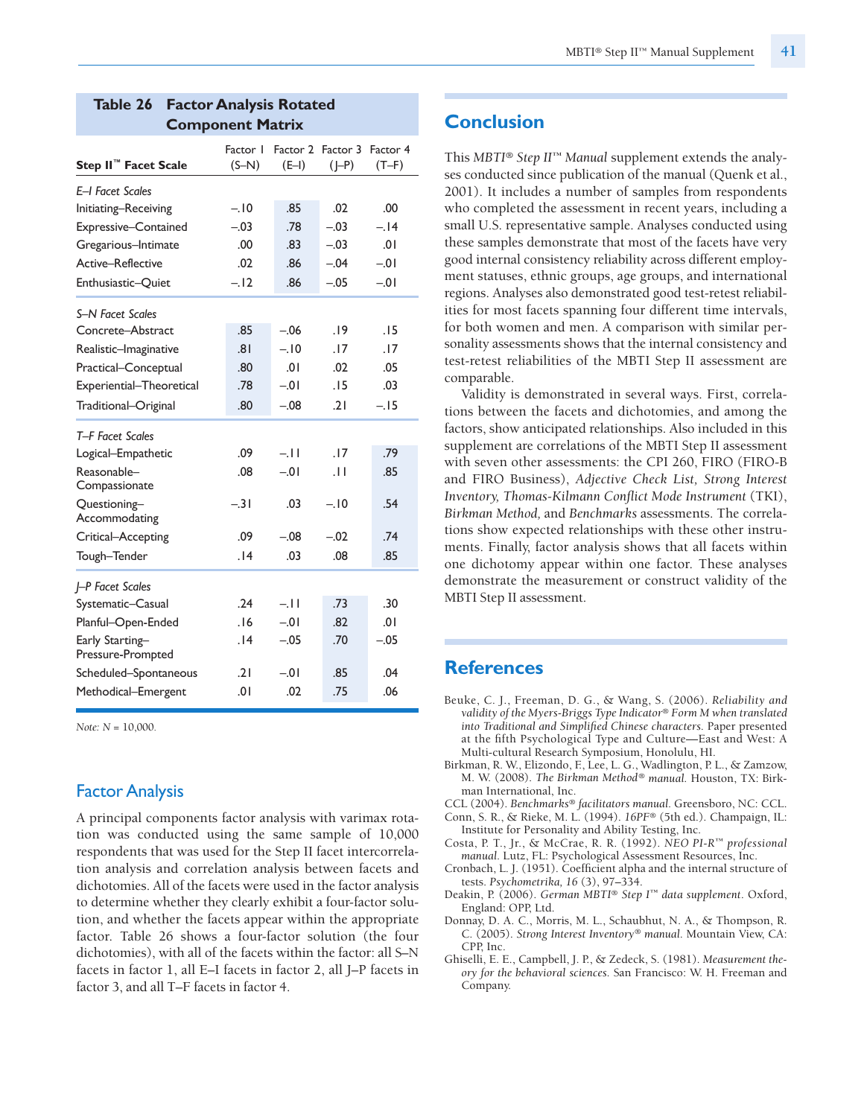| Step II <sup>™</sup> Facet Scale     | Factor I<br>$(S-N)$ | $(E-I)$ | Factor 2 Factor 3 Factor 4<br>$(J-P)$ | $(T-F)$ |
|--------------------------------------|---------------------|---------|---------------------------------------|---------|
| E-I Facet Scales                     |                     |         |                                       |         |
| Initiating-Receiving                 | $-.10$              | .85     | .02                                   | .00     |
| Expressive-Contained                 | $-.03$              | .78     | $-.03$                                | $-.14$  |
| Gregarious-Intimate                  | .00                 | .83     | $-.03$                                | .01     |
| Active-Reflective                    | .02                 | .86     | $-.04$                                | $-0.01$ |
| Enthusiastic-Quiet                   | $-.12$              | .86     | $-.05$                                | $-0.01$ |
| S-N Facet Scales                     |                     |         |                                       |         |
| Concrete-Abstract                    | .85                 | $-06$   | .19                                   | .15     |
| Realistic-Imaginative                | .81                 | $-.10$  | .17                                   | . 17    |
| Practical-Conceptual                 | .80                 | .01     | .02                                   | .05     |
| Experiential-Theoretical             | .78                 | $-01$   | .15                                   | .03     |
| Traditional-Original                 | .80                 | $-.08$  | .21                                   | $-.15$  |
| T-F Facet Scales                     |                     |         |                                       |         |
| Logical-Empathetic                   | .09                 | $-11$   | .17                                   | .79     |
| Reasonable-<br>Compassionate         | .08                 | $-01$   | .11                                   | .85     |
| Questioning-<br>Accommodating        | $-.31$              | .03     | $-.10$                                | .54     |
| Critical-Accepting                   | .09                 | $-.08$  | $-.02$                                | .74     |
| Tough-Tender                         | .14                 | .03     | .08                                   | .85     |
| -P Facet Scales                      |                     |         |                                       |         |
| Systematic-Casual                    | .24                 | $-11$   | .73                                   | .30     |
| Planful-Open-Ended                   | .16                 | $-0.01$ | .82                                   | .01     |
| Early Starting-<br>Pressure-Prompted | .14                 | $-.05$  | .70                                   | $-.05$  |
| Scheduled-Spontaneous                | .21                 | $-0.01$ | .85                                   | .04     |
| Methodical-Emergent                  | .01                 | .02     | .75                                   | .06     |

#### **Table 26 Factor Analysis Rotated Component Matrix**

*Note: N* = 10,000.

## **Factor Analysis**

A principal components factor analysis with varimax rotation was conducted using the same sample of 10,000 respondents that was used for the Step II facet intercorrelation analysis and correlation analysis between facets and dichotomies. All of the facets were used in the factor analysis to determine whether they clearly exhibit a four-factor solution, and whether the facets appear within the appropriate factor. Table 26 shows a four-factor solution (the four dichotomies), with all of the facets within the factor: all S–N facets in factor 1, all E–I facets in factor 2, all J–P facets in factor 3, and all T–F facets in factor 4.

# **Conclusion**

This *MBTI® Step II™ Manual* supplement extends the analyses conducted since publication of the manual (Quenk et al., 2001). It includes a number of samples from respondents who completed the assessment in recent years, including a small U.S. representative sample. Analyses conducted using these samples demonstrate that most of the facets have very good internal consistency reliability across different employment statuses, ethnic groups, age groups, and international regions. Analyses also demonstrated good test-retest reliabilities for most facets spanning four different time intervals, for both women and men. A comparison with similar personality assessments shows that the internal consistency and test-retest reliabilities of the MBTI Step II assessment are comparable.

Validity is demonstrated in several ways. First, correlations between the facets and dichotomies, and among the factors, show anticipated relationships. Also included in this supplement are correlations of the MBTI Step II assessment with seven other assessments: the CPI 260, FIRO (FIRO-B and FIRO Business), *Adjective Check List, Strong Interest Inventory, Thomas-Kilmann Conflict Mode Instrument* (TKI), *Birkman Method,* and *Benchmarks* assessments. The correlations show expected relationships with these other instruments. Finally, factor analysis shows that all facets within one dichotomy appear within one factor. These analyses demonstrate the measurement or construct validity of the MBTI Step II assessment.

#### **References**

- Beuke, C. J., Freeman, D. G., & Wang, S. (2006). *Reliability and validity of the Myers-Briggs Type Indicator*® *Form M when translated into Traditional and Simplified Chinese characters.* Paper presented at the fifth Psychological Type and Culture—East and West: A Multi-cultural Research Symposium, Honolulu, HI.
- Birkman, R. W., Elizondo, F., Lee, L. G., Wadlington, P. L., & Zamzow, M. W. (2008). *The Birkman Method*® *manual.* Houston, TX: Birkman International, Inc.
- CCL (2004). *Benchmarks*® *facilitators manual.* Greensboro, NC: CCL.
- Conn, S. R., & Rieke, M. L. (1994). *16PF*® (5th ed.). Champaign, IL: Institute for Personality and Ability Testing, Inc.
- Costa, P. T., Jr., & McCrae, R. R. (1992). *NEO PI-R™ professional manual.* Lutz, FL: Psychological Assessment Resources, Inc.
- Cronbach, L. J. (1951). Coefficient alpha and the internal structure of tests. *Psychometrika, 16* (3), 97–334.
- Deakin, P. (2006). *German MBTI*® *Step I ™ data supplement*. Oxford, England: OPP, Ltd.
- Donnay, D. A. C., Morris, M. L., Schaubhut, N. A., & Thompson, R. C. (2005). *Strong Interest Inventory*® *manual.* Mountain View, CA: CPP, Inc.
- Ghiselli, E. E., Campbell, J. P., & Zedeck, S. (1981). *Measurement theory for the behavioral sciences.* San Francisco: W. H. Freeman and Company.